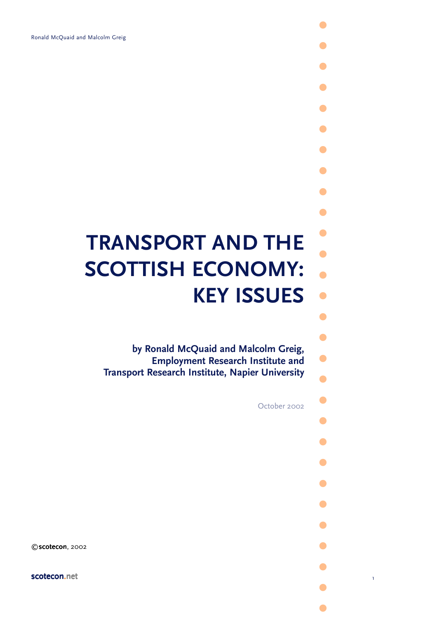# **TRANSPORT AND THE SCOTTISH ECONOMY: KEY ISSUES**

**by Ronald McQuaid and Malcolm Greig, Employment Research Institute and Transport Research Institute, Napier University**

October 2002

**.**

**.**

**.**

**.**

**.**

**. .**

**.**

**.**

**. .**

**.**

**.**

**. .**

**.**

**. .**

**. .**

**.**

**.**

**.**

**.**

**. .**

**.**

**.**

**.**

©scotecon, 2002

scotecon.net and the second series of the 1 series of the 1 series of the 1 series of the 1 series of 1 series of 1 series of 1 series of 1 series of 1 series of 1 series of 1 series of 1 series of 1 series of 1 series of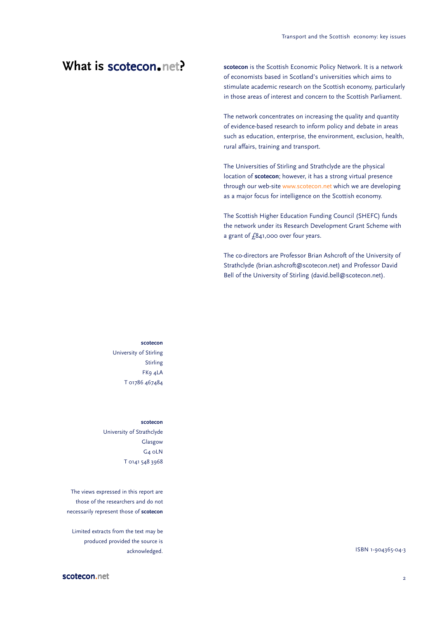## **What is scotecon.net?**

**scotecon** is the Scottish Economic Policy Network. It is a network of economists based in Scotland's universities which aims to stimulate academic research on the Scottish economy, particularly in those areas of interest and concern to the Scottish Parliament.

The network concentrates on increasing the quality and quantity of evidence-based research to inform policy and debate in areas such as education, enterprise, the environment, exclusion, health, rural affairs, training and transport.

The Universities of Stirling and Strathclyde are the physical location of **scotecon**; however, it has a strong virtual presence through our web-site www.scotecon.net which we are developing as a major focus for intelligence on the Scottish economy.

The Scottish Higher Education Funding Council (SHEFC) funds the network under its Research Development Grant Scheme with a grant of  $f$ 841,000 over four years.

The co-directors are Professor Brian Ashcroft of the University of Strathclyde (brian.ashcroft@scotecon.net) and Professor David Bell of the University of Stirling (david.bell@scotecon.net).

**scotecon** University of Stirling Stirling FK9 4LA T 01786 467484

#### **scotecon**

University of Strathclyde Glasgow G4 0LN T 0141 548 3968

The views expressed in this report are those of the researchers and do not necessarily represent those of **scotecon**

Limited extracts from the text may be produced provided the source is acknowledged. **ISBN 1-904365-04-3**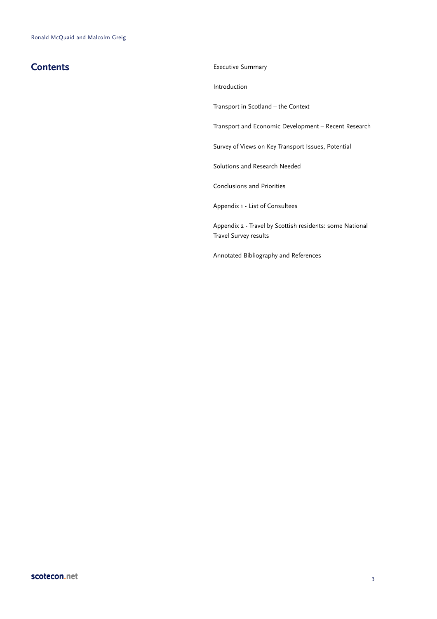**Contents** Executive Summary

Introduction

Transport in Scotland – the Context

Transport and Economic Development – Recent Research

Survey of Views on Key Transport Issues, Potential

Solutions and Research Needed

Conclusions and Priorities

Appendix 1 - List of Consultees

Appendix 2 - Travel by Scottish residents: some National Travel Survey results

Annotated Bibliography and References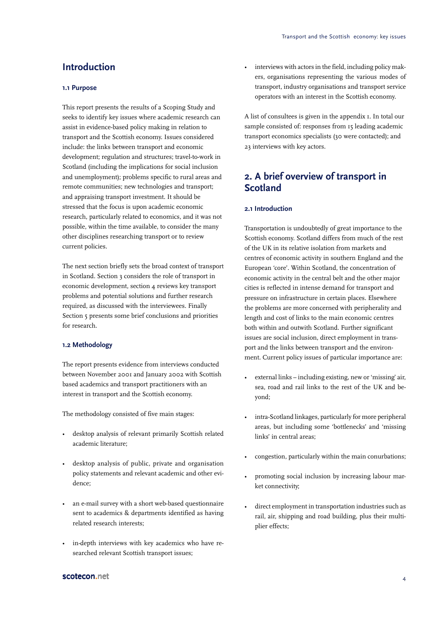## **Introduction**

#### **1.1 Purpose**

This report presents the results of a Scoping Study and seeks to identify key issues where academic research can assist in evidence-based policy making in relation to transport and the Scottish economy. Issues considered include: the links between transport and economic development; regulation and structures; travel-to-work in Scotland (including the implications for social inclusion and unemployment); problems specific to rural areas and remote communities; new technologies and transport; and appraising transport investment. It should be stressed that the focus is upon academic economic research, particularly related to economics, and it was not possible, within the time available, to consider the many other disciplines researching transport or to review current policies.

The next section briefly sets the broad context of transport in Scotland. Section 3 considers the role of transport in economic development, section 4 reviews key transport problems and potential solutions and further research required, as discussed with the interviewees. Finally Section 5 presents some brief conclusions and priorities for research.

#### **1.2 Methodology**

The report presents evidence from interviews conducted between November 2001 and January 2002 with Scottish based academics and transport practitioners with an interest in transport and the Scottish economy.

The methodology consisted of five main stages:

- desktop analysis of relevant primarily Scottish related academic literature;
- desktop analysis of public, private and organisation policy statements and relevant academic and other evidence;
- an e-mail survey with a short web-based questionnaire sent to academics & departments identified as having related research interests;
- in-depth interviews with key academics who have researched relevant Scottish transport issues;

interviews with actors in the field, including policy makers, organisations representing the various modes of transport, industry organisations and transport service operators with an interest in the Scottish economy.

A list of consultees is given in the appendix 1. In total our sample consisted of: responses from 15 leading academic transport economics specialists (30 were contacted); and 23 interviews with key actors.

## **2. A brief overview of transport in Scotland**

#### **2.1 Introduction**

Transportation is undoubtedly of great importance to the Scottish economy. Scotland differs from much of the rest of the UK in its relative isolation from markets and centres of economic activity in southern England and the European 'core'. Within Scotland, the concentration of economic activity in the central belt and the other major cities is reflected in intense demand for transport and pressure on infrastructure in certain places. Elsewhere the problems are more concerned with peripherality and length and cost of links to the main economic centres both within and outwith Scotland. Further significant issues are social inclusion, direct employment in transport and the links between transport and the environment. Current policy issues of particular importance are:

- external links including existing, new or 'missing' air, sea, road and rail links to the rest of the UK and beyond;
- intra-Scotland linkages, particularly for more peripheral areas, but including some 'bottlenecks' and 'missing links' in central areas;
- congestion, particularly within the main conurbations;
- promoting social inclusion by increasing labour market connectivity;
- direct employment in transportation industries such as rail, air, shipping and road building, plus their multiplier effects;

#### scotecon.net 4 and 4 and 4 and 4 and 4 and 4 and 4 and 4 and 4 and 4 and 4 and 4 and 4 and 4 and 4 and 4 and 4 and 4 and 4 and 4 and 4 and 4 and 4 and 4 and 4 and 4 and 4 and 4 and 4 and 4 and 4 and 4 and 4 and 4 and 4 and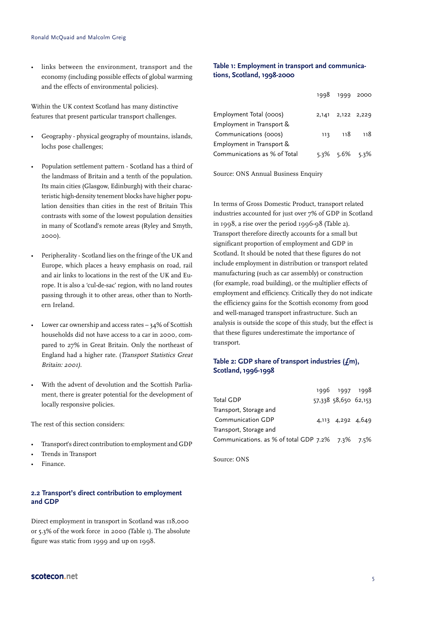• links between the environment, transport and the economy (including possible effects of global warming and the effects of environmental policies).

Within the UK context Scotland has many distinctive features that present particular transport challenges.

- Geography physical geography of mountains, islands, lochs pose challenges;
- Population settlement pattern Scotland has a third of the landmass of Britain and a tenth of the population. Its main cities (Glasgow, Edinburgh) with their characteristic high-density tenement blocks have higher population densities than cities in the rest of Britain This contrasts with some of the lowest population densities in many of Scotland's remote areas (Ryley and Smyth, 2000).
- Peripherality Scotland lies on the fringe of the UK and Europe, which places a heavy emphasis on road, rail and air links to locations in the rest of the UK and Europe. It is also a 'cul-de-sac' region, with no land routes passing through it to other areas, other than to Northern Ireland.
- Lower car ownership and access rates  $-$  34% of Scottish households did not have access to a car in 2000, compared to 27% in Great Britain. Only the northeast of England had a higher rate. (Transport Statistics Great Britain: 2001).
- With the advent of devolution and the Scottish Parliament, there is greater potential for the development of locally responsive policies.

The rest of this section considers:

- Transport's direct contribution to employment and GDP
- Trends in Transport
- Finance.

#### **2.2 Transport's direct contribution to employment and GDP**

Direct employment in transport in Scotland was 118,000 or 5.3% of the work force in 2000 (Table 1). The absolute figure was static from 1999 and up on 1998.

#### **Table 1: Employment in transport and communications, Scotland, 1998-2000**

|                              | 1998 1999 2000          |       |
|------------------------------|-------------------------|-------|
| Employment Total (000s)      | 2,141 2,122 2,229       |       |
| Employment in Transport &    |                         |       |
| Communications (000s)        | 113 118                 | - 118 |
| Employment in Transport &    |                         |       |
| Communications as % of Total | $5.3\%$ $5.6\%$ $5.3\%$ |       |

Source: ONS Annual Business Enquiry

In terms of Gross Domestic Product, transport related industries accounted for just over 7% of GDP in Scotland in 1998, a rise over the period 1996-98 (Table 2). Transport therefore directly accounts for a small but significant proportion of employment and GDP in Scotland. It should be noted that these figures do not include employment in distribution or transport related manufacturing (such as car assembly) or construction (for example, road building), or the multiplier effects of employment and efficiency. Critically they do not indicate the efficiency gains for the Scottish economy from good and well-managed transport infrastructure. Such an analysis is outside the scope of this study, but the effect is that these figures underestimate the importance of transport.

#### **Table 2: GDP share of transport industries (£m), Scotland, 1996-1998**

|  | 1996 1997 1998<br>57,338 58,650 62,153<br>4,113 4,292 4,649<br>Communications. as % of total GDP $7.2\%$ $7.3\%$ $7.5\%$ |
|--|--------------------------------------------------------------------------------------------------------------------------|

Source: ONS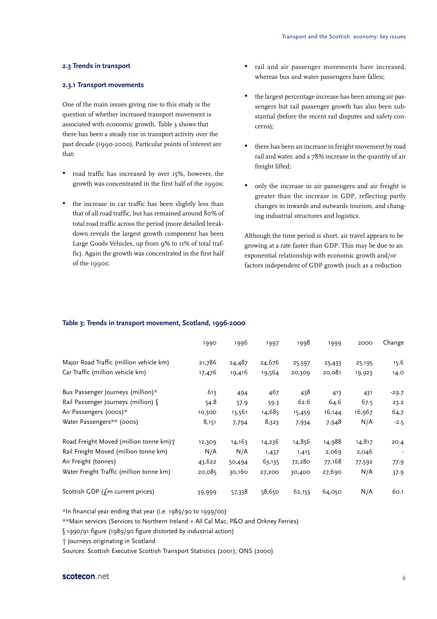#### **2.3 Trends in transport**

#### **2.3.1 Transport movements**

One of the main issues giving rise to this study is the question of whether increased transport movement is associated with economic growth. Table 3 shows that there has been a steady rise in transport activity over the past decade (1990-2000). Particular points of interest are that:

- road traffic has increased by over 15%, however, the growth was concentrated in the first half of the 1990s;
- the increase in car traffic has been slightly less than that of all road traffic, but has remained around 80% of total road traffic across the period (more detailed breakdown reveals the largest growth component has been Large Goods Vehicles, up from 9% to 11% of total traffic). Again the growth was concentrated in the first half of the 1990s;
- rail and air passenger movements have increased, whereas bus and water passengers have fallen;
- the largest percentage increase has been among air passengers but rail passenger growth has also been substantial (before the recent rail disputes and safety concerns);
- there has been an increase in freight movement by road rail and water, and a 78% increase in the quantity of air freight lifted;
- only the increase in air passengers and air freight is greater than the increase in GDP, reflecting partly changes in inwards and outwards tourism, and changing industrial structures and logistics.

Although the time period is short, air travel appears to be growing at a rate faster than GDP. This may be due to an exponential relationship with economic growth and/or factors independent of GDP growth (such as a reduction

#### **Table 3: Trends in transport movement, Scotland, 1996-2000**

|                                          | 1990   | 1996   | 1997   | 1998   | 1999   | 2000   | Change  |
|------------------------------------------|--------|--------|--------|--------|--------|--------|---------|
| Major Road Traffic (million vehicle km)  | 21,786 | 24,487 | 24,676 | 25,597 | 25,433 | 25,195 | 15.6    |
| Car Traffic (million vehicle km)         | 17,476 | 19,416 | 19,564 | 20,309 | 20,081 | 19,923 | 14.0    |
| Bus Passenger Journeys (million)*        | 613    | 494    | 467    | 438    | 413    | 431    | $-29.7$ |
| Rail Passenger Journeys (million) §      | 54.8   | 57.9   | 59.3   | 62.6   | 64.6   | 67.5   | 23.2    |
| Air Passengers (000s)*                   | 10,300 | 13,561 | 14,685 | 15,459 | 16,144 | 16,967 | 64.7    |
| Water Passengers** (000s)                | 8,151  | 7,794  | 8,323  | 7,934  | 7,948  | N/A    | $-2.5$  |
| Road Freight Moved (million tonne km) +  | 12,309 | 14,163 | 14,236 | 14,856 | 14,988 | 14,817 | 20.4    |
| Rail Freight Moved (million tonne km)    | N/A    | N/A    | 1,437  | 1,415  | 2,069  | 2,046  |         |
| Air Freight (tonnes)                     | 43,622 | 50,494 | 63,135 | 72,280 | 77,168 | 77,592 | 77.9    |
| Water Freight Traffic (million tonne km) | 20,085 | 30,160 | 27,200 | 30,400 | 27,690 | N/A    | 37.9    |
| Scottish GDP (£m current prices)         | 39,999 | 57,338 | 58,650 | 62,153 | 64,050 | N/A    | 60.1    |

\*In financial year ending that year (i.e. 1989/90 to 1999/00)

\*\*Main services (Services to Northern Ireland + All Cal Mac, P&O and Orkney Ferries)

§ 1990/91 figure (1989/90 figure distorted by industrial action)

† Journeys originating in Scotland

Sources: Scottish Executive Scottish Transport Statistics (2001); ONS (2000)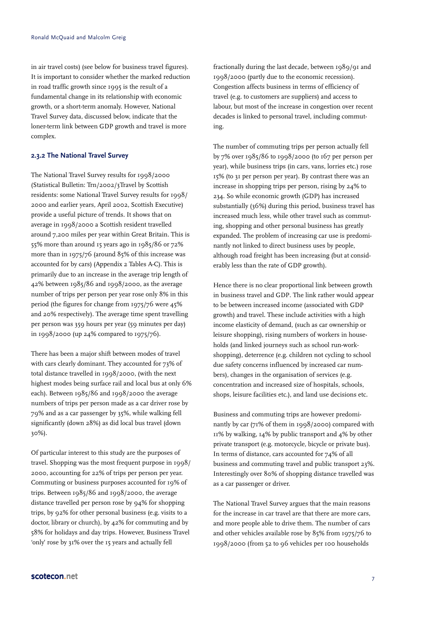in air travel costs) (see below for business travel figures). It is important to consider whether the marked reduction in road traffic growth since 1995 is the result of a fundamental change in its relationship with economic growth, or a short-term anomaly. However, National Travel Survey data, discussed below, indicate that the loner-term link between GDP growth and travel is more complex.

#### **2.3.2 The National Travel Survey**

The National Travel Survey results for 1998/2000 (Statistical Bulletin: Trn/2002/3Travel by Scottish residents: some National Travel Survey results for 1998/ 2000 and earlier years, April 2002, Scottish Executive) provide a useful picture of trends. It shows that on average in 1998/2000 a Scottish resident travelled around 7,200 miles per year within Great Britain. This is 55% more than around 15 years ago in 1985/86 or 72% more than in 1975/76 (around 85% of this increase was accounted for by cars) (Appendix 2 Tables A-C). This is primarily due to an increase in the average trip length of 42% between 1985/86 and 1998/2000, as the average number of trips per person per year rose only 8% in this period (the figures for change from 1975/76 were 45% and 20% respectively). The average time spent travelling per person was 359 hours per year (59 minutes per day) in 1998/2000 (up 24% compared to 1975/76).

There has been a major shift between modes of travel with cars clearly dominant. They accounted for 73% of total distance travelled in 1998/2000, (with the next highest modes being surface rail and local bus at only 6% each). Between 1985/86 and 1998/2000 the average numbers of trips per person made as a car driver rose by 79% and as a car passenger by 35%, while walking fell significantly (down 28%) as did local bus travel (down 30%).

Of particular interest to this study are the purposes of travel. Shopping was the most frequent purpose in 1998/ 2000, accounting for 22% of trips per person per year. Commuting or business purposes accounted for 19% of trips. Between 1985/86 and 1998/2000, the average distance travelled per person rose by 94% for shopping trips, by 92% for other personal business (e.g. visits to a doctor, library or church), by 42% for commuting and by 58% for holidays and day trips. However, Business Travel 'only' rose by 31% over the 15 years and actually fell

fractionally during the last decade, between 1989/91 and 1998/2000 (partly due to the economic recession). Congestion affects business in terms of efficiency of travel (e.g. to customers are suppliers) and access to labour, but most of the increase in congestion over recent decades is linked to personal travel, including commuting.

The number of commuting trips per person actually fell by 7% over 1985/86 to 1998/2000 (to 167 per person per year), while business trips (in cars, vans, lorries etc.) rose 15% (to 31 per person per year). By contrast there was an increase in shopping trips per person, rising by 24% to 234. So while economic growth (GDP) has increased substantially (36%) during this period, business travel has increased much less, while other travel such as commuting, shopping and other personal business has greatly expanded. The problem of increasing car use is predominantly not linked to direct business uses by people, although road freight has been increasing (but at considerably less than the rate of GDP growth).

Hence there is no clear proportional link between growth in business travel and GDP. The link rather would appear to be between increased income (associated with GDP growth) and travel. These include activities with a high income elasticity of demand, (such as car ownership or leisure shopping), rising numbers of workers in households (and linked journeys such as school run-workshopping), deterrence (e.g. children not cycling to school due safety concerns influenced by increased car numbers), changes in the organisation of services (e.g. concentration and increased size of hospitals, schools, shops, leisure facilities etc.), and land use decisions etc.

Business and commuting trips are however predominantly by car (71% of them in 1998/2000) compared with 11% by walking, 14% by public transport and 4% by other private transport (e.g. motorcycle, bicycle or private bus). In terms of distance, cars accounted for 74% of all business and commuting travel and public transport 23%. Interestingly over 80% of shopping distance travelled was as a car passenger or driver.

The National Travel Survey argues that the main reasons for the increase in car travel are that there are more cars, and more people able to drive them. The number of cars and other vehicles available rose by 85% from 1975/76 to 1998/2000 (from 52 to 96 vehicles per 100 households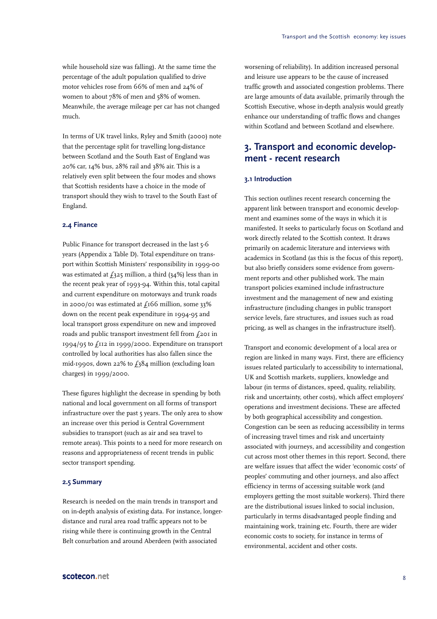while household size was falling). At the same time the percentage of the adult population qualified to drive motor vehicles rose from 66% of men and 24% of women to about 78% of men and 58% of women. Meanwhile, the average mileage per car has not changed much.

In terms of UK travel links, Ryley and Smith (2000) note that the percentage split for travelling long-distance between Scotland and the South East of England was 20% car, 14% bus, 28% rail and 38% air. This is a relatively even split between the four modes and shows that Scottish residents have a choice in the mode of transport should they wish to travel to the South East of England.

#### **2.4 Finance**

Public Finance for transport decreased in the last 5-6 years (Appendix 2 Table D). Total expenditure on transport within Scottish Ministers' responsibility in 1999-00 was estimated at  $f_325$  million, a third (34%) less than in the recent peak year of 1993-94. Within this, total capital and current expenditure on motorways and trunk roads in 2000/01 was estimated at  $f_1$ 166 million, some 33% down on the recent peak expenditure in 1994-95 and local transport gross expenditure on new and improved roads and public transport investment fell from £201 in 1994/95 to £112 in 1999/2000. Expenditure on transport controlled by local authorities has also fallen since the mid-1990s, down 22% to  $f_384$  million (excluding loan charges) in 1999/2000.

These figures highlight the decrease in spending by both national and local government on all forms of transport infrastructure over the past 5 years. The only area to show an increase over this period is Central Government subsidies to transport (such as air and sea travel to remote areas). This points to a need for more research on reasons and appropriateness of recent trends in public sector transport spending.

#### **2.5 Summary**

Research is needed on the main trends in transport and on in-depth analysis of existing data. For instance, longerdistance and rural area road traffic appears not to be rising while there is continuing growth in the Central Belt conurbation and around Aberdeen (with associated

worsening of reliability). In addition increased personal and leisure use appears to be the cause of increased traffic growth and associated congestion problems. There are large amounts of data available, primarily through the Scottish Executive, whose in-depth analysis would greatly enhance our understanding of traffic flows and changes within Scotland and between Scotland and elsewhere.

## **3. Transport and economic development - recent research**

#### **3.1 Introduction**

This section outlines recent research concerning the apparent link between transport and economic development and examines some of the ways in which it is manifested. It seeks to particularly focus on Scotland and work directly related to the Scottish context. It draws primarily on academic literature and interviews with academics in Scotland (as this is the focus of this report), but also briefly considers some evidence from government reports and other published work. The main transport policies examined include infrastructure investment and the management of new and existing infrastructure (including changes in public transport service levels, fare structures, and issues such as road pricing, as well as changes in the infrastructure itself).

Transport and economic development of a local area or region are linked in many ways. First, there are efficiency issues related particularly to accessibility to international, UK and Scottish markets, suppliers, knowledge and labour (in terms of distances, speed, quality, reliability, risk and uncertainty, other costs), which affect employers' operations and investment decisions. These are affected by both geographical accessibility and congestion. Congestion can be seen as reducing accessibility in terms of increasing travel times and risk and uncertainty associated with journeys, and accessibility and congestion cut across most other themes in this report. Second, there are welfare issues that affect the wider 'economic costs' of peoples' commuting and other journeys, and also affect efficiency in terms of accessing suitable work (and employers getting the most suitable workers). Third there are the distributional issues linked to social inclusion, particularly in terms disadvantaged people finding and maintaining work, training etc. Fourth, there are wider economic costs to society, for instance in terms of environmental, accident and other costs.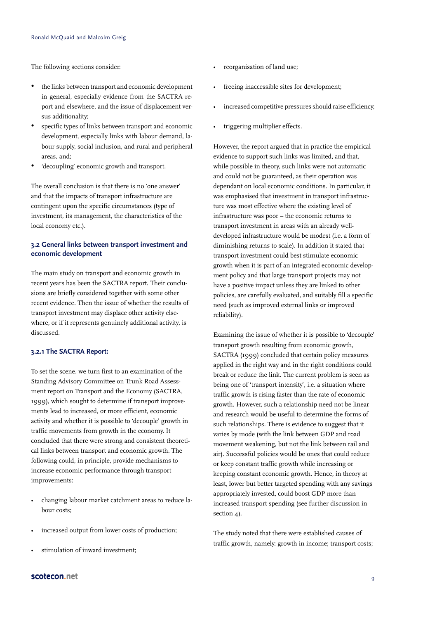The following sections consider:

- the links between transport and economic development in general, especially evidence from the SACTRA report and elsewhere, and the issue of displacement versus additionality;
- specific types of links between transport and economic development, especially links with labour demand, labour supply, social inclusion, and rural and peripheral areas, and;
- 'decoupling' economic growth and transport.

The overall conclusion is that there is no 'one answer' and that the impacts of transport infrastructure are contingent upon the specific circumstances (type of investment, its management, the characteristics of the local economy etc.).

#### **3.2 General links between transport investment and economic development**

The main study on transport and economic growth in recent years has been the SACTRA report. Their conclusions are briefly considered together with some other recent evidence. Then the issue of whether the results of transport investment may displace other activity elsewhere, or if it represents genuinely additional activity, is discussed.

#### **3.2.1 The SACTRA Report:**

To set the scene, we turn first to an examination of the Standing Advisory Committee on Trunk Road Assessment report on Transport and the Economy (SACTRA, 1999), which sought to determine if transport improvements lead to increased, or more efficient, economic activity and whether it is possible to 'decouple' growth in traffic movements from growth in the economy. It concluded that there were strong and consistent theoretical links between transport and economic growth. The following could, in principle, provide mechanisms to increase economic performance through transport improvements:

- changing labour market catchment areas to reduce labour costs;
- increased output from lower costs of production;
- stimulation of inward investment;
- reorganisation of land use;
- freeing inaccessible sites for development;
- increased competitive pressures should raise efficiency;
- triggering multiplier effects.

However, the report argued that in practice the empirical evidence to support such links was limited, and that, while possible in theory, such links were not automatic and could not be guaranteed, as their operation was dependant on local economic conditions. In particular, it was emphasised that investment in transport infrastructure was most effective where the existing level of infrastructure was poor – the economic returns to transport investment in areas with an already welldeveloped infrastructure would be modest (i.e. a form of diminishing returns to scale). In addition it stated that transport investment could best stimulate economic growth when it is part of an integrated economic development policy and that large transport projects may not have a positive impact unless they are linked to other policies, are carefully evaluated, and suitably fill a specific need (such as improved external links or improved reliability).

Examining the issue of whether it is possible to 'decouple' transport growth resulting from economic growth, SACTRA (1999) concluded that certain policy measures applied in the right way and in the right conditions could break or reduce the link. The current problem is seen as being one of 'transport intensity', i.e. a situation where traffic growth is rising faster than the rate of economic growth. However, such a relationship need not be linear and research would be useful to determine the forms of such relationships. There is evidence to suggest that it varies by mode (with the link between GDP and road movement weakening, but not the link between rail and air). Successful policies would be ones that could reduce or keep constant traffic growth while increasing or keeping constant economic growth. Hence, in theory at least, lower but better targeted spending with any savings appropriately invested, could boost GDP more than increased transport spending (see further discussion in section 4).

The study noted that there were established causes of traffic growth, namely: growth in income; transport costs;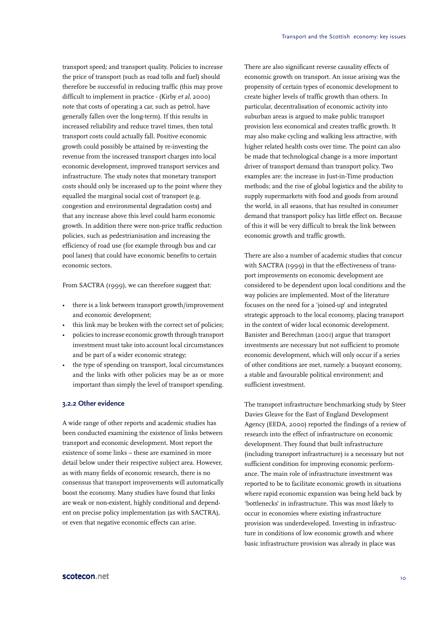transport speed; and transport quality. Policies to increase the price of transport (such as road tolls and fuel) should therefore be successful in reducing traffic (this may prove difficult to implement in practice - (Kirby et al, 2000) note that costs of operating a car, such as petrol, have generally fallen over the long-term). If this results in increased reliability and reduce travel times, then total transport costs could actually fall. Positive economic growth could possibly be attained by re-investing the revenue from the increased transport charges into local economic development, improved transport services and infrastructure. The study notes that monetary transport costs should only be increased up to the point where they equalled the marginal social cost of transport (e.g. congestion and environmental degradation costs) and that any increase above this level could harm economic growth. In addition there were non-price traffic reduction policies, such as pedestrianisation and increasing the efficiency of road use (for example through bus and car pool lanes) that could have economic benefits to certain economic sectors.

From SACTRA (1999), we can therefore suggest that:

- there is a link between transport growth/improvement and economic development;
- this link may be broken with the correct set of policies;
- policies to increase economic growth through transport investment must take into account local circumstances and be part of a wider economic strategy;
- the type of spending on transport, local circumstances and the links with other policies may be as or more important than simply the level of transport spending.

#### **3.2.2 Other evidence**

A wide range of other reports and academic studies has been conducted examining the existence of links between transport and economic development. Most report the existence of some links – these are examined in more detail below under their respective subject area. However, as with many fields of economic research, there is no consensus that transport improvements will automatically boost the economy. Many studies have found that links are weak or non-existent, highly conditional and dependent on precise policy implementation (as with SACTRA), or even that negative economic effects can arise.

There are also significant reverse causality effects of economic growth on transport. An issue arising was the propensity of certain types of economic development to create higher levels of traffic growth than others. In particular, decentralisation of economic activity into suburban areas is argued to make public transport provision less economical and creates traffic growth. It may also make cycling and walking less attractive, with higher related health costs over time. The point can also be made that technological change is a more important driver of transport demand than transport policy. Two examples are: the increase in Just-in-Time production methods; and the rise of global logistics and the ability to supply supermarkets with food and goods from around the world, in all seasons, that has resulted in consumer demand that transport policy has little effect on. Because of this it will be very difficult to break the link between economic growth and traffic growth.

There are also a number of academic studies that concur with SACTRA (1999) in that the effectiveness of transport improvements on economic development are considered to be dependent upon local conditions and the way policies are implemented. Most of the literature focuses on the need for a 'joined-up' and integrated strategic approach to the local economy, placing transport in the context of wider local economic development. Banister and Berechman (2001) argue that transport investments are necessary but not sufficient to promote economic development, which will only occur if a series of other conditions are met, namely: a buoyant economy, a stable and favourable political environment; and sufficient investment.

The transport infrastructure benchmarking study by Steer Davies Gleave for the East of England Development Agency (EEDA, 2000) reported the findings of a review of research into the effect of infrastructure on economic development. They found that built infrastructure (including transport infrastructure) is a necessary but not sufficient condition for improving economic performance. The main role of infrastructure investment was reported to be to facilitate economic growth in situations where rapid economic expansion was being held back by 'bottlenecks' in infrastructure. This was most likely to occur in economies where existing infrastructure provision was underdeveloped. Investing in infrastructure in conditions of low economic growth and where basic infrastructure provision was already in place was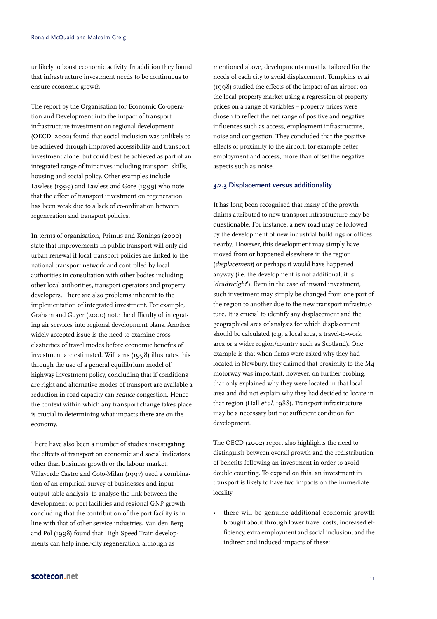unlikely to boost economic activity. In addition they found that infrastructure investment needs to be continuous to ensure economic growth

The report by the Organisation for Economic Co-operation and Development into the impact of transport infrastructure investment on regional development (OECD, 2002) found that social inclusion was unlikely to be achieved through improved accessibility and transport investment alone, but could best be achieved as part of an integrated range of initiatives including transport, skills, housing and social policy. Other examples include Lawless (1999) and Lawless and Gore (1999) who note that the effect of transport investment on regeneration has been weak due to a lack of co-ordination between regeneration and transport policies.

In terms of organisation, Primus and Konings (2000) state that improvements in public transport will only aid urban renewal if local transport policies are linked to the national transport network and controlled by local authorities in consultation with other bodies including other local authorities, transport operators and property developers. There are also problems inherent to the implementation of integrated investment. For example, Graham and Guyer (2000) note the difficulty of integrating air services into regional development plans. Another widely accepted issue is the need to examine cross elasticities of travel modes before economic benefits of investment are estimated. Williams (1998) illustrates this through the use of a general equilibrium model of highway investment policy, concluding that if conditions are right and alternative modes of transport are available a reduction in road capacity can reduce congestion. Hence the context within which any transport change takes place is crucial to determining what impacts there are on the economy.

There have also been a number of studies investigating the effects of transport on economic and social indicators other than business growth or the labour market. Villaverde Castro and Coto-Milan (1997) used a combination of an empirical survey of businesses and inputoutput table analysis, to analyse the link between the development of port facilities and regional GNP growth, concluding that the contribution of the port facility is in line with that of other service industries. Van den Berg and Pol (1998) found that High Speed Train developments can help inner-city regeneration, although as

mentioned above, developments must be tailored for the needs of each city to avoid displacement. Tompkins et al (1998) studied the effects of the impact of an airport on the local property market using a regression of property prices on a range of variables – property prices were chosen to reflect the net range of positive and negative influences such as access, employment infrastructure, noise and congestion. They concluded that the positive effects of proximity to the airport, for example better employment and access, more than offset the negative aspects such as noise.

#### **3.2.3 Displacement versus additionality**

It has long been recognised that many of the growth claims attributed to new transport infrastructure may be questionable. For instance, a new road may be followed by the development of new industrial buildings or offices nearby. However, this development may simply have moved from or happened elsewhere in the region (displacement) or perhaps it would have happened anyway (i.e. the development is not additional, it is 'deadweight'). Even in the case of inward investment, such investment may simply be changed from one part of the region to another due to the new transport infrastructure. It is crucial to identify any displacement and the geographical area of analysis for which displacement should be calculated (e.g. a local area, a travel-to-work area or a wider region/country such as Scotland). One example is that when firms were asked why they had located in Newbury, they claimed that proximity to the M4 motorway was important, however, on further probing, that only explained why they were located in that local area and did not explain why they had decided to locate in that region (Hall et al, 1988). Transport infrastructure may be a necessary but not sufficient condition for development.

The OECD (2002) report also highlights the need to distinguish between overall growth and the redistribution of benefits following an investment in order to avoid double counting. To expand on this, an investment in transport is likely to have two impacts on the immediate locality:

there will be genuine additional economic growth brought about through lower travel costs, increased efficiency, extra employment and social inclusion, and the indirect and induced impacts of these;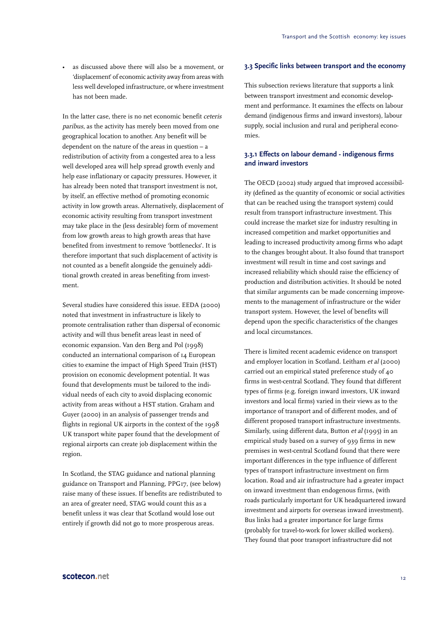as discussed above there will also be a movement, or 'displacement' of economic activity away from areas with less well developed infrastructure, or where investment has not been made.

In the latter case, there is no net economic benefit ceteris paribus, as the activity has merely been moved from one geographical location to another. Any benefit will be dependent on the nature of the areas in question – a redistribution of activity from a congested area to a less well developed area will help spread growth evenly and help ease inflationary or capacity pressures. However, it has already been noted that transport investment is not, by itself, an effective method of promoting economic activity in low growth areas. Alternatively, displacement of economic activity resulting from transport investment may take place in the (less desirable) form of movement from low growth areas to high growth areas that have benefited from investment to remove 'bottlenecks'. It is therefore important that such displacement of activity is not counted as a benefit alongside the genuinely additional growth created in areas benefiting from investment.

Several studies have considered this issue. EEDA (2000) noted that investment in infrastructure is likely to promote centralisation rather than dispersal of economic activity and will thus benefit areas least in need of economic expansion. Van den Berg and Pol (1998) conducted an international comparison of 14 European cities to examine the impact of High Speed Train (HST) provision on economic development potential. It was found that developments must be tailored to the individual needs of each city to avoid displacing economic activity from areas without a HST station. Graham and Guyer (2000) in an analysis of passenger trends and flights in regional UK airports in the context of the 1998 UK transport white paper found that the development of regional airports can create job displacement within the region.

In Scotland, the STAG guidance and national planning guidance on Transport and Planning, PPG17, (see below) raise many of these issues. If benefits are redistributed to an area of greater need, STAG would count this as a benefit unless it was clear that Scotland would lose out entirely if growth did not go to more prosperous areas.

#### **3.3 Specific links between transport and the economy**

This subsection reviews literature that supports a link between transport investment and economic development and performance. It examines the effects on labour demand (indigenous firms and inward investors), labour supply, social inclusion and rural and peripheral economies.

#### **3.3.1 Effects on labour demand - indigenous firms and inward investors**

The OECD (2002) study argued that improved accessibility (defined as the quantity of economic or social activities that can be reached using the transport system) could result from transport infrastructure investment. This could increase the market size for industry resulting in increased competition and market opportunities and leading to increased productivity among firms who adapt to the changes brought about. It also found that transport investment will result in time and cost savings and increased reliability which should raise the efficiency of production and distribution activities. It should be noted that similar arguments can be made concerning improvements to the management of infrastructure or the wider transport system. However, the level of benefits will depend upon the specific characteristics of the changes and local circumstances.

There is limited recent academic evidence on transport and employer location in Scotland. Leitham et al (2000) carried out an empirical stated preference study of 40 firms in west-central Scotland. They found that different types of firms (e.g. foreign inward investors, UK inward investors and local firms) varied in their views as to the importance of transport and of different modes, and of different proposed transport infrastructure investments. Similarly, using different data, Button et al (1995) in an empirical study based on a survey of 939 firms in new premises in west-central Scotland found that there were important differences in the type influence of different types of transport infrastructure investment on firm location. Road and air infrastructure had a greater impact on inward investment than endogenous firms, (with roads particularly important for UK headquartered inward investment and airports for overseas inward investment). Bus links had a greater importance for large firms (probably for travel-to-work for lower skilled workers). They found that poor transport infrastructure did not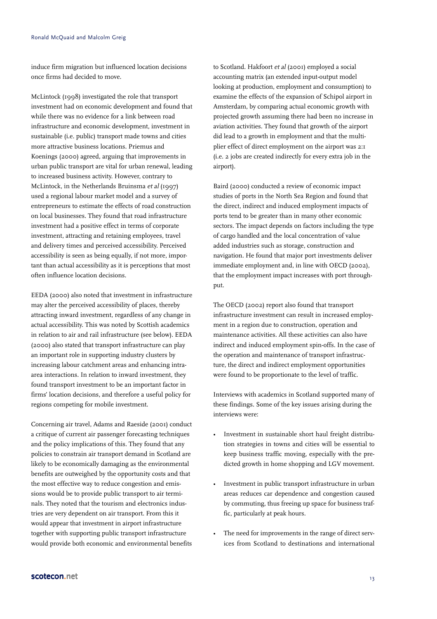induce firm migration but influenced location decisions once firms had decided to move.

McLintock (1998) investigated the role that transport investment had on economic development and found that while there was no evidence for a link between road infrastructure and economic development, investment in sustainable (i.e. public) transport made towns and cities more attractive business locations. Priemus and Koenings (2000) agreed, arguing that improvements in urban public transport are vital for urban renewal, leading to increased business activity. However, contrary to McLintock, in the Netherlands Bruinsma et al (1997) used a regional labour market model and a survey of entrepreneurs to estimate the effects of road construction on local businesses. They found that road infrastructure investment had a positive effect in terms of corporate investment, attracting and retaining employees, travel and delivery times and perceived accessibility. Perceived accessibility is seen as being equally, if not more, important than actual accessibility as it is perceptions that most often influence location decisions.

EEDA (2000) also noted that investment in infrastructure may alter the perceived accessibility of places, thereby attracting inward investment, regardless of any change in actual accessibility. This was noted by Scottish academics in relation to air and rail infrastructure (see below). EEDA (2000) also stated that transport infrastructure can play an important role in supporting industry clusters by increasing labour catchment areas and enhancing intraarea interactions. In relation to inward investment, they found transport investment to be an important factor in firms' location decisions, and therefore a useful policy for regions competing for mobile investment.

Concerning air travel, Adams and Raeside (2001) conduct a critique of current air passenger forecasting techniques and the policy implications of this. They found that any policies to constrain air transport demand in Scotland are likely to be economically damaging as the environmental benefits are outweighed by the opportunity costs and that the most effective way to reduce congestion and emissions would be to provide public transport to air terminals. They noted that the tourism and electronics industries are very dependent on air transport. From this it would appear that investment in airport infrastructure together with supporting public transport infrastructure would provide both economic and environmental benefits to Scotland. Hakfoort et al (2001) employed a social accounting matrix (an extended input-output model looking at production, employment and consumption) to examine the effects of the expansion of Schipol airport in Amsterdam, by comparing actual economic growth with projected growth assuming there had been no increase in aviation activities. They found that growth of the airport did lead to a growth in employment and that the multiplier effect of direct employment on the airport was 2:1 (i.e. 2 jobs are created indirectly for every extra job in the airport).

Baird (2000) conducted a review of economic impact studies of ports in the North Sea Region and found that the direct, indirect and induced employment impacts of ports tend to be greater than in many other economic sectors. The impact depends on factors including the type of cargo handled and the local concentration of value added industries such as storage, construction and navigation. He found that major port investments deliver immediate employment and, in line with OECD (2002), that the employment impact increases with port throughput.

The OECD (2002) report also found that transport infrastructure investment can result in increased employment in a region due to construction, operation and maintenance activities. All these activities can also have indirect and induced employment spin-offs. In the case of the operation and maintenance of transport infrastructure, the direct and indirect employment opportunities were found to be proportionate to the level of traffic.

Interviews with academics in Scotland supported many of these findings. Some of the key issues arising during the interviews were:

- Investment in sustainable short haul freight distribution strategies in towns and cities will be essential to keep business traffic moving, especially with the predicted growth in home shopping and LGV movement.
- Investment in public transport infrastructure in urban areas reduces car dependence and congestion caused by commuting, thus freeing up space for business traffic, particularly at peak hours.
- The need for improvements in the range of direct services from Scotland to destinations and international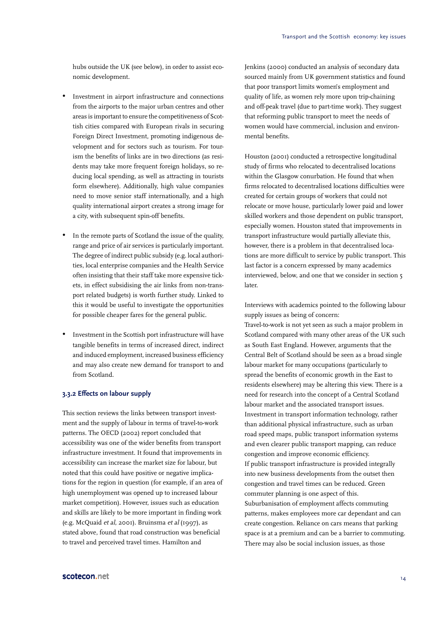hubs outside the UK (see below), in order to assist economic development.

- Investment in airport infrastructure and connections from the airports to the major urban centres and other areas is important to ensure the competitiveness of Scottish cities compared with European rivals in securing Foreign Direct Investment, promoting indigenous development and for sectors such as tourism. For tourism the benefits of links are in two directions (as residents may take more frequent foreign holidays, so reducing local spending, as well as attracting in tourists form elsewhere). Additionally, high value companies need to move senior staff internationally, and a high quality international airport creates a strong image for a city, with subsequent spin-off benefits.
- In the remote parts of Scotland the issue of the quality, range and price of air services is particularly important. The degree of indirect public subsidy (e.g. local authorities, local enterprise companies and the Health Service often insisting that their staff take more expensive tickets, in effect subsidising the air links from non-transport related budgets) is worth further study. Linked to this it would be useful to investigate the opportunities for possible cheaper fares for the general public.
- Investment in the Scottish port infrastructure will have tangible benefits in terms of increased direct, indirect and induced employment, increased business efficiency and may also create new demand for transport to and from Scotland.

#### **3.3.2 Effects on labour supply**

This section reviews the links between transport investment and the supply of labour in terms of travel-to-work patterns. The OECD (2002) report concluded that accessibility was one of the wider benefits from transport infrastructure investment. It found that improvements in accessibility can increase the market size for labour, but noted that this could have positive or negative implications for the region in question (for example, if an area of high unemployment was opened up to increased labour market competition). However, issues such as education and skills are likely to be more important in finding work (e.g. McQuaid et al, 2001). Bruinsma et al (1997), as stated above, found that road construction was beneficial to travel and perceived travel times. Hamilton and

Jenkins (2000) conducted an analysis of secondary data sourced mainly from UK government statistics and found that poor transport limits women's employment and quality of life, as women rely more upon trip-chaining and off-peak travel (due to part-time work). They suggest that reforming public transport to meet the needs of women would have commercial, inclusion and environmental benefits.

Houston (2001) conducted a retrospective longitudinal study of firms who relocated to decentralised locations within the Glasgow conurbation. He found that when firms relocated to decentralised locations difficulties were created for certain groups of workers that could not relocate or move house, particularly lower paid and lower skilled workers and those dependent on public transport, especially women. Houston stated that improvements in transport infrastructure would partially alleviate this, however, there is a problem in that decentralised locations are more difficult to service by public transport. This last factor is a concern expressed by many academics interviewed, below, and one that we consider in section 5 later.

Interviews with academics pointed to the following labour supply issues as being of concern:

Travel-to-work is not yet seen as such a major problem in Scotland compared with many other areas of the UK such as South East England. However, arguments that the Central Belt of Scotland should be seen as a broad single labour market for many occupations (particularly to spread the benefits of economic growth in the East to residents elsewhere) may be altering this view. There is a need for research into the concept of a Central Scotland labour market and the associated transport issues. Investment in transport information technology, rather than additional physical infrastructure, such as urban road speed maps, public transport information systems and even clearer public transport mapping, can reduce congestion and improve economic efficiency. If public transport infrastructure is provided integrally into new business developments from the outset then congestion and travel times can be reduced. Green commuter planning is one aspect of this. Suburbanisation of employment affects commuting patterns, makes employees more car dependant and can create congestion. Reliance on cars means that parking space is at a premium and can be a barrier to commuting. There may also be social inclusion issues, as those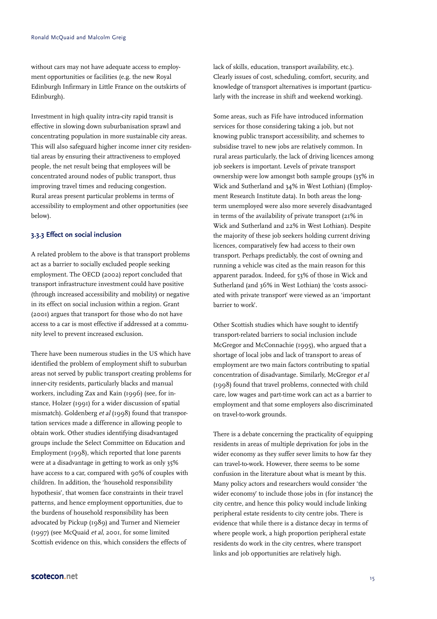without cars may not have adequate access to employment opportunities or facilities (e.g. the new Royal Edinburgh Infirmary in Little France on the outskirts of Edinburgh).

Investment in high quality intra-city rapid transit is effective in slowing down suburbanisation sprawl and concentrating population in more sustainable city areas. This will also safeguard higher income inner city residential areas by ensuring their attractiveness to employed people, the net result being that employees will be concentrated around nodes of public transport, thus improving travel times and reducing congestion. Rural areas present particular problems in terms of accessibility to employment and other opportunities (see below).

#### **3.3.3 Effect on social inclusion**

A related problem to the above is that transport problems act as a barrier to socially excluded people seeking employment. The OECD (2002) report concluded that transport infrastructure investment could have positive (through increased accessibility and mobility) or negative in its effect on social inclusion within a region. Grant (2001) argues that transport for those who do not have access to a car is most effective if addressed at a community level to prevent increased exclusion.

There have been numerous studies in the US which have identified the problem of employment shift to suburban areas not served by public transport creating problems for inner-city residents, particularly blacks and manual workers, including Zax and Kain (1996) (see, for instance, Holzer (1991) for a wider discussion of spatial mismatch). Goldenberg et al (1998) found that transportation services made a difference in allowing people to obtain work. Other studies identifying disadvantaged groups include the Select Committee on Education and Employment (1998), which reported that lone parents were at a disadvantage in getting to work as only 35% have access to a car, compared with 90% of couples with children. In addition, the 'household responsibility hypothesis', that women face constraints in their travel patterns, and hence employment opportunities, due to the burdens of household responsibility has been advocated by Pickup (1989) and Turner and Niemeier (1997) (see McQuaid et al, 2001, for some limited Scottish evidence on this, which considers the effects of

lack of skills, education, transport availability, etc.). Clearly issues of cost, scheduling, comfort, security, and knowledge of transport alternatives is important (particularly with the increase in shift and weekend working).

Some areas, such as Fife have introduced information services for those considering taking a job, but not knowing public transport accessibility, and schemes to subsidise travel to new jobs are relatively common. In rural areas particularly, the lack of driving licences among job seekers is important. Levels of private transport ownership were low amongst both sample groups (35% in Wick and Sutherland and 34% in West Lothian) (Employment Research Institute data). In both areas the longterm unemployed were also more severely disadvantaged in terms of the availability of private transport (21% in Wick and Sutherland and 22% in West Lothian). Despite the majority of these job seekers holding current driving licences, comparatively few had access to their own transport. Perhaps predictably, the cost of owning and running a vehicle was cited as the main reason for this apparent paradox. Indeed, for 53% of those in Wick and Sutherland (and 36% in West Lothian) the 'costs associated with private transport' were viewed as an 'important barrier to work'.

Other Scottish studies which have sought to identify transport-related barriers to social inclusion include McGregor and McConnachie (1995), who argued that a shortage of local jobs and lack of transport to areas of employment are two main factors contributing to spatial concentration of disadvantage. Similarly, McGregor et al (1998) found that travel problems, connected with child care, low wages and part-time work can act as a barrier to employment and that some employers also discriminated on travel-to-work grounds.

There is a debate concerning the practicality of equipping residents in areas of multiple deprivation for jobs in the wider economy as they suffer sever limits to how far they can travel-to-work. However, there seems to be some confusion in the literature about what is meant by this. Many policy actors and researchers would consider 'the wider economy' to include those jobs in (for instance) the city centre, and hence this policy would include linking peripheral estate residents to city centre jobs. There is evidence that while there is a distance decay in terms of where people work, a high proportion peripheral estate residents do work in the city centres, where transport links and job opportunities are relatively high.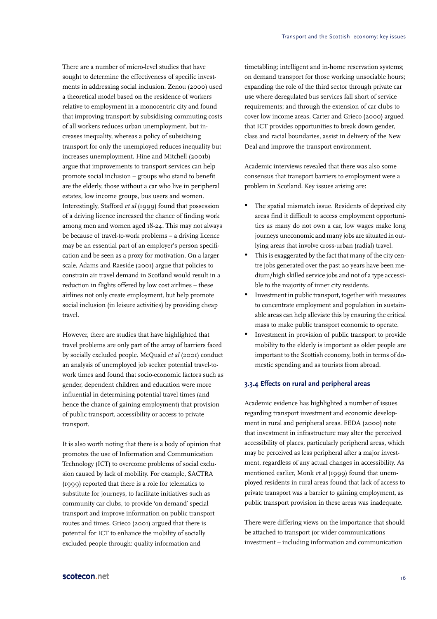There are a number of micro-level studies that have sought to determine the effectiveness of specific investments in addressing social inclusion. Zenou (2000) used a theoretical model based on the residence of workers relative to employment in a monocentric city and found that improving transport by subsidising commuting costs of all workers reduces urban unemployment, but increases inequality, whereas a policy of subsidising transport for only the unemployed reduces inequality but increases unemployment. Hine and Mitchell (2001b) argue that improvements to transport services can help promote social inclusion – groups who stand to benefit are the elderly, those without a car who live in peripheral estates, low income groups, bus users and women. Interestingly, Stafford et al (1999) found that possession of a driving licence increased the chance of finding work among men and women aged 18-24. This may not always be because of travel-to-work problems – a driving licence may be an essential part of an employer's person specification and be seen as a proxy for motivation. On a larger scale, Adams and Raeside (2001) argue that policies to constrain air travel demand in Scotland would result in a reduction in flights offered by low cost airlines – these airlines not only create employment, but help promote social inclusion (in leisure activities) by providing cheap travel.

However, there are studies that have highlighted that travel problems are only part of the array of barriers faced by socially excluded people. McQuaid et al (2001) conduct an analysis of unemployed job seeker potential travel-towork times and found that socio-economic factors such as gender, dependent children and education were more influential in determining potential travel times (and hence the chance of gaining employment) that provision of public transport, accessibility or access to private transport.

It is also worth noting that there is a body of opinion that promotes the use of Information and Communication Technology (ICT) to overcome problems of social exclusion caused by lack of mobility. For example, SACTRA (1999) reported that there is a role for telematics to substitute for journeys, to facilitate initiatives such as community car clubs, to provide 'on demand' special transport and improve information on public transport routes and times. Grieco (2001) argued that there is potential for ICT to enhance the mobility of socially excluded people through: quality information and

timetabling; intelligent and in-home reservation systems; on demand transport for those working unsociable hours; expanding the role of the third sector through private car use where deregulated bus services fall short of service requirements; and through the extension of car clubs to cover low income areas. Carter and Grieco (2000) argued that ICT provides opportunities to break down gender, class and racial boundaries, assist in delivery of the New Deal and improve the transport environment.

Academic interviews revealed that there was also some consensus that transport barriers to employment were a problem in Scotland. Key issues arising are:

- The spatial mismatch issue. Residents of deprived city areas find it difficult to access employment opportunities as many do not own a car, low wages make long journeys uneconomic and many jobs are situated in outlying areas that involve cross-urban (radial) travel.
- This is exaggerated by the fact that many of the city centre jobs generated over the past 20 years have been medium/high skilled service jobs and not of a type accessible to the majority of inner city residents.
- Investment in public transport, together with measures to concentrate employment and population in sustainable areas can help alleviate this by ensuring the critical mass to make public transport economic to operate.
- Investment in provision of public transport to provide mobility to the elderly is important as older people are important to the Scottish economy, both in terms of domestic spending and as tourists from abroad.

#### **3.3.4 Effects on rural and peripheral areas**

Academic evidence has highlighted a number of issues regarding transport investment and economic development in rural and peripheral areas. EEDA (2000) note that investment in infrastructure may alter the perceived accessibility of places, particularly peripheral areas, which may be perceived as less peripheral after a major investment, regardless of any actual changes in accessibility. As mentioned earlier, Monk et al (1999) found that unemployed residents in rural areas found that lack of access to private transport was a barrier to gaining employment, as public transport provision in these areas was inadequate.

There were differing views on the importance that should be attached to transport (or wider communications investment – including information and communication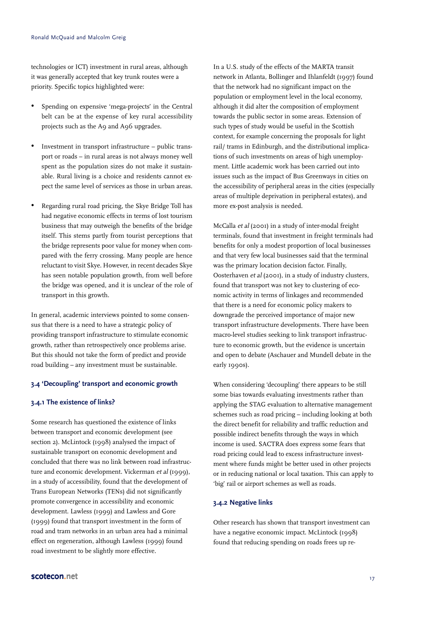technologies or ICT) investment in rural areas, although it was generally accepted that key trunk routes were a priority. Specific topics highlighted were:

- Spending on expensive 'mega-projects' in the Central belt can be at the expense of key rural accessibility projects such as the A9 and A96 upgrades.
- Investment in transport infrastructure public transport or roads – in rural areas is not always money well spent as the population sizes do not make it sustainable. Rural living is a choice and residents cannot expect the same level of services as those in urban areas.
- Regarding rural road pricing, the Skye Bridge Toll has had negative economic effects in terms of lost tourism business that may outweigh the benefits of the bridge itself. This stems partly from tourist perceptions that the bridge represents poor value for money when compared with the ferry crossing. Many people are hence reluctant to visit Skye. However, in recent decades Skye has seen notable population growth, from well before the bridge was opened, and it is unclear of the role of transport in this growth.

In general, academic interviews pointed to some consensus that there is a need to have a strategic policy of providing transport infrastructure to stimulate economic growth, rather than retrospectively once problems arise. But this should not take the form of predict and provide road building – any investment must be sustainable.

#### **3.4 'Decoupling' transport and economic growth**

#### **3.4.1 The existence of links?**

Some research has questioned the existence of links between transport and economic development (see section 2). McLintock (1998) analysed the impact of sustainable transport on economic development and concluded that there was no link between road infrastructure and economic development. Vickerman et al (1999), in a study of accessibility, found that the development of Trans European Networks (TENs) did not significantly promote convergence in accessibility and economic development. Lawless (1999) and Lawless and Gore (1999) found that transport investment in the form of road and tram networks in an urban area had a minimal effect on regeneration, although Lawless (1999) found road investment to be slightly more effective.

In a U.S. study of the effects of the MARTA transit network in Atlanta, Bollinger and Ihlanfeldt (1997) found that the network had no significant impact on the population or employment level in the local economy, although it did alter the composition of employment towards the public sector in some areas. Extension of such types of study would be useful in the Scottish context, for example concerning the proposals for light rail/ trams in Edinburgh, and the distributional implications of such investments on areas of high unemployment. Little academic work has been carried out into issues such as the impact of Bus Greenways in cities on the accessibility of peripheral areas in the cities (especially areas of multiple deprivation in peripheral estates), and more ex-post analysis is needed.

McCalla et al (2001) in a study of inter-modal freight terminals, found that investment in freight terminals had benefits for only a modest proportion of local businesses and that very few local businesses said that the terminal was the primary location decision factor. Finally, Oosterhaven et al (2001), in a study of industry clusters, found that transport was not key to clustering of economic activity in terms of linkages and recommended that there is a need for economic policy makers to downgrade the perceived importance of major new transport infrastructure developments. There have been macro-level studies seeking to link transport infrastructure to economic growth, but the evidence is uncertain and open to debate (Aschauer and Mundell debate in the early 1990s).

When considering 'decoupling' there appears to be still some bias towards evaluating investments rather than applying the STAG evaluation to alternative management schemes such as road pricing – including looking at both the direct benefit for reliability and traffic reduction and possible indirect benefits through the ways in which income is used. SACTRA does express some fears that road pricing could lead to excess infrastructure investment where funds might be better used in other projects or in reducing national or local taxation. This can apply to 'big' rail or airport schemes as well as roads.

#### **3.4.2 Negative links**

Other research has shown that transport investment can have a negative economic impact. McLintock (1998) found that reducing spending on roads frees up re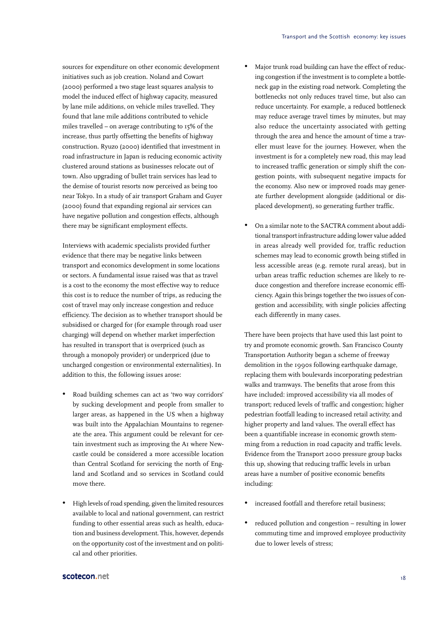sources for expenditure on other economic development initiatives such as job creation. Noland and Cowart (2000) performed a two stage least squares analysis to model the induced effect of highway capacity, measured by lane mile additions, on vehicle miles travelled. They found that lane mile additions contributed to vehicle miles travelled – on average contributing to 15% of the increase, thus partly offsetting the benefits of highway construction. Ryuzo (2000) identified that investment in road infrastructure in Japan is reducing economic activity clustered around stations as businesses relocate out of town. Also upgrading of bullet train services has lead to the demise of tourist resorts now perceived as being too near Tokyo. In a study of air transport Graham and Guyer (2000) found that expanding regional air services can have negative pollution and congestion effects, although there may be significant employment effects.

Interviews with academic specialists provided further evidence that there may be negative links between transport and economics development in some locations or sectors. A fundamental issue raised was that as travel is a cost to the economy the most effective way to reduce this cost is to reduce the number of trips, as reducing the cost of travel may only increase congestion and reduce efficiency. The decision as to whether transport should be subsidised or charged for (for example through road user charging) will depend on whether market imperfection has resulted in transport that is overpriced (such as through a monopoly provider) or underpriced (due to uncharged congestion or environmental externalities). In addition to this, the following issues arose:

- Road building schemes can act as 'two way corridors' by sucking development and people from smaller to larger areas, as happened in the US when a highway was built into the Appalachian Mountains to regenerate the area. This argument could be relevant for certain investment such as improving the A1 where Newcastle could be considered a more accessible location than Central Scotland for servicing the north of England and Scotland and so services in Scotland could move there.
- High levels of road spending, given the limited resources available to local and national government, can restrict funding to other essential areas such as health, education and business development. This, however, depends on the opportunity cost of the investment and on political and other priorities.
- Major trunk road building can have the effect of reducing congestion if the investment is to complete a bottleneck gap in the existing road network. Completing the bottlenecks not only reduces travel time, but also can reduce uncertainty. For example, a reduced bottleneck may reduce average travel times by minutes, but may also reduce the uncertainty associated with getting through the area and hence the amount of time a traveller must leave for the journey. However, when the investment is for a completely new road, this may lead to increased traffic generation or simply shift the congestion points, with subsequent negative impacts for the economy. Also new or improved roads may generate further development alongside (additional or displaced development), so generating further traffic.
- On a similar note to the SACTRA comment about additional transport infrastructure adding lower value added in areas already well provided for, traffic reduction schemes may lead to economic growth being stifled in less accessible areas (e.g. remote rural areas), but in urban areas traffic reduction schemes are likely to reduce congestion and therefore increase economic efficiency. Again this brings together the two issues of congestion and accessibility, with single policies affecting each differently in many cases.

There have been projects that have used this last point to try and promote economic growth. San Francisco County Transportation Authority began a scheme of freeway demolition in the 1990s following earthquake damage, replacing them with boulevards incorporating pedestrian walks and tramways. The benefits that arose from this have included: improved accessibility via all modes of transport; reduced levels of traffic and congestion; higher pedestrian footfall leading to increased retail activity; and higher property and land values. The overall effect has been a quantifiable increase in economic growth stemming from a reduction in road capacity and traffic levels. Evidence from the Transport 2000 pressure group backs this up, showing that reducing traffic levels in urban areas have a number of positive economic benefits including:

- increased footfall and therefore retail business:
- reduced pollution and congestion resulting in lower commuting time and improved employee productivity due to lower levels of stress;

#### scotecon.net and the set of the set of the set of the set of the set of the set of the set of the set of the set of the set of the set of the set of the set of the set of the set of the set of the set of the set of the set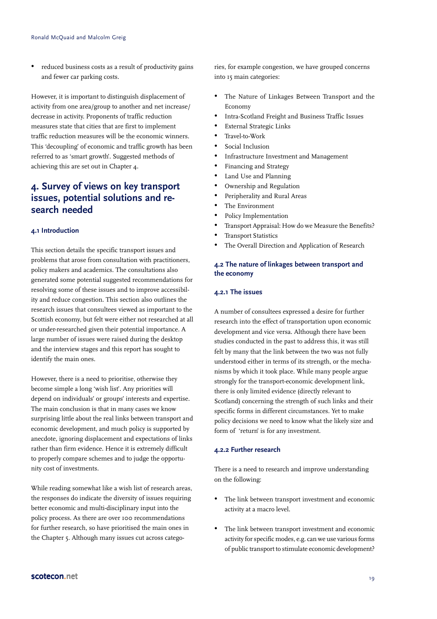reduced business costs as a result of productivity gains and fewer car parking costs.

However, it is important to distinguish displacement of activity from one area/group to another and net increase/ decrease in activity. Proponents of traffic reduction measures state that cities that are first to implement traffic reduction measures will be the economic winners. This 'decoupling' of economic and traffic growth has been referred to as 'smart growth'. Suggested methods of achieving this are set out in Chapter 4.

## **4. Survey of views on key transport issues, potential solutions and research needed**

#### **4.1 Introduction**

This section details the specific transport issues and problems that arose from consultation with practitioners, policy makers and academics. The consultations also generated some potential suggested recommendations for resolving some of these issues and to improve accessibility and reduce congestion. This section also outlines the research issues that consultees viewed as important to the Scottish economy, but felt were either not researched at all or under-researched given their potential importance. A large number of issues were raised during the desktop and the interview stages and this report has sought to identify the main ones.

However, there is a need to prioritise, otherwise they become simple a long 'wish list'. Any priorities will depend on individuals' or groups' interests and expertise. The main conclusion is that in many cases we know surprising little about the real links between transport and economic development, and much policy is supported by anecdote, ignoring displacement and expectations of links rather than firm evidence. Hence it is extremely difficult to properly compare schemes and to judge the opportunity cost of investments.

While reading somewhat like a wish list of research areas, the responses do indicate the diversity of issues requiring better economic and multi-disciplinary input into the policy process. As there are over 100 recommendations for further research, so have prioritised the main ones in the Chapter 5. Although many issues cut across categories, for example congestion, we have grouped concerns into 15 main categories:

- The Nature of Linkages Between Transport and the Economy
- Intra-Scotland Freight and Business Traffic Issues
- External Strategic Links
- Travel-to-Work
- Social Inclusion
- Infrastructure Investment and Management
- Financing and Strategy
- Land Use and Planning
- Ownership and Regulation
- Peripherality and Rural Areas
- The Environment
- Policy Implementation
- Transport Appraisal: How do we Measure the Benefits?
- **Transport Statistics**
- The Overall Direction and Application of Research

#### **4.2 The nature of linkages between transport and the economy**

#### **4.2.1 The issues**

A number of consultees expressed a desire for further research into the effect of transportation upon economic development and vice versa. Although there have been studies conducted in the past to address this, it was still felt by many that the link between the two was not fully understood either in terms of its strength, or the mechanisms by which it took place. While many people argue strongly for the transport-economic development link, there is only limited evidence (directly relevant to Scotland) concerning the strength of such links and their specific forms in different circumstances. Yet to make policy decisions we need to know what the likely size and form of 'return' is for any investment.

#### **4.2.2 Further research**

There is a need to research and improve understanding on the following:

- The link between transport investment and economic activity at a macro level.
- The link between transport investment and economic activity for specific modes, e.g. can we use various forms of public transport to stimulate economic development?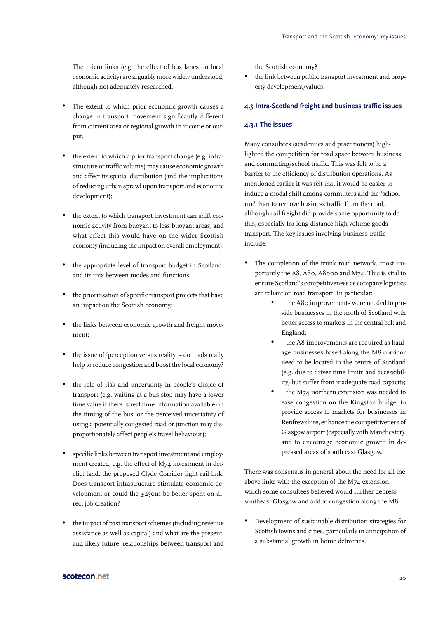The micro links (e.g. the effect of bus lanes on local economic activity) are arguably more widely understood, although not adequately researched.

- The extent to which prior economic growth causes a change in transport movement significantly different from current area or regional growth in income or output.
- the extent to which a prior transport change (e.g. infrastructure or traffic volume) may cause economic growth and affect its spatial distribution (and the implications of reducing urban sprawl upon transport and economic development);
- the extent to which transport investment can shift economic activity from buoyant to less buoyant areas, and what effect this would have on the wider Scottish economy (including the impact on overall employment);
- the appropriate level of transport budget in Scotland, and its mix between modes and functions;
- the prioritisation of specific transport projects that have an impact on the Scottish economy;
- the links between economic growth and freight movement;
- the issue of 'perception versus reality' do roads really help to reduce congestion and boost the local economy?
- the role of risk and uncertainty in people's choice of transport (e.g. waiting at a bus stop may have a lower time value if there is real time information available on the timing of the bus; or the perceived uncertainty of using a potentially congested road or junction may disproportionately affect people's travel behaviour);
- specific links between transport investment and employment created, e.g. the effect of M74 investment in derelict land, the proposed Clyde Corridor light rail link. Does transport infrastructure stimulate economic development or could the  $f_2$ 50m be better spent on direct job creation?
- the impact of past transport schemes (including revenue assistance as well as capital) and what are the present, and likely future, relationships between transport and

the Scottish economy?

the link between public transport investment and property development/values.

#### **4.3 Intra-Scotland freight and business traffic issues**

#### **4.3.1 The issues**

Many consultees (academics and practitioners) highlighted the competition for road space between business and commuting/school traffic. This was felt to be a barrier to the efficiency of distribution operations. As mentioned earlier it was felt that it would be easier to induce a modal shift among commuters and the 'school run' than to remove business traffic from the road, although rail freight did provide some opportunity to do this, especially for long distance high volume goods transport. The key issues involving business traffic include:

- The completion of the trunk road network, most importantly the A8, A80, A8000 and M74. This is vital to ensure Scotland's competitiveness as company logistics are reliant on road transport. In particular:
	- the A80 improvements were needed to provide businesses in the north of Scotland with better access to markets in the central belt and England;
	- the A8 improvements are required as haulage businesses based along the M8 corridor need to be located in the centre of Scotland (e.g. due to driver time limits and accessibility) but suffer from inadequate road capacity;
	- the M74 northern extension was needed to ease congestion on the Kingston bridge, to provide access to markets for businesses in Renfrewshire, enhance the competitiveness of Glasgow airport (especially with Manchester), and to encourage economic growth in depressed areas of south east Glasgow.

There was consensus in general about the need for all the above links with the exception of the M74 extension, which some consultees believed would further depress southeast Glasgow and add to congestion along the M8.

• Development of sustainable distribution strategies for Scottish towns and cities, particularly in anticipation of a substantial growth in home deliveries.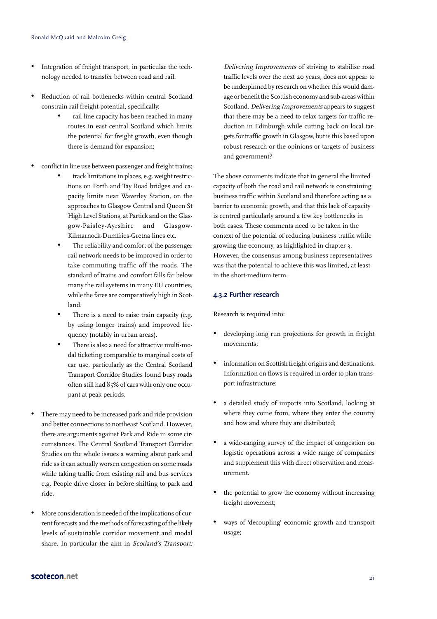- Integration of freight transport, in particular the technology needed to transfer between road and rail.
- Reduction of rail bottlenecks within central Scotland constrain rail freight potential, specifically:
	- rail line capacity has been reached in many routes in east central Scotland which limits the potential for freight growth, even though there is demand for expansion;
- conflict in line use between passenger and freight trains;
	- track limitations in places, e.g. weight restrictions on Forth and Tay Road bridges and capacity limits near Waverley Station, on the approaches to Glasgow Central and Queen St High Level Stations, at Partick and on the Glasgow-Paisley-Ayrshire and Glasgow-Kilmarnock-Dumfries-Gretna lines etc.
	- The reliability and comfort of the passenger rail network needs to be improved in order to take commuting traffic off the roads. The standard of trains and comfort falls far below many the rail systems in many EU countries, while the fares are comparatively high in Scotland.
	- There is a need to raise train capacity (e.g. by using longer trains) and improved frequency (notably in urban areas).
	- There is also a need for attractive multi-modal ticketing comparable to marginal costs of car use, particularly as the Central Scotland Transport Corridor Studies found busy roads often still had 85% of cars with only one occupant at peak periods.
- There may need to be increased park and ride provision and better connections to northeast Scotland. However, there are arguments against Park and Ride in some circumstances. The Central Scotland Transport Corridor Studies on the whole issues a warning about park and ride as it can actually worsen congestion on some roads while taking traffic from existing rail and bus services e.g. People drive closer in before shifting to park and ride.
- More consideration is needed of the implications of current forecasts and the methods of forecasting of the likely levels of sustainable corridor movement and modal share. In particular the aim in Scotland's Transport:

Delivering Improvements of striving to stabilise road traffic levels over the next 20 years, does not appear to be underpinned by research on whether this would damage or benefit the Scottish economy and sub-areas within Scotland. Delivering Improvements appears to suggest that there may be a need to relax targets for traffic reduction in Edinburgh while cutting back on local targets for traffic growth in Glasgow, but is this based upon robust research or the opinions or targets of business and government?

The above comments indicate that in general the limited capacity of both the road and rail network is constraining business traffic within Scotland and therefore acting as a barrier to economic growth, and that this lack of capacity is centred particularly around a few key bottlenecks in both cases. These comments need to be taken in the context of the potential of reducing business traffic while growing the economy, as highlighted in chapter 3. However, the consensus among business representatives was that the potential to achieve this was limited, at least in the short-medium term.

#### **4.3.2 Further research**

Research is required into:

- developing long run projections for growth in freight movements;
- information on Scottish freight origins and destinations. Information on flows is required in order to plan transport infrastructure;
- a detailed study of imports into Scotland, looking at where they come from, where they enter the country and how and where they are distributed;
- a wide-ranging survey of the impact of congestion on logistic operations across a wide range of companies and supplement this with direct observation and measurement.
- the potential to grow the economy without increasing freight movement;
- ways of 'decoupling' economic growth and transport usage;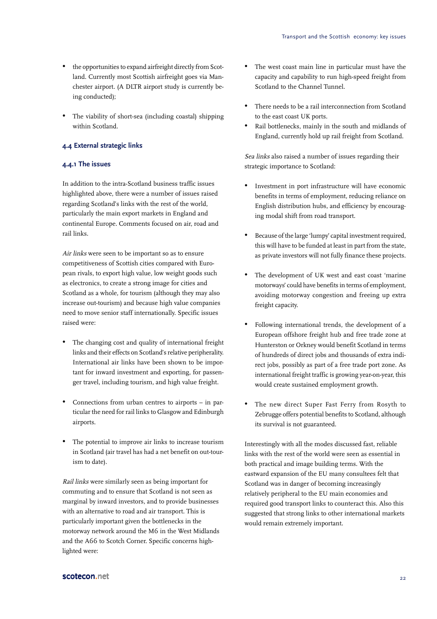- the opportunities to expand airfreight directly from Scotland. Currently most Scottish airfreight goes via Manchester airport. (A DLTR airport study is currently being conducted);
- The viability of short-sea (including coastal) shipping within Scotland.

#### **4.4 External strategic links**

#### **4.4.1 The issues**

In addition to the intra-Scotland business traffic issues highlighted above, there were a number of issues raised regarding Scotland's links with the rest of the world, particularly the main export markets in England and continental Europe. Comments focused on air, road and rail links.

Air links were seen to be important so as to ensure competitiveness of Scottish cities compared with European rivals, to export high value, low weight goods such as electronics, to create a strong image for cities and Scotland as a whole, for tourism (although they may also increase out-tourism) and because high value companies need to move senior staff internationally. Specific issues raised were:

- The changing cost and quality of international freight links and their effects on Scotland's relative peripherality. International air links have been shown to be important for inward investment and exporting, for passenger travel, including tourism, and high value freight.
- Connections from urban centres to airports in particular the need for rail links to Glasgow and Edinburgh airports.
- The potential to improve air links to increase tourism in Scotland (air travel has had a net benefit on out-tourism to date).

Rail links were similarly seen as being important for commuting and to ensure that Scotland is not seen as marginal by inward investors, and to provide businesses with an alternative to road and air transport. This is particularly important given the bottlenecks in the motorway network around the M6 in the West Midlands and the A66 to Scotch Corner. Specific concerns highlighted were:

- The west coast main line in particular must have the capacity and capability to run high-speed freight from Scotland to the Channel Tunnel.
- There needs to be a rail interconnection from Scotland to the east coast UK ports.
- Rail bottlenecks, mainly in the south and midlands of England, currently hold up rail freight from Scotland.

Sea links also raised a number of issues regarding their strategic importance to Scotland:

- Investment in port infrastructure will have economic benefits in terms of employment, reducing reliance on English distribution hubs, and efficiency by encouraging modal shift from road transport.
- Because of the large 'lumpy' capital investment required, this will have to be funded at least in part from the state, as private investors will not fully finance these projects.
- The development of UK west and east coast 'marine motorways' could have benefits in terms of employment, avoiding motorway congestion and freeing up extra freight capacity.
- Following international trends, the development of a European offshore freight hub and free trade zone at Hunterston or Orkney would benefit Scotland in terms of hundreds of direct jobs and thousands of extra indirect jobs, possibly as part of a free trade port zone. As international freight traffic is growing year-on-year, this would create sustained employment growth.
- The new direct Super Fast Ferry from Rosyth to Zebrugge offers potential benefits to Scotland, although its survival is not guaranteed.

Interestingly with all the modes discussed fast, reliable links with the rest of the world were seen as essential in both practical and image building terms. With the eastward expansion of the EU many consultees felt that Scotland was in danger of becoming increasingly relatively peripheral to the EU main economies and required good transport links to counteract this. Also this suggested that strong links to other international markets would remain extremely important.

#### scotecon.net 22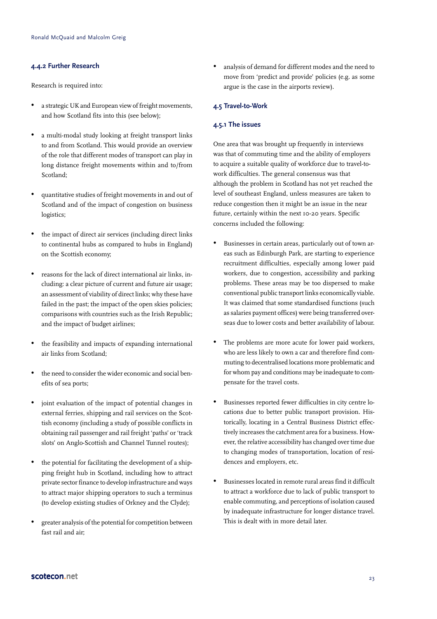#### **4.4.2 Further Research**

Research is required into:

- a strategic UK and European view of freight movements, and how Scotland fits into this (see below);
- a multi-modal study looking at freight transport links to and from Scotland. This would provide an overview of the role that different modes of transport can play in long distance freight movements within and to/from Scotland;
- quantitative studies of freight movements in and out of Scotland and of the impact of congestion on business logistics;
- the impact of direct air services (including direct links to continental hubs as compared to hubs in England) on the Scottish economy;
- reasons for the lack of direct international air links, including: a clear picture of current and future air usage; an assessment of viability of direct links; why these have failed in the past; the impact of the open skies policies; comparisons with countries such as the Irish Republic; and the impact of budget airlines;
- the feasibility and impacts of expanding international air links from Scotland;
- the need to consider the wider economic and social benefits of sea ports;
- joint evaluation of the impact of potential changes in external ferries, shipping and rail services on the Scottish economy (including a study of possible conflicts in obtaining rail passenger and rail freight 'paths' or 'track slots' on Anglo-Scottish and Channel Tunnel routes);
- the potential for facilitating the development of a shipping freight hub in Scotland, including how to attract private sector finance to develop infrastructure and ways to attract major shipping operators to such a terminus (to develop existing studies of Orkney and the Clyde);
- greater analysis of the potential for competition between fast rail and air;

analysis of demand for different modes and the need to move from 'predict and provide' policies (e.g. as some argue is the case in the airports review).

#### **4.5 Travel-to-Work**

#### **4.5.1 The issues**

One area that was brought up frequently in interviews was that of commuting time and the ability of employers to acquire a suitable quality of workforce due to travel-towork difficulties. The general consensus was that although the problem in Scotland has not yet reached the level of southeast England, unless measures are taken to reduce congestion then it might be an issue in the near future, certainly within the next 10-20 years. Specific concerns included the following:

- Businesses in certain areas, particularly out of town areas such as Edinburgh Park, are starting to experience recruitment difficulties, especially among lower paid workers, due to congestion, accessibility and parking problems. These areas may be too dispersed to make conventional public transport links economically viable. It was claimed that some standardised functions (such as salaries payment offices) were being transferred overseas due to lower costs and better availability of labour.
- The problems are more acute for lower paid workers, who are less likely to own a car and therefore find commuting to decentralised locations more problematic and for whom pay and conditions may be inadequate to compensate for the travel costs.
- Businesses reported fewer difficulties in city centre locations due to better public transport provision. Historically, locating in a Central Business District effectively increases the catchment area for a business. However, the relative accessibility has changed over time due to changing modes of transportation, location of residences and employers, etc.
- Businesses located in remote rural areas find it difficult to attract a workforce due to lack of public transport to enable commuting, and perceptions of isolation caused by inadequate infrastructure for longer distance travel. This is dealt with in more detail later.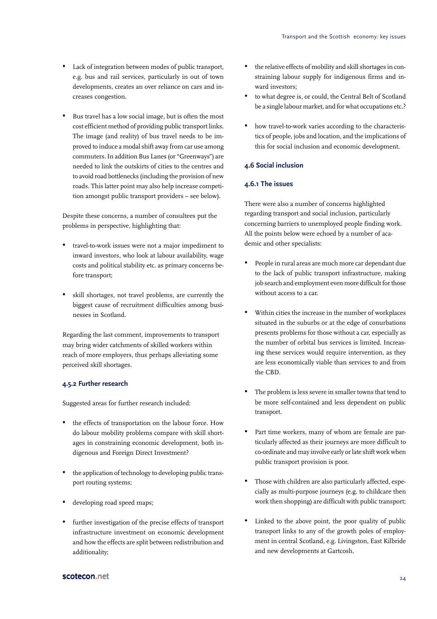- Lack of integration between modes of public transport, e.g. bus and rail services, particularly in out of town developments, creates an over reliance on cars and increases congestion.
- Bus travel has a low social image, but is often the most cost efficient method of providing public transport links. The image (and reality) of bus travel needs to be improved to induce a modal shift away from car use among commuters. In addition Bus Lanes (or "Greenways") are needed to link the outskirts of cities to the centres and to avoid road bottlenecks (including the provision of new roads. This latter point may also help increase competition amongst public transport providers – see below).

Despite these concerns, a number of consultees put the problems in perspective, highlighting that:

- travel-to-work issues were not a major impediment to inward investors, who look at labour availability, wage costs and political stability etc. as primary concerns before transport;
- skill shortages, not travel problems, are currently the biggest cause of recruitment difficulties among businesses in Scotland.

Regarding the last comment, improvements to transport may bring wider catchments of skilled workers within reach of more employers, thus perhaps alleviating some perceived skill shortages.

#### **4.5.2 Further research**

Suggested areas for further research included:

- the effects of transportation on the labour force. How do labour mobility problems compare with skill shortages in constraining economic development, both indigenous and Foreign Direct Investment?
- the application of technology to developing public transport routing systems;
- developing road speed maps;
- further investigation of the precise effects of transport infrastructure investment on economic development and how the effects are split between redistribution and additionality;
- the relative effects of mobility and skill shortages in constraining labour supply for indigenous firms and inward investors;
- to what degree is, or could, the Central Belt of Scotland be a single labour market, and for what occupations etc.?
- how travel-to-work varies according to the characteristics of people, jobs and location, and the implications of this for social inclusion and economic development.

#### **4.6 Social inclusion**

#### **4.6.1 The issues**

There were also a number of concerns highlighted regarding transport and social inclusion, particularly concerning barriers to unemployed people finding work. All the points below were echoed by a number of academic and other specialists:

- People in rural areas are much more car dependant due to the lack of public transport infrastructure, making job search and employment even more difficult for those without access to a car.
- Within cities the increase in the number of workplaces situated in the suburbs or at the edge of conurbations presents problems for those without a car, especially as the number of orbital bus services is limited. Increasing these services would require intervention, as they are less economically viable than services to and from the CBD.
- The problem is less severe in smaller towns that tend to be more self-contained and less dependent on public transport.
- Part time workers, many of whom are female are particularly affected as their journeys are more difficult to co-ordinate and may involve early or late shift work when public transport provision is poor.
- Those with children are also particularly affected, especially as multi-purpose journeys (e.g. to childcare then work then shopping) are difficult with public transport;
- Linked to the above point, the poor quality of public transport links to any of the growth poles of employment in central Scotland, e.g. Livingston, East Kilbride and new developments at Gartcosh.

#### scotecon.net 24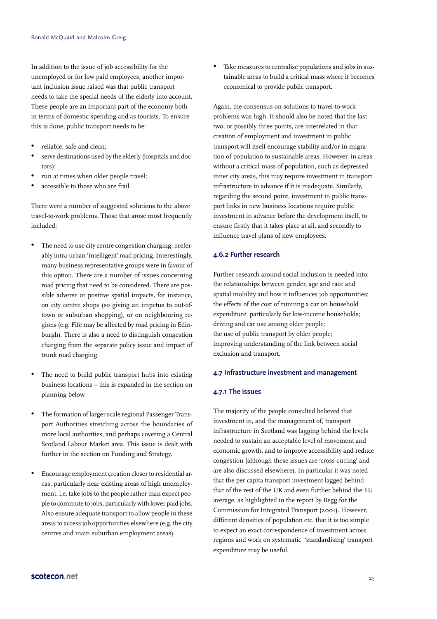In addition to the issue of job accessibility for the unemployed or for low paid employees, another important inclusion issue raised was that public transport needs to take the special needs of the elderly into account. These people are an important part of the economy both in terms of domestic spending and as tourists. To ensure this is done, public transport needs to be:

- reliable, safe and clean;
- serve destinations used by the elderly (hospitals and doctors);
- run at times when older people travel;
- accessible to those who are frail.

There were a number of suggested solutions to the above travel-to-work problems. Those that arose most frequently included:

- The need to use city centre congestion charging, preferably intra-urban 'intelligent' road pricing. Interestingly, many business representative groups were in favour of this option. There are a number of issues concerning road pricing that need to be considered. There are possible adverse or positive spatial impacts, for instance, on city centre shops (so giving an impetus to out-oftown or suburban shopping), or on neighbouring regions (e.g. Fife may be affected by road pricing in Edinburgh). There is also a need to distinguish congestion charging from the separate policy issue and impact of trunk road charging.
- The need to build public transport hubs into existing business locations – this is expanded in the section on planning below.
- The formation of larger scale regional Passenger Transport Authorities stretching across the boundaries of more local authorities, and perhaps covering a Central Scotland Labour Market area. This issue is dealt with further in the section on Funding and Strategy.
- Encourage employment creation closer to residential areas, particularly near existing areas of high unemployment. i.e. take jobs to the people rather than expect people to commute to jobs, particularly with lower paid jobs. Also ensure adequate transport to allow people in these areas to access job opportunities elsewhere (e.g. the city centres and main suburban employment areas).

Take measures to centralise populations and jobs in sustainable areas to build a critical mass where it becomes economical to provide public transport.

Again, the consensus on solutions to travel-to-work problems was high. It should also be noted that the last two, or possibly three points, are interrelated in that creation of employment and investment in public transport will itself encourage stability and/or in-migration of population to sustainable areas. However, in areas without a critical mass of population, such as depressed inner city areas, this may require investment in transport infrastructure in advance if it is inadequate. Similarly, regarding the second point, investment in public transport links in new business locations require public investment in advance before the development itself, to ensure firstly that it takes place at all, and secondly to influence travel plans of new employees.

#### **4.6.2 Further research**

Further research around social inclusion is needed into: the relationships between gender, age and race and spatial mobility and how it influences job opportunities; the effects of the cost of running a car on household expenditure, particularly for low-income households; driving and car use among older people; the use of public transport by older people; improving understanding of the link between social exclusion and transport.

#### **4.7 Infrastructure investment and management**

#### **4.7.1 The issues**

The majority of the people consulted believed that investment in, and the management of, transport infrastructure in Scotland was lagging behind the levels needed to sustain an acceptable level of movement and economic growth, and to improve accessibility and reduce congestion (although these issues are 'cross cutting' and are also discussed elsewhere). In particular it was noted that the per capita transport investment lagged behind that of the rest of the UK and even further behind the EU average, as highlighted in the report by Begg for the Commission for Integrated Transport (2001). However, different densities of population etc. that it is too simple to expect an exact correspondence of investment across regions and work on systematic 'standardising' transport expenditure may be useful.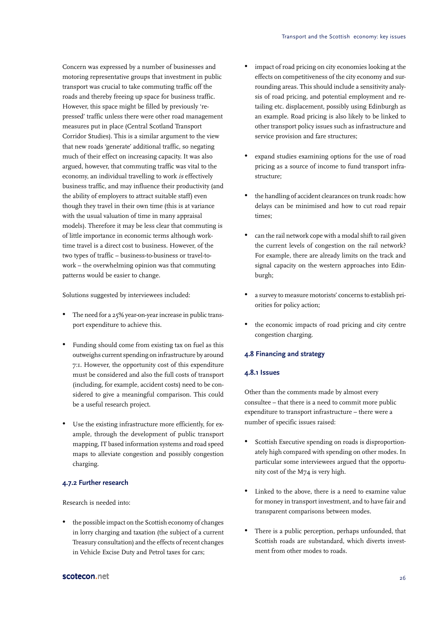Concern was expressed by a number of businesses and motoring representative groups that investment in public transport was crucial to take commuting traffic off the roads and thereby freeing up space for business traffic. However, this space might be filled by previously 'repressed' traffic unless there were other road management measures put in place (Central Scotland Transport Corridor Studies). This is a similar argument to the view that new roads 'generate' additional traffic, so negating much of their effect on increasing capacity. It was also argued, however, that commuting traffic was vital to the economy, an individual travelling to work is effectively business traffic, and may influence their productivity (and the ability of employers to attract suitable staff) even though they travel in their own time (this is at variance with the usual valuation of time in many appraisal models). Therefore it may be less clear that commuting is of little importance in economic terms although worktime travel is a direct cost to business. However, of the two types of traffic – business-to-business or travel-towork – the overwhelming opinion was that commuting patterns would be easier to change.

Solutions suggested by interviewees included:

- The need for a 25% year-on-year increase in public transport expenditure to achieve this.
- Funding should come from existing tax on fuel as this outweighs current spending on infrastructure by around 7:1. However, the opportunity cost of this expenditure must be considered and also the full costs of transport (including, for example, accident costs) need to be considered to give a meaningful comparison. This could be a useful research project.
- Use the existing infrastructure more efficiently, for example, through the development of public transport mapping, IT based information systems and road speed maps to alleviate congestion and possibly congestion charging.

#### **4.7.2 Further research**

Research is needed into:

• the possible impact on the Scottish economy of changes in lorry charging and taxation (the subject of a current Treasury consultation) and the effects of recent changes in Vehicle Excise Duty and Petrol taxes for cars;

- impact of road pricing on city economies looking at the effects on competitiveness of the city economy and surrounding areas. This should include a sensitivity analysis of road pricing, and potential employment and retailing etc. displacement, possibly using Edinburgh as an example. Road pricing is also likely to be linked to other transport policy issues such as infrastructure and service provision and fare structures;
- expand studies examining options for the use of road pricing as a source of income to fund transport infrastructure;
- the handling of accident clearances on trunk roads: how delays can be minimised and how to cut road repair times;
- can the rail network cope with a modal shift to rail given the current levels of congestion on the rail network? For example, there are already limits on the track and signal capacity on the western approaches into Edinburgh;
- a survey to measure motorists' concerns to establish priorities for policy action;
- the economic impacts of road pricing and city centre congestion charging.

#### **4.8 Financing and strategy**

#### **4.8.1 Issues**

Other than the comments made by almost every consultee – that there is a need to commit more public expenditure to transport infrastructure – there were a number of specific issues raised:

- Scottish Executive spending on roads is disproportionately high compared with spending on other modes. In particular some interviewees argued that the opportunity cost of the M74 is very high.
- Linked to the above, there is a need to examine value for money in transport investment, and to have fair and transparent comparisons between modes.
- There is a public perception, perhaps unfounded, that Scottish roads are substandard, which diverts investment from other modes to roads.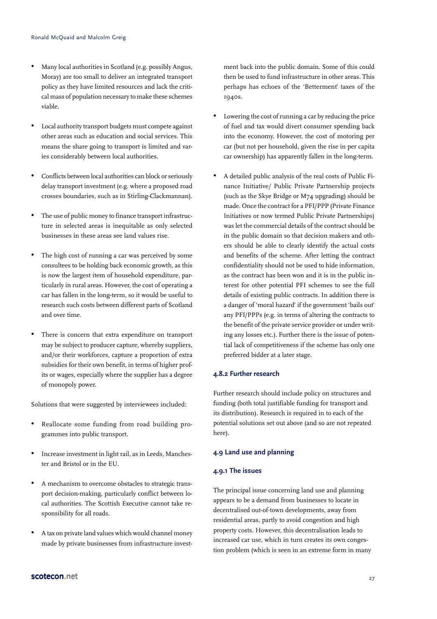- Many local authorities in Scotland (e.g. possibly Angus, Moray) are too small to deliver an integrated transport policy as they have limited resources and lack the critical mass of population necessary to make these schemes viable.
- Local authority transport budgets must compete against other areas such as education and social services. This means the share going to transport is limited and varies considerably between local authorities.
- Conflicts between local authorities can block or seriously delay transport investment (e.g. where a proposed road crosses boundaries, such as in Stirling-Clackmannan).
- The use of public money to finance transport infrastructure in selected areas is inequitable as only selected businesses in these areas see land values rise.
- The high cost of running a car was perceived by some consultees to be holding back economic growth, as this is now the largest item of household expenditure, particularly in rural areas. However, the cost of operating a car has fallen in the long-term, so it would be useful to research such costs between different parts of Scotland and over time.
- There is concern that extra expenditure on transport may be subject to producer capture, whereby suppliers, and/or their workforces, capture a proportion of extra subsidies for their own benefit, in terms of higher profits or wages, especially where the supplier has a degree of monopoly power.

Solutions that were suggested by interviewees included:

- Reallocate some funding from road building programmes into public transport.
- Increase investment in light rail, as in Leeds, Manchester and Bristol or in the EU.
- A mechanism to overcome obstacles to strategic transport decision-making, particularly conflict between local authorities. The Scottish Executive cannot take responsibility for all roads.
- A tax on private land values which would channel money made by private businesses from infrastructure invest-

ment back into the public domain. Some of this could then be used to fund infrastructure in other areas. This perhaps has echoes of the 'Betterment' taxes of the 1940s.

- Lowering the cost of running a car by reducing the price of fuel and tax would divert consumer spending back into the economy. However, the cost of motoring per car (but not per household, given the rise in per capita car ownership) has apparently fallen in the long-term.
- A detailed public analysis of the real costs of Public Finance Initiative/ Public Private Partnership projects (such as the Skye Bridge or M74 upgrading) should be made. Once the contract for a PFI/PPP (Private Finance Initiatives or now termed Public Private Partnerships) was let the commercial details of the contract should be in the public domain so that decision makers and others should be able to clearly identify the actual costs and benefits of the scheme. After letting the contract confidentiality should not be used to hide information, as the contract has been won and it is in the public interest for other potential PFI schemes to see the full details of existing public contracts. In addition there is a danger of 'moral hazard' if the government 'bails out' any PFI/PPPs (e.g. in terms of altering the contracts to the benefit of the private service provider or under writing any losses etc.). Further there is the issue of potential lack of competitiveness if the scheme has only one preferred bidder at a later stage.

#### **4.8.2 Further research**

Further research should include policy on structures and funding (both total justifiable funding for transport and its distribution). Research is required in to each of the potential solutions set out above (and so are not repeated here).

#### **4.9 Land use and planning**

#### **4.9.1 The issues**

The principal issue concerning land use and planning appears to be a demand from businesses to locate in decentralised out-of-town developments, away from residential areas, partly to avoid congestion and high property costs. However, this decentralisation leads to increased car use, which in turn creates its own congestion problem (which is seen in an extreme form in many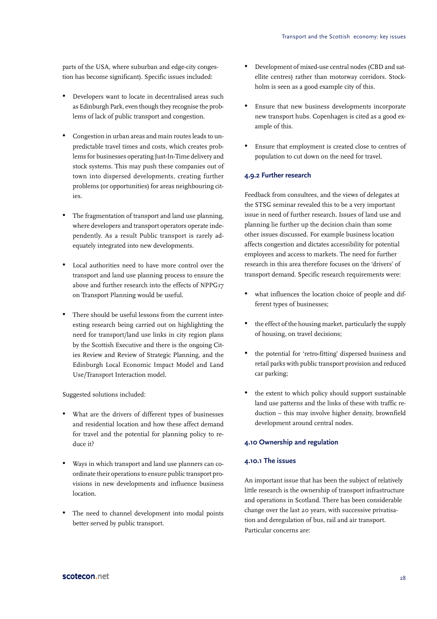parts of the USA, where suburban and edge-city congestion has become significant). Specific issues included:

- Developers want to locate in decentralised areas such as Edinburgh Park, even though they recognise the problems of lack of public transport and congestion.
- Congestion in urban areas and main routes leads to unpredictable travel times and costs, which creates problems for businesses operating Just-In-Time delivery and stock systems. This may push these companies out of town into dispersed developments, creating further problems (or opportunities) for areas neighbouring cities.
- The fragmentation of transport and land use planning, where developers and transport operators operate independently. As a result Public transport is rarely adequately integrated into new developments.
- Local authorities need to have more control over the transport and land use planning process to ensure the above and further research into the effects of NPPG17 on Transport Planning would be useful.
- There should be useful lessons from the current interesting research being carried out on highlighting the need for transport/land use links in city region plans by the Scottish Executive and there is the ongoing Cities Review and Review of Strategic Planning, and the Edinburgh Local Economic Impact Model and Land Use/Transport Interaction model.

Suggested solutions included:

- What are the drivers of different types of businesses and residential location and how these affect demand for travel and the potential for planning policy to reduce it?
- Ways in which transport and land use planners can coordinate their operations to ensure public transport provisions in new developments and influence business location.
- The need to channel development into modal points better served by public transport.
- Development of mixed-use central nodes (CBD and satellite centres) rather than motorway corridors. Stockholm is seen as a good example city of this.
- Ensure that new business developments incorporate new transport hubs. Copenhagen is cited as a good example of this.
- Ensure that employment is created close to centres of population to cut down on the need for travel.

#### **4.9.2 Further research**

Feedback from consultees, and the views of delegates at the STSG seminar revealed this to be a very important issue in need of further research. Issues of land use and planning lie further up the decision chain than some other issues discussed. For example business location affects congestion and dictates accessibility for potential employees and access to markets. The need for further research in this area therefore focuses on the 'drivers' of transport demand. Specific research requirements were:

- what influences the location choice of people and different types of businesses;
- the effect of the housing market, particularly the supply of housing, on travel decisions;
- the potential for 'retro-fitting' dispersed business and retail parks with public transport provision and reduced car parking;
- the extent to which policy should support sustainable land use patterns and the links of these with traffic reduction – this may involve higher density, brownfield development around central nodes.

#### **4.10 Ownership and regulation**

#### **4.10.1 The issues**

An important issue that has been the subject of relatively little research is the ownership of transport infrastructure and operations in Scotland. There has been considerable change over the last 20 years, with successive privatisation and deregulation of bus, rail and air transport. Particular concerns are: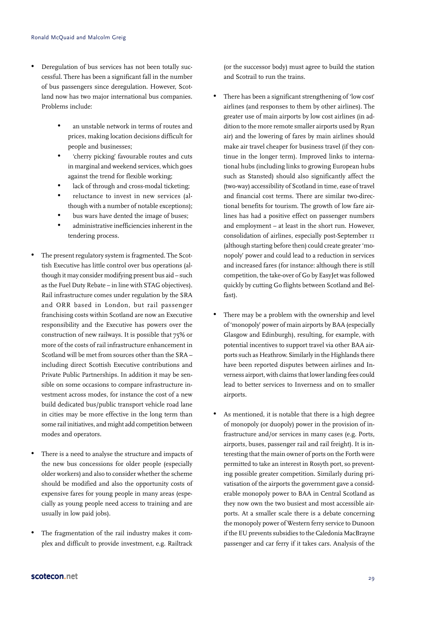- Deregulation of bus services has not been totally successful. There has been a significant fall in the number of bus passengers since deregulation. However, Scotland now has two major international bus companies. Problems include:
	- an unstable network in terms of routes and prices, making location decisions difficult for people and businesses;
	- 'cherry picking' favourable routes and cuts in marginal and weekend services, which goes against the trend for flexible working;
	- lack of through and cross-modal ticketing;
	- reluctance to invest in new services (although with a number of notable exceptions);
	- bus wars have dented the image of buses;
	- administrative inefficiencies inherent in the tendering process.
- The present regulatory system is fragmented. The Scottish Executive has little control over bus operations (although it may consider modifying present bus aid – such as the Fuel Duty Rebate – in line with STAG objectives). Rail infrastructure comes under regulation by the SRA and ORR based in London, but rail passenger franchising costs within Scotland are now an Executive responsibility and the Executive has powers over the construction of new railways. It is possible that 75% or more of the costs of rail infrastructure enhancement in Scotland will be met from sources other than the SRA – including direct Scottish Executive contributions and Private Public Partnerships. In addition it may be sensible on some occasions to compare infrastructure investment across modes, for instance the cost of a new build dedicated bus/public transport vehicle road lane in cities may be more effective in the long term than some rail initiatives, and might add competition between modes and operators.
- There is a need to analyse the structure and impacts of the new bus concessions for older people (especially older workers) and also to consider whether the scheme should be modified and also the opportunity costs of expensive fares for young people in many areas (especially as young people need access to training and are usually in low paid jobs).
- The fragmentation of the rail industry makes it complex and difficult to provide investment, e.g. Railtrack

(or the successor body) must agree to build the station and Scotrail to run the trains.

- There has been a significant strengthening of 'low cost' airlines (and responses to them by other airlines). The greater use of main airports by low cost airlines (in addition to the more remote smaller airports used by Ryan air) and the lowering of fares by main airlines should make air travel cheaper for business travel (if they continue in the longer term). Improved links to international hubs (including links to growing European hubs such as Stansted) should also significantly affect the (two-way) accessibility of Scotland in time, ease of travel and financial cost terms. There are similar two-directional benefits for tourism. The growth of low fare airlines has had a positive effect on passenger numbers and employment – at least in the short run. However, consolidation of airlines, especially post-September 11 (although starting before then) could create greater 'monopoly' power and could lead to a reduction in services and increased fares (for instance: although there is still competition, the take-over of Go by EasyJet was followed quickly by cutting Go flights between Scotland and Belfast).
- There may be a problem with the ownership and level of 'monopoly' power of main airports by BAA (especially Glasgow and Edinburgh), resulting, for example, with potential incentives to support travel via other BAA airports such as Heathrow. Similarly in the Highlands there have been reported disputes between airlines and Inverness airport, with claims that lower landing fees could lead to better services to Inverness and on to smaller airports.
- As mentioned, it is notable that there is a high degree of monopoly (or duopoly) power in the provision of infrastructure and/or services in many cases (e.g. Ports, airports, buses, passenger rail and rail freight). It is interesting that the main owner of ports on the Forth were permitted to take an interest in Rosyth port, so preventing possible greater competition. Similarly during privatisation of the airports the government gave a considerable monopoly power to BAA in Central Scotland as they now own the two busiest and most accessible airports. At a smaller scale there is a debate concerning the monopoly power of Western ferry service to Dunoon if the EU prevents subsidies to the Caledonia MacBrayne passenger and car ferry if it takes cars. Analysis of the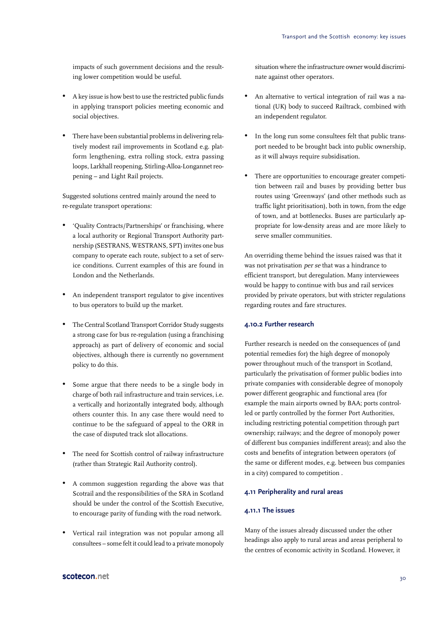impacts of such government decisions and the resulting lower competition would be useful.

- A key issue is how best to use the restricted public funds in applying transport policies meeting economic and social objectives.
- There have been substantial problems in delivering relatively modest rail improvements in Scotland e.g. platform lengthening, extra rolling stock, extra passing loops, Larkhall reopening, Stirling-Alloa-Longannet reopening – and Light Rail projects.

Suggested solutions centred mainly around the need to re-regulate transport operations:

- 'Quality Contracts/Partnerships' or franchising, where a local authority or Regional Transport Authority partnership (SESTRANS, WESTRANS, SPT) invites one bus company to operate each route, subject to a set of service conditions. Current examples of this are found in London and the Netherlands.
- An independent transport regulator to give incentives to bus operators to build up the market.
- The Central Scotland Transport Corridor Study suggests a strong case for bus re-regulation (using a franchising approach) as part of delivery of economic and social objectives, although there is currently no government policy to do this.
- Some argue that there needs to be a single body in charge of both rail infrastructure and train services, i.e. a vertically and horizontally integrated body, although others counter this. In any case there would need to continue to be the safeguard of appeal to the ORR in the case of disputed track slot allocations.
- The need for Scottish control of railway infrastructure (rather than Strategic Rail Authority control).
- A common suggestion regarding the above was that Scotrail and the responsibilities of the SRA in Scotland should be under the control of the Scottish Executive, to encourage parity of funding with the road network.
- Vertical rail integration was not popular among all consultees – some felt it could lead to a private monopoly

situation where the infrastructure owner would discriminate against other operators.

- An alternative to vertical integration of rail was a national (UK) body to succeed Railtrack, combined with an independent regulator.
- In the long run some consultees felt that public transport needed to be brought back into public ownership, as it will always require subsidisation.
- There are opportunities to encourage greater competition between rail and buses by providing better bus routes using 'Greenways' (and other methods such as traffic light prioritisation), both in town, from the edge of town, and at bottlenecks. Buses are particularly appropriate for low-density areas and are more likely to serve smaller communities.

An overriding theme behind the issues raised was that it was not privatisation per se that was a hindrance to efficient transport, but deregulation. Many interviewees would be happy to continue with bus and rail services provided by private operators, but with stricter regulations regarding routes and fare structures.

#### **4.10.2 Further research**

Further research is needed on the consequences of (and potential remedies for) the high degree of monopoly power throughout much of the transport in Scotland, particularly the privatisation of former public bodies into private companies with considerable degree of monopoly power different geographic and functional area (for example the main airports owned by BAA; ports controlled or partly controlled by the former Port Authorities, including restricting potential competition through part ownership; railways; and the degree of monopoly power of different bus companies indifferent areas); and also the costs and benefits of integration between operators (of the same or different modes, e.g. between bus companies in a city) compared to competition .

#### **4.11 Peripherality and rural areas**

#### **4.11.1 The issues**

Many of the issues already discussed under the other headings also apply to rural areas and areas peripheral to the centres of economic activity in Scotland. However, it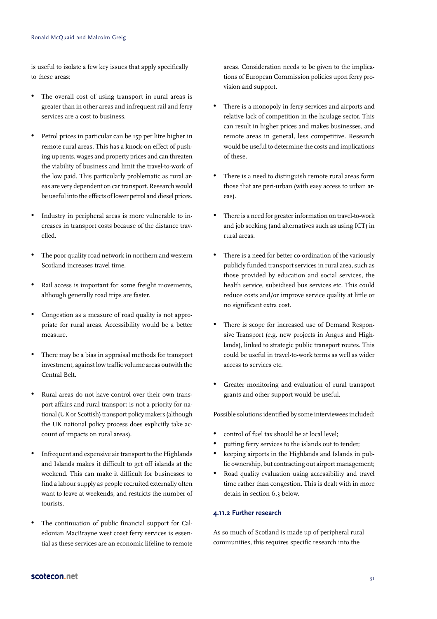is useful to isolate a few key issues that apply specifically to these areas:

- The overall cost of using transport in rural areas is greater than in other areas and infrequent rail and ferry services are a cost to business.
- Petrol prices in particular can be 15p per litre higher in remote rural areas. This has a knock-on effect of pushing up rents, wages and property prices and can threaten the viability of business and limit the travel-to-work of the low paid. This particularly problematic as rural areas are very dependent on car transport. Research would be useful into the effects of lower petrol and diesel prices.
- Industry in peripheral areas is more vulnerable to increases in transport costs because of the distance travelled.
- The poor quality road network in northern and western Scotland increases travel time.
- Rail access is important for some freight movements, although generally road trips are faster.
- Congestion as a measure of road quality is not appropriate for rural areas. Accessibility would be a better measure.
- There may be a bias in appraisal methods for transport investment, against low traffic volume areas outwith the Central Belt.
- Rural areas do not have control over their own transport affairs and rural transport is not a priority for national (UK or Scottish) transport policy makers (although the UK national policy process does explicitly take account of impacts on rural areas).
- Infrequent and expensive air transport to the Highlands and Islands makes it difficult to get off islands at the weekend. This can make it difficult for businesses to find a labour supply as people recruited externally often want to leave at weekends, and restricts the number of tourists.
- The continuation of public financial support for Caledonian MacBrayne west coast ferry services is essential as these services are an economic lifeline to remote

areas. Consideration needs to be given to the implications of European Commission policies upon ferry provision and support.

- There is a monopoly in ferry services and airports and relative lack of competition in the haulage sector. This can result in higher prices and makes businesses, and remote areas in general, less competitive. Research would be useful to determine the costs and implications of these.
- There is a need to distinguish remote rural areas form those that are peri-urban (with easy access to urban areas).
- There is a need for greater information on travel-to-work and job seeking (and alternatives such as using ICT) in rural areas.
- There is a need for better co-ordination of the variously publicly funded transport services in rural area, such as those provided by education and social services, the health service, subsidised bus services etc. This could reduce costs and/or improve service quality at little or no significant extra cost.
- There is scope for increased use of Demand Responsive Transport (e.g. new projects in Angus and Highlands), linked to strategic public transport routes. This could be useful in travel-to-work terms as well as wider access to services etc.
- Greater monitoring and evaluation of rural transport grants and other support would be useful.

Possible solutions identified by some interviewees included:

- control of fuel tax should be at local level;
- putting ferry services to the islands out to tender;
- keeping airports in the Highlands and Islands in public ownership, but contracting out airport management;
- Road quality evaluation using accessibility and travel time rather than congestion. This is dealt with in more detain in section 6.3 below.

#### **4.11.2 Further research**

As so much of Scotland is made up of peripheral rural communities, this requires specific research into the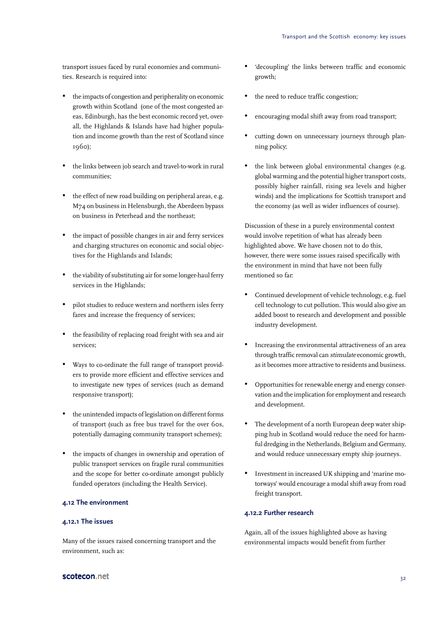transport issues faced by rural economies and communities. Research is required into:

- the impacts of congestion and peripherality on economic growth within Scotland (one of the most congested areas, Edinburgh, has the best economic record yet, overall, the Highlands & Islands have had higher population and income growth than the rest of Scotland since 1960);
- the links between job search and travel-to-work in rural communities;
- the effect of new road building on peripheral areas, e.g. M74 on business in Helensburgh, the Aberdeen bypass on business in Peterhead and the northeast;
- the impact of possible changes in air and ferry services and charging structures on economic and social objectives for the Highlands and Islands;
- the viability of substituting air for some longer-haul ferry services in the Highlands;
- pilot studies to reduce western and northern isles ferry fares and increase the frequency of services;
- the feasibility of replacing road freight with sea and air services;
- Ways to co-ordinate the full range of transport providers to provide more efficient and effective services and to investigate new types of services (such as demand responsive transport);
- the unintended impacts of legislation on different forms of transport (such as free bus travel for the over 60s, potentially damaging community transport schemes);
- the impacts of changes in ownership and operation of public transport services on fragile rural communities and the scope for better co-ordinate amongst publicly funded operators (including the Health Service).

#### **4.12 The environment**

#### **4.12.1 The issues**

Many of the issues raised concerning transport and the environment, such as:

- 'decoupling' the links between traffic and economic growth;
- the need to reduce traffic congestion:
- encouraging modal shift away from road transport;
- cutting down on unnecessary journeys through planning policy;
- the link between global environmental changes (e.g. global warming and the potential higher transport costs, possibly higher rainfall, rising sea levels and higher winds) and the implications for Scottish transport and the economy (as well as wider influences of course).

Discussion of these in a purely environmental context would involve repetition of what has already been highlighted above. We have chosen not to do this, however, there were some issues raised specifically with the environment in mind that have not been fully mentioned so far:

- Continued development of vehicle technology, e.g. fuel cell technology to cut pollution. This would also give an added boost to research and development and possible industry development.
- Increasing the environmental attractiveness of an area through traffic removal can stimulate economic growth, as it becomes more attractive to residents and business.
- Opportunities for renewable energy and energy conservation and the implication for employment and research and development.
- The development of a north European deep water shipping hub in Scotland would reduce the need for harmful dredging in the Netherlands, Belgium and Germany, and would reduce unnecessary empty ship journeys.
- Investment in increased UK shipping and 'marine motorways' would encourage a modal shift away from road freight transport.

#### **4.12.2 Further research**

Again, all of the issues highlighted above as having environmental impacts would benefit from further

#### ${\sf scorecon}.{\sf net}$  32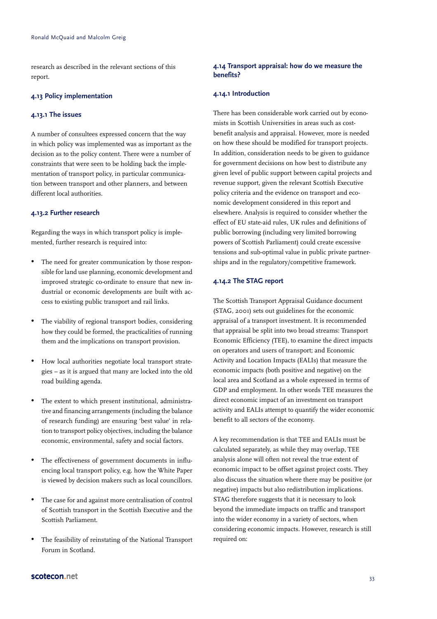research as described in the relevant sections of this report.

#### **4.13 Policy implementation**

#### **4.13.1 The issues**

A number of consultees expressed concern that the way in which policy was implemented was as important as the decision as to the policy content. There were a number of constraints that were seen to be holding back the implementation of transport policy, in particular communication between transport and other planners, and between different local authorities.

#### **4.13.2 Further research**

Regarding the ways in which transport policy is implemented, further research is required into:

- The need for greater communication by those responsible for land use planning, economic development and improved strategic co-ordinate to ensure that new industrial or economic developments are built with access to existing public transport and rail links.
- The viability of regional transport bodies, considering how they could be formed, the practicalities of running them and the implications on transport provision.
- How local authorities negotiate local transport strategies – as it is argued that many are locked into the old road building agenda.
- The extent to which present institutional, administrative and financing arrangements (including the balance of research funding) are ensuring 'best value' in relation to transport policy objectives, including the balance economic, environmental, safety and social factors.
- The effectiveness of government documents in influencing local transport policy, e.g. how the White Paper is viewed by decision makers such as local councillors.
- The case for and against more centralisation of control of Scottish transport in the Scottish Executive and the Scottish Parliament.
- The feasibility of reinstating of the National Transport Forum in Scotland.

#### **4.14 Transport appraisal: how do we measure the benefits?**

#### **4.14.1 Introduction**

There has been considerable work carried out by economists in Scottish Universities in areas such as costbenefit analysis and appraisal. However, more is needed on how these should be modified for transport projects. In addition, consideration needs to be given to guidance for government decisions on how best to distribute any given level of public support between capital projects and revenue support, given the relevant Scottish Executive policy criteria and the evidence on transport and economic development considered in this report and elsewhere. Analysis is required to consider whether the effect of EU state-aid rules, UK rules and definitions of public borrowing (including very limited borrowing powers of Scottish Parliament) could create excessive tensions and sub-optimal value in public private partnerships and in the regulatory/competitive framework.

#### **4.14.2 The STAG report**

The Scottish Transport Appraisal Guidance document (STAG, 2001) sets out guidelines for the economic appraisal of a transport investment. It is recommended that appraisal be split into two broad streams: Transport Economic Efficiency (TEE), to examine the direct impacts on operators and users of transport; and Economic Activity and Location Impacts (EALIs) that measure the economic impacts (both positive and negative) on the local area and Scotland as a whole expressed in terms of GDP and employment. In other words TEE measures the direct economic impact of an investment on transport activity and EALIs attempt to quantify the wider economic benefit to all sectors of the economy.

A key recommendation is that TEE and EALIs must be calculated separately, as while they may overlap, TEE analysis alone will often not reveal the true extent of economic impact to be offset against project costs. They also discuss the situation where there may be positive (or negative) impacts but also redistribution implications. STAG therefore suggests that it is necessary to look beyond the immediate impacts on traffic and transport into the wider economy in a variety of sectors, when considering economic impacts. However, research is still required on: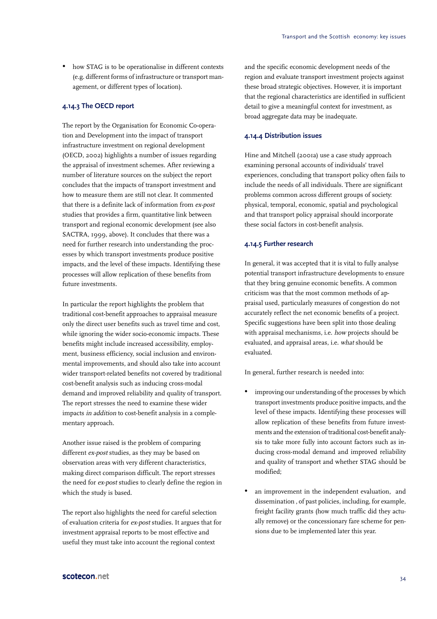• how STAG is to be operationalise in different contexts (e.g. different forms of infrastructure or transport management, or different types of location).

#### **4.14.3 The OECD report**

The report by the Organisation for Economic Co-operation and Development into the impact of transport infrastructure investment on regional development (OECD, 2002) highlights a number of issues regarding the appraisal of investment schemes. After reviewing a number of literature sources on the subject the report concludes that the impacts of transport investment and how to measure them are still not clear. It commented that there is a definite lack of information from ex-post studies that provides a firm, quantitative link between transport and regional economic development (see also SACTRA, 1999, above). It concludes that there was a need for further research into understanding the processes by which transport investments produce positive impacts, and the level of these impacts. Identifying these processes will allow replication of these benefits from future investments.

In particular the report highlights the problem that traditional cost-benefit approaches to appraisal measure only the direct user benefits such as travel time and cost, while ignoring the wider socio-economic impacts. These benefits might include increased accessibility, employment, business efficiency, social inclusion and environmental improvements, and should also take into account wider transport-related benefits not covered by traditional cost-benefit analysis such as inducing cross-modal demand and improved reliability and quality of transport. The report stresses the need to examine these wider impacts in addition to cost-benefit analysis in a complementary approach.

Another issue raised is the problem of comparing different ex-post studies, as they may be based on observation areas with very different characteristics, making direct comparison difficult. The report stresses the need for ex-post studies to clearly define the region in which the study is based.

The report also highlights the need for careful selection of evaluation criteria for ex-post studies. It argues that for investment appraisal reports to be most effective and useful they must take into account the regional context

and the specific economic development needs of the region and evaluate transport investment projects against these broad strategic objectives. However, it is important that the regional characteristics are identified in sufficient detail to give a meaningful context for investment, as broad aggregate data may be inadequate.

#### **4.14.4 Distribution issues**

Hine and Mitchell (2001a) use a case study approach examining personal accounts of individuals' travel experiences, concluding that transport policy often fails to include the needs of all individuals. There are significant problems common across different groups of society: physical, temporal, economic, spatial and psychological and that transport policy appraisal should incorporate these social factors in cost-benefit analysis.

#### **4.14.5 Further research**

In general, it was accepted that it is vital to fully analyse potential transport infrastructure developments to ensure that they bring genuine economic benefits. A common criticism was that the most common methods of appraisal used, particularly measures of congestion do not accurately reflect the net economic benefits of a project. Specific suggestions have been split into those dealing with appraisal mechanisms, i.e. how projects should be evaluated, and appraisal areas, i.e. what should be evaluated.

In general, further research is needed into:

- improving our understanding of the processes by which transport investments produce positive impacts, and the level of these impacts. Identifying these processes will allow replication of these benefits from future investments and the extension of traditional cost-benefit analysis to take more fully into account factors such as inducing cross-modal demand and improved reliability and quality of transport and whether STAG should be modified;
- an improvement in the independent evaluation, and dissemination , of past policies, including, for example, freight facility grants (how much traffic did they actually remove) or the concessionary fare scheme for pensions due to be implemented later this year.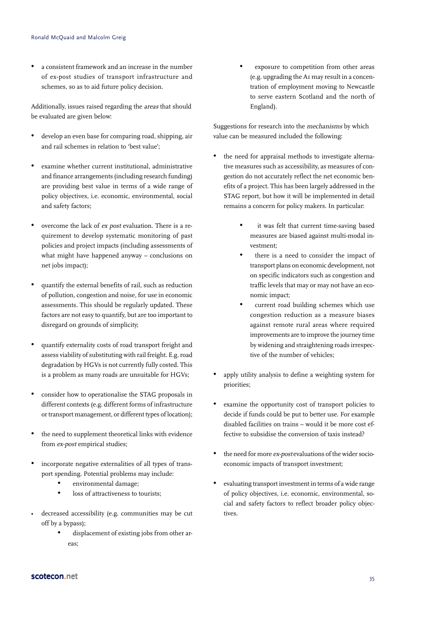• a consistent framework and an increase in the number of ex-post studies of transport infrastructure and schemes, so as to aid future policy decision.

Additionally, issues raised regarding the areas that should be evaluated are given below:

- develop an even base for comparing road, shipping, air and rail schemes in relation to 'best value';
- examine whether current institutional, administrative and finance arrangements (including research funding) are providing best value in terms of a wide range of policy objectives, i.e. economic, environmental, social and safety factors;
- overcome the lack of ex post evaluation. There is a requirement to develop systematic monitoring of past policies and project impacts (including assessments of what might have happened anyway – conclusions on net jobs impact);
- quantify the external benefits of rail, such as reduction of pollution, congestion and noise, for use in economic assessments. This should be regularly updated. These factors are not easy to quantify, but are too important to disregard on grounds of simplicity;
- quantify externality costs of road transport freight and assess viability of substituting with rail freight. E.g. road degradation by HGVs is not currently fully costed. This is a problem as many roads are unsuitable for HGVs;
- consider how to operationalise the STAG proposals in different contexts (e.g. different forms of infrastructure or transport management, or different types of location);
- the need to supplement theoretical links with evidence from ex-post empirical studies;
- incorporate negative externalities of all types of transport spending. Potential problems may include:
	- environmental damage;
	- loss of attractiveness to tourists:
- decreased accessibility (e.g. communities may be cut off by a bypass);
	- displacement of existing jobs from other areas;

exposure to competition from other areas (e.g. upgrading the A1 may result in a concentration of employment moving to Newcastle to serve eastern Scotland and the north of England).

Suggestions for research into the mechanisms by which value can be measured included the following:

- the need for appraisal methods to investigate alternative measures such as accessibility, as measures of congestion do not accurately reflect the net economic benefits of a project. This has been largely addressed in the STAG report, but how it will be implemented in detail remains a concern for policy makers. In particular:
	- it was felt that current time-saving based measures are biased against multi-modal investment;
	- there is a need to consider the impact of transport plans on economic development, not on specific indicators such as congestion and traffic levels that may or may not have an economic impact;
	- current road building schemes which use congestion reduction as a measure biases against remote rural areas where required improvements are to improve the journey time by widening and straightening roads irrespective of the number of vehicles;
- apply utility analysis to define a weighting system for priorities;
- examine the opportunity cost of transport policies to decide if funds could be put to better use. For example disabled facilities on trains – would it be more cost effective to subsidise the conversion of taxis instead?
- the need for more ex-post evaluations of the wider socioeconomic impacts of transport investment;
- evaluating transport investment in terms of a wide range of policy objectives, i.e. economic, environmental, social and safety factors to reflect broader policy objectives.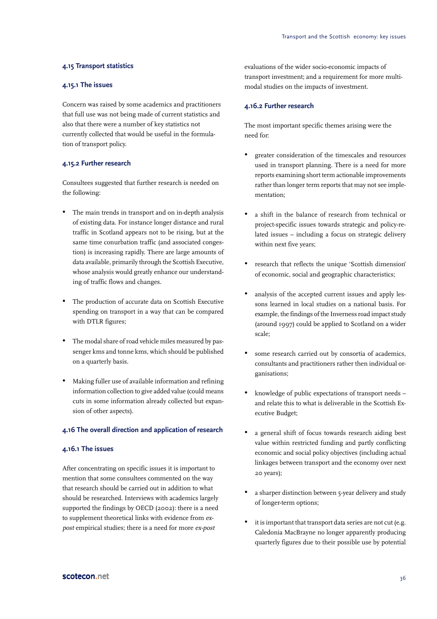#### **4.15 Transport statistics**

#### **4.15.1 The issues**

Concern was raised by some academics and practitioners that full use was not being made of current statistics and also that there were a number of key statistics not currently collected that would be useful in the formulation of transport policy.

#### **4.15.2 Further research**

Consultees suggested that further research is needed on the following:

- The main trends in transport and on in-depth analysis of existing data. For instance longer distance and rural traffic in Scotland appears not to be rising, but at the same time conurbation traffic (and associated congestion) is increasing rapidly. There are large amounts of data available, primarily through the Scottish Executive, whose analysis would greatly enhance our understanding of traffic flows and changes.
- The production of accurate data on Scottish Executive spending on transport in a way that can be compared with DTLR figures;
- The modal share of road vehicle miles measured by passenger kms and tonne kms, which should be published on a quarterly basis.
- Making fuller use of available information and refining information collection to give added value (could means cuts in some information already collected but expansion of other aspects).

#### **4.16 The overall direction and application of research**

#### **4.16.1 The issues**

After concentrating on specific issues it is important to mention that some consultees commented on the way that research should be carried out in addition to what should be researched. Interviews with academics largely supported the findings by OECD (2002): there is a need to supplement theoretical links with evidence from expost empirical studies; there is a need for more ex-post

evaluations of the wider socio-economic impacts of transport investment; and a requirement for more multimodal studies on the impacts of investment.

#### **4.16.2 Further research**

The most important specific themes arising were the need for:

- greater consideration of the timescales and resources used in transport planning. There is a need for more reports examining short term actionable improvements rather than longer term reports that may not see implementation;
- a shift in the balance of research from technical or project-specific issues towards strategic and policy-related issues – including a focus on strategic delivery within next five years;
- research that reflects the unique 'Scottish dimension' of economic, social and geographic characteristics;
- analysis of the accepted current issues and apply lessons learned in local studies on a national basis. For example, the findings of the Inverness road impact study (around 1997) could be applied to Scotland on a wider scale;
- some research carried out by consortia of academics, consultants and practitioners rather then individual organisations;
- knowledge of public expectations of transport needs and relate this to what is deliverable in the Scottish Executive Budget;
- a general shift of focus towards research aiding best value within restricted funding and partly conflicting economic and social policy objectives (including actual linkages between transport and the economy over next 20 years);
- a sharper distinction between 5-year delivery and study of longer-term options;
- it is important that transport data series are not cut (e.g. Caledonia MacBrayne no longer apparently producing quarterly figures due to their possible use by potential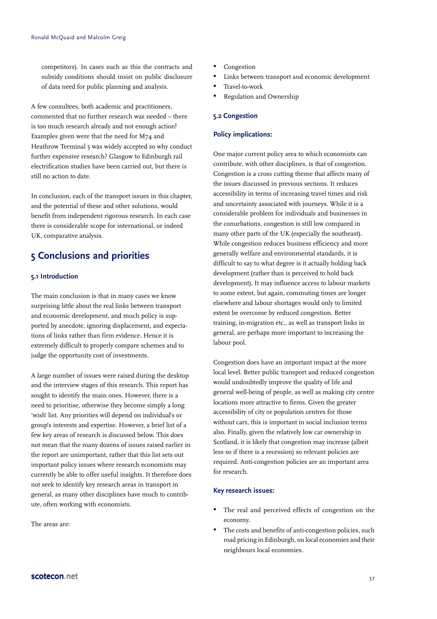competitors). In cases such as this the contracts and subsidy conditions should insist on public disclosure of data need for public planning and analysis.

A few consultees, both academic and practitioners, commented that no further research was needed – there is too much research already and not enough action! Examples given were that the need for M74 and Heathrow Terminal 5 was widely accepted so why conduct further expensive research? Glasgow to Edinburgh rail electrification studies have been carried out, but there is still no action to date.

In conclusion, each of the transport issues in this chapter, and the potential of these and other solutions, would benefit from independent rigorous research. In each case there is considerable scope for international, or indeed UK, comparative analysis.

## **5 Conclusions and priorities**

#### **5.1 Introduction**

The main conclusion is that in many cases we know surprising little about the real links between transport and economic development, and much policy is supported by anecdote, ignoring displacement, and expectations of links rather than firm evidence. Hence it is extremely difficult to properly compare schemes and to judge the opportunity cost of investments.

A large number of issues were raised during the desktop and the interview stages of this research. This report has sought to identify the main ones. However, there is a need to prioritise, otherwise they become simply a long 'wish' list. Any priorities will depend on individual's or group's interests and expertise. However, a brief list of a few key areas of research is discussed below. This does not mean that the many dozens of issues raised earlier in the report are unimportant, rather that this list sets out important policy issues where research economists may currently be able to offer useful insights. It therefore does not seek to identify key research areas in transport in general, as many other disciplines have much to contribute, often working with economists.

The areas are:

- Congestion
- Links between transport and economic development
- Travel-to-work
- Regulation and Ownership

#### **5.2 Congestion**

#### **Policy implications:**

One major current policy area to which economists can contribute, with other disciplines, is that of congestion. Congestion is a cross cutting theme that affects many of the issues discussed in previous sections. It reduces accessibility in terms of increasing travel times and risk and uncertainty associated with journeys. While it is a considerable problem for individuals and businesses in the conurbations, congestion is still low compared in many other parts of the UK (especially the southeast). While congestion reduces business efficiency and more generally welfare and environmental standards, it is difficult to say to what degree is it actually holding back development (rather than is perceived to hold back development). It may influence access to labour markets to some extent, but again, commuting times are longer elsewhere and labour shortages would only to limited extent be overcome by reduced congestion. Better training, in-migration etc., as well as transport links in general, are perhaps more important to increasing the labour pool.

Congestion does have an important impact at the more local level. Better public transport and reduced congestion would undoubtedly improve the quality of life and general well-being of people, as well as making city centre locations more attractive to firms. Given the greater accessibility of city or population centres for those without cars, this is important in social inclusion terms also. Finally, given the relatively low car ownership in Scotland, it is likely that congestion may increase (albeit less so if there is a recession) so relevant policies are required. Anti-congestion policies are an important area for research.

#### **Key research issues:**

- The real and perceived effects of congestion on the economy.
- The costs and benefits of anti-congestion policies, such road pricing in Edinburgh, on local economies and their neighbours local economies.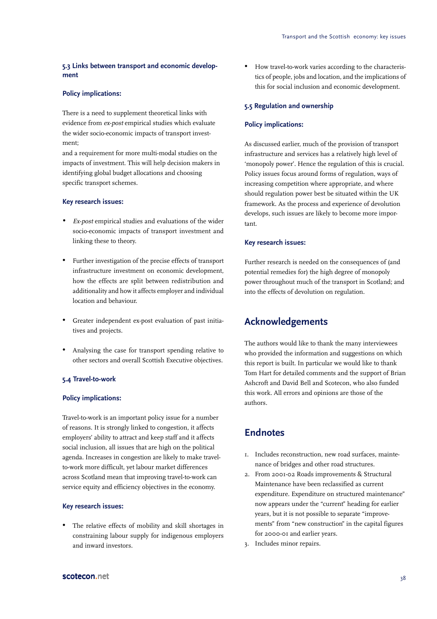#### **5.3 Links between transport and economic development**

#### **Policy implications:**

There is a need to supplement theoretical links with evidence from ex-post empirical studies which evaluate the wider socio-economic impacts of transport investment;

and a requirement for more multi-modal studies on the impacts of investment. This will help decision makers in identifying global budget allocations and choosing specific transport schemes.

#### **Key research issues:**

- *•* Ex-post empirical studies and evaluations of the wider socio-economic impacts of transport investment and linking these to theory.
- Further investigation of the precise effects of transport infrastructure investment on economic development, how the effects are split between redistribution and additionality and how it affects employer and individual location and behaviour.
- Greater independent ex-post evaluation of past initiatives and projects.
- Analysing the case for transport spending relative to other sectors and overall Scottish Executive objectives.

#### **5.4 Travel-to-work**

#### **Policy implications:**

Travel-to-work is an important policy issue for a number of reasons. It is strongly linked to congestion, it affects employers' ability to attract and keep staff and it affects social inclusion, all issues that are high on the political agenda. Increases in congestion are likely to make travelto-work more difficult, yet labour market differences across Scotland mean that improving travel-to-work can service equity and efficiency objectives in the economy.

#### **Key research issues:**

• The relative effects of mobility and skill shortages in constraining labour supply for indigenous employers and inward investors.

• How travel-to-work varies according to the characteristics of people, jobs and location, and the implications of this for social inclusion and economic development.

#### **5.5 Regulation and ownership**

#### **Policy implications:**

As discussed earlier, much of the provision of transport infrastructure and services has a relatively high level of 'monopoly power'. Hence the regulation of this is crucial. Policy issues focus around forms of regulation, ways of increasing competition where appropriate, and where should regulation power best be situated within the UK framework. As the process and experience of devolution develops, such issues are likely to become more important.

#### **Key research issues:**

Further research is needed on the consequences of (and potential remedies for) the high degree of monopoly power throughout much of the transport in Scotland; and into the effects of devolution on regulation.

## **Acknowledgements**

The authors would like to thank the many interviewees who provided the information and suggestions on which this report is built. In particular we would like to thank Tom Hart for detailed comments and the support of Brian Ashcroft and David Bell and Scotecon, who also funded this work. All errors and opinions are those of the authors.

## **Endnotes**

- 1. Includes reconstruction, new road surfaces, maintenance of bridges and other road structures.
- 2. From 2001-02 Roads improvements & Structural Maintenance have been reclassified as current expenditure. Expenditure on structured maintenance" now appears under the "current" heading for earlier years, but it is not possible to separate "improvements" from "new construction" in the capital figures for 2000-01 and earlier years.
- 3. Includes minor repairs.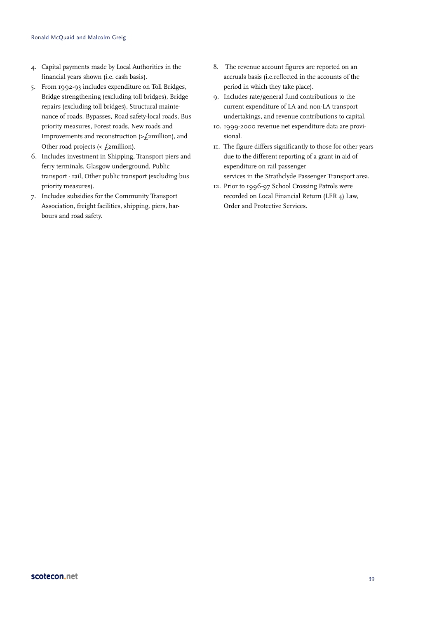- 4. Capital payments made by Local Authorities in the financial years shown (i.e. cash basis).
- 5. From 1992-93 includes expenditure on Toll Bridges, Bridge strengthening (excluding toll bridges), Bridge repairs (excluding toll bridges), Structural maintenance of roads, Bypasses, Road safety-local roads, Bus priority measures, Forest roads, New roads and Improvements and reconstruction (>£2million), and Other road projects  $\ll$  *f* 2million).
- 6. Includes investment in Shipping, Transport piers and ferry terminals, Glasgow underground, Public transport - rail, Other public transport (excluding bus priority measures).
- 7. Includes subsidies for the Community Transport Association, freight facilities, shipping, piers, harbours and road safety.
- 8. The revenue account figures are reported on an accruals basis (i.e.reflected in the accounts of the period in which they take place).
- 9. Includes rate/general fund contributions to the current expenditure of LA and non-LA transport undertakings, and revenue contributions to capital.
- 10. 1999-2000 revenue net expenditure data are provisional.
- 11. The figure differs significantly to those for other years due to the different reporting of a grant in aid of expenditure on rail passenger services in the Strathclyde Passenger Transport area.
- 12. Prior to 1996-97 School Crossing Patrols were recorded on Local Financial Return (LFR 4) Law, Order and Protective Services.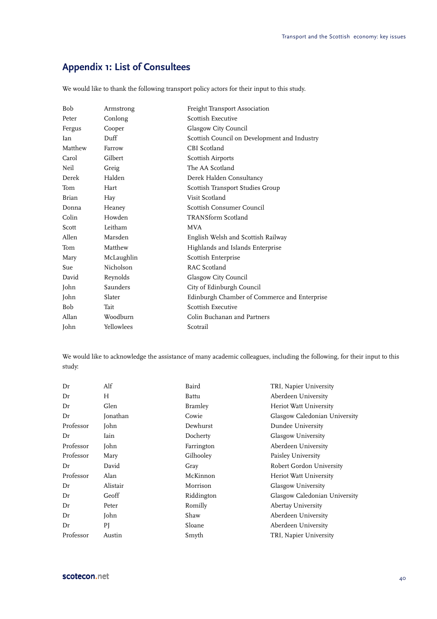## **Appendix 1: List of Consultees**

We would like to thank the following transport policy actors for their input to this study.

| Bob     | Armstrong  | Freight Transport Association                |
|---------|------------|----------------------------------------------|
| Peter   | Conlong    | Scottish Executive                           |
| Fergus  | Cooper     | Glasgow City Council                         |
| Ian     | Duff       | Scottish Council on Development and Industry |
| Matthew | Farrow     | CBI Scotland                                 |
| Carol   | Gilbert    | <b>Scottish Airports</b>                     |
| Neil    | Greig      | The AA Scotland                              |
| Derek   | Halden     | Derek Halden Consultancy                     |
| Tom     | Hart       | Scottish Transport Studies Group             |
| Brian   | Hay        | Visit Scotland                               |
| Donna   | Heaney     | Scottish Consumer Council                    |
| Colin   | Howden     | <b>TRANSform Scotland</b>                    |
| Scott   | Leitham    | <b>MVA</b>                                   |
| Allen   | Marsden    | English Welsh and Scottish Railway           |
| Tom     | Matthew    | Highlands and Islands Enterprise             |
| Mary    | McLaughlin | Scottish Enterprise                          |
| Sue     | Nicholson  | RAC Scotland                                 |
| David   | Reynolds   | Glasgow City Council                         |
| John    | Saunders   | City of Edinburgh Council                    |
| John    | Slater     | Edinburgh Chamber of Commerce and Enterprise |
| Bob     | Tait       | Scottish Executive                           |
| Allan   | Woodburn   | Colin Buchanan and Partners                  |
| John    | Yellowlees | Scotrail                                     |

We would like to acknowledge the assistance of many academic colleagues, including the following, for their input to this study:

| Dr        | Alf      | Baird          | TRI, Napier University        |
|-----------|----------|----------------|-------------------------------|
| Dr        | H        | Battu          | Aberdeen University           |
| Dr        | Glen     | <b>Bramley</b> | Heriot Watt University        |
| Dr        | Jonathan | Cowie          | Glasgow Caledonian University |
| Professor | John     | Dewhurst       | Dundee University             |
| Dr        | Iain     | Docherty       | Glasgow University            |
| Professor | John     | Farrington     | Aberdeen University           |
| Professor | Mary     | Gilhooley      | Paisley University            |
| Dr        | David    | Gray           | Robert Gordon University      |
| Professor | Alan     | McKinnon       | Heriot Watt University        |
| Dr        | Alistair | Morrison       | Glasgow University            |
| Dr        | Geoff    | Riddington     | Glasgow Caledonian University |
| Dr        | Peter    | Romilly        | Abertay University            |
| Dr        | John     | Shaw           | Aberdeen University           |
| Dr        | ΡJ       | Sloane         | Aberdeen University           |
| Professor | Austin   | Smyth          | TRI, Napier University        |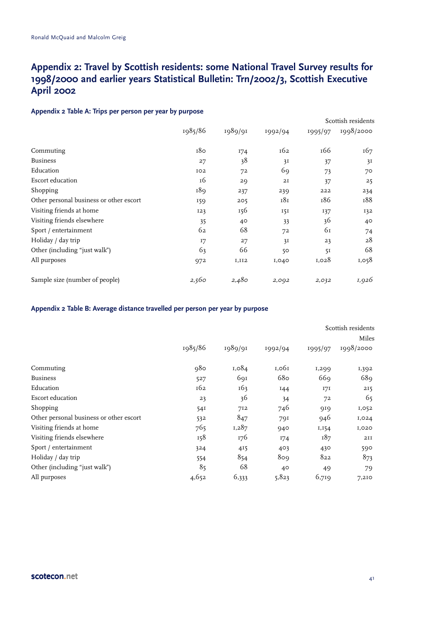## **Appendix 2: Travel by Scottish residents: some National Travel Survey results for 1998/2000 and earlier years Statistical Bulletin: Trn/2002/3, Scottish Executive April 2002**

#### **Appendix 2 Table A: Trips per person per year by purpose**

| г г.<br>.                               |         |         |         |         | Scottish residents |
|-----------------------------------------|---------|---------|---------|---------|--------------------|
|                                         | 1985/86 | 1989/91 | 1992/94 | 1995/97 | 1998/2000          |
| Commuting                               | 180     | 174     | 162     | 166     | 167                |
| <b>Business</b>                         | 27      | 38      | 3I      | 37      | 3I                 |
| Education                               | 102     | 72      | 69      | 73      | 70                 |
| Escort education                        | 16      | 29      | 2I      | 37      | 25                 |
| Shopping                                | 189     | 237     | 239     | 222     | 234                |
| Other personal business or other escort | 159     | 205     | 181     | 186     | 188                |
| Visiting friends at home                | 123     | 156     | 151     | 137     | 132                |
| Visiting friends elsewhere              | 35      | 40      | 33      | 36      | 40                 |
| Sport / entertainment                   | 62      | 68      | 72      | 61      | 74                 |
| Holiday / day trip                      | I7      | 27      | 3I      | 23      | 28                 |
| Other (including "just walk")           | 63      | 66      | 50      | 51      | 68                 |
| All purposes                            | 972     | I,II2   | 1,040   | 1,028   | 1,058              |
| Sample size (number of people)          | 2,560   | 2,480   | 2,092   | 2,032   | 1,926              |
|                                         |         |         |         |         |                    |

#### **Appendix 2 Table B: Average distance travelled per person per year by purpose**

|                                         |         |         |         |         | Scottish residents<br>Miles |  |
|-----------------------------------------|---------|---------|---------|---------|-----------------------------|--|
|                                         | 1985/86 | 1989/91 | 1992/94 | 1995/97 | 1998/2000                   |  |
| Commuting                               | 980     | 1,084   | 1,061   | 1,299   | 1,392                       |  |
| <b>Business</b>                         | 527     | 691     | 680     | 669     | 689                         |  |
| Education                               | 162     | 163     | 144     | 171     | 215                         |  |
| Escort education                        | 23      | 36      | 34      | 72      | 65                          |  |
| Shopping                                | 541     | 712     | 746     | 919     | 1,052                       |  |
| Other personal business or other escort | 532     | 847     | 791     | 946     | 1,024                       |  |
| Visiting friends at home                | 765     | 1,287   | 940     | 1,154   | I,020                       |  |
| Visiting friends elsewhere              | 158     | 176     | I74     | 187     | 2II                         |  |
| Sport / entertainment                   | 324     | 415     | 403     | 430     | 590                         |  |
| Holiday / day trip                      | 554     | 854     | 809     | 822     | 873                         |  |
| Other (including "just walk")           | 85      | 68      | 40      | 49      | 79                          |  |
| All purposes                            | 4,652   | 6,333   | 5,823   | 6,719   | 7,210                       |  |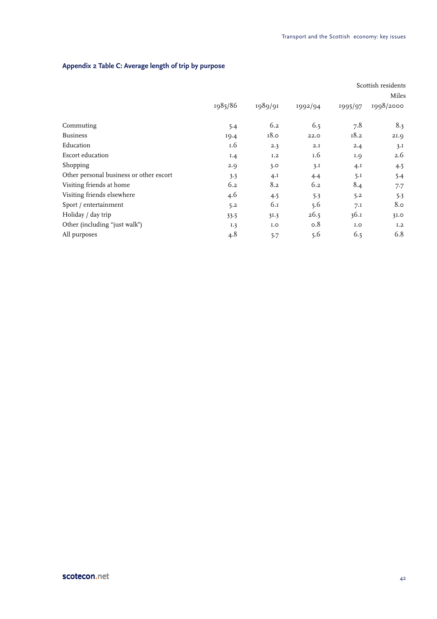|                                         |         |             |         |             | Scottish residents |
|-----------------------------------------|---------|-------------|---------|-------------|--------------------|
|                                         |         |             |         |             | Miles              |
|                                         | 1985/86 | 1989/91     | 1992/94 | 1995/97     | 1998/2000          |
| Commuting                               | 5.4     | 6.2         | 6.5     | 7.8         | 8.3                |
| <b>Business</b>                         | 19.4    | 18.0        | 22.0    | 18.2        | 21.9               |
| Education                               | 1.6     | 2.3         | 2.I     | 2.4         | 3.1                |
| Escort education                        | I.4     | I.2         | 1.6     | 1.9         | 2.6                |
| Shopping                                | 2.9     | 3.0         | 3.1     | $4 \cdot I$ | 4.5                |
| Other personal business or other escort | 3.3     | $4 \cdot I$ | 4.4     | 5.1         | 5.4                |
| Visiting friends at home                | 6.2     | 8.2         | 6.2     | 8.4         | 7.7                |
| Visiting friends elsewhere              | 4.6     | 4.5         | 5.3     | 5.2         | 5.3                |
| Sport / entertainment                   | 5.2     | 6.1         | 5.6     | 7.1         | 8.0                |
| Holiday / day trip                      | 33.5    | 31.3        | 26.5    | 36.1        | 3I.0               |
| Other (including "just walk")           | I.3     | I.O         | 0.8     | I.O         | I.2                |
| All purposes                            | 4.8     | 5.7         | 5.6     | 6.5         | 6.8                |

## **Appendix 2 Table C: Average length of trip by purpose**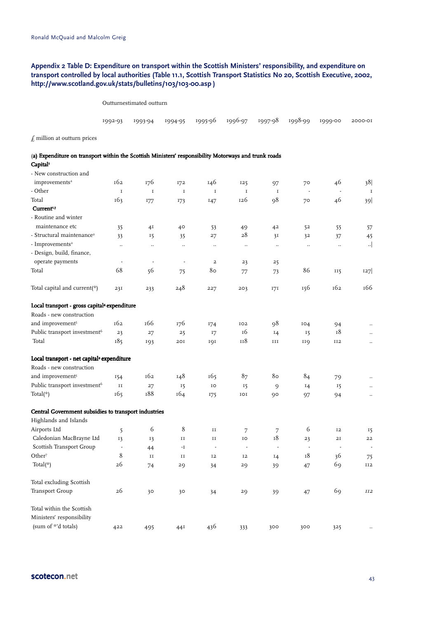#### **Appendix 2 Table D: Expenditure on transport within the Scottish Ministers' responsibility, and expenditure on transport controlled by local authorities (Table 11.1, Scottish Transport Statistics No 20, Scottish Executive, 2002, http://www.scotland.gov.uk/stats/bulletins/103/103-00.asp )**

Outturnestimated outturn

|  |  | 1992-93 1993-94 1994-95 1995-96 1996-97 1997-98 1998-99 1999-00 2000-01 |  |  |
|--|--|-------------------------------------------------------------------------|--|--|
|  |  |                                                                         |  |  |

 $\emph{\pounds}$  million at out<br>turn prices

| (a) Expenditure on transport within the Scottish Ministers' responsibility Motorways and trunk roads |  |
|------------------------------------------------------------------------------------------------------|--|
|------------------------------------------------------------------------------------------------------|--|

 $Capital<sup>i</sup>$ - New construction and

| improvements <sup>2</sup>                                | 162                  | 176                      | 172                    | 146                      | 125          | 97             | 70                       | 46             | 38                   |
|----------------------------------------------------------|----------------------|--------------------------|------------------------|--------------------------|--------------|----------------|--------------------------|----------------|----------------------|
| - Other                                                  | $\mathbf I$          | $\mathbf I$              | $\mathbf I$            | $\mathbf I$              | $\mathbf I$  | $\mathbf I$    | $\overline{\phantom{a}}$ |                | $\;$ I               |
| Total                                                    | 163                  | 177                      | 173                    | 147                      | 126          | 98             | 70                       | 46             | 39                   |
| Current <sup>1,3</sup>                                   |                      |                          |                        |                          |              |                |                          |                |                      |
| - Routine and winter                                     |                      |                          |                        |                          |              |                |                          |                |                      |
| maintenance etc                                          | 35                   | 4Ι                       | 40                     | 53                       | 49           | 42             | 52                       | 55             | 57                   |
| - Structural maintenance <sup>2</sup>                    | 33                   | 15                       | 35                     | 27                       | 28           | 3I             | 32                       | 37             | 45                   |
| $-$ Improvements <sup>2</sup>                            | $\ddot{\phantom{a}}$ | $\ddotsc$                | $\ddotsc$              | $\ddotsc$                | $\ldots$     | $\ddotsc$      | $\ddotsc$                | $\ddotsc$      | $\cdot$              |
| - Design, build, finance,                                |                      |                          |                        |                          |              |                |                          |                |                      |
| operate payments                                         | ÷,                   | $\overline{\phantom{a}}$ | $\blacksquare$         | $\overline{a}$           | 23           | 25             |                          |                |                      |
| Total                                                    | 68                   | 56                       | 75                     | 80                       | 77           | 73             | 86                       | II5            | 127                  |
| Total capital and current(*)                             | 231                  | 233                      | 248                    | 227                      | 203          | 171            | 156                      | 162            | 166                  |
| Local transport - gross capital <sup>4</sup> expenditure |                      |                          |                        |                          |              |                |                          |                |                      |
| Roads - new construction                                 |                      |                          |                        |                          |              |                |                          |                |                      |
| and improvement <sup>5</sup>                             | 162                  | 166                      | 176                    | 174                      | 102          | 98             | 104                      | 94             |                      |
| Public transport investment <sup>6</sup>                 | 23                   | 27                       | 25                     | I7                       | 16           | 14             | 15                       | 18             |                      |
| Total                                                    | 185                  | 193                      | 2OI                    | 191                      | 118          | $\;$ III       | IIQ                      | <b>II2</b>     | $\ddotsc$            |
| Local transport - net capital <sup>4</sup> expenditure   |                      |                          |                        |                          |              |                |                          |                |                      |
| Roads - new construction                                 |                      |                          |                        |                          |              |                |                          |                |                      |
| and improvement <sup>5</sup>                             | 154                  | 162                      | 148                    | 165                      | 87           | 80             | 84                       | 79             | $\ddot{\phantom{a}}$ |
| Public transport investment <sup>6</sup>                 | $\rm II$             | 27                       | 15                     | IO                       | 15           | 9              | 14                       | 15             | $\ldots$             |
| Total( $*$ )                                             | 165                  | 188                      | 164                    | 175                      | $_{\rm IOI}$ | 90             | 97                       | 94             | $\ldots$             |
| Central Government subsidies to transport industries     |                      |                          |                        |                          |              |                |                          |                |                      |
| Highlands and Islands                                    |                      |                          |                        |                          |              |                |                          |                |                      |
| Airports Ltd                                             | 5                    | 6                        | 8                      | $\rm II$                 | 7            | 7              | 6                        | <b>I2</b>      | 15                   |
| Caledonian MacBrayne Ltd                                 | 13                   | 13                       | $\mathbf{I}\mathbf{I}$ | $_{II}$                  | IO           | 18             | 23                       | 2I             | 22                   |
| Scottish Transport Group                                 | $\blacksquare$       | 44                       | $\mathbf{-I}$          | $\overline{\phantom{a}}$ | ÷.           | $\blacksquare$ | $\blacksquare$           | $\blacksquare$ |                      |
| Other <sup>7</sup>                                       | 8                    | $\rm II$                 | $\mathbf{II}$          | <b>I2</b>                | <b>I2</b>    | 14             | 18                       | 36             | 75                   |
| Total( $*$ )                                             | 26                   | 74                       | 29                     | 34                       | 29           | 39             | 47                       | 69             | <b>II2</b>           |
| Total excluding Scottish                                 |                      |                          |                        |                          |              |                |                          |                |                      |
| <b>Transport Group</b>                                   | 26                   | 30                       | 30                     | 34                       | 29           | 39             | 47                       | 69             | <b>II2</b>           |
| Total within the Scottish                                |                      |                          |                        |                          |              |                |                          |                |                      |
| Ministers' responsibility                                |                      |                          |                        |                          |              |                |                          |                |                      |
| (sum of *'d totals)                                      | 422                  | 495                      | 44I                    | 436                      | 333          | 300            | 300                      | 325            |                      |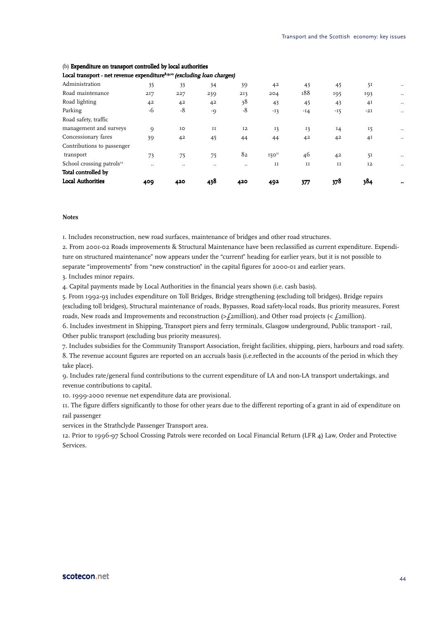| <b>Local Authorities</b>              | 409 | 420            | 438  | 420       | 492               | 377     | 378   | 384            | $\bullet\bullet$ |
|---------------------------------------|-----|----------------|------|-----------|-------------------|---------|-------|----------------|------------------|
| Total controlled by                   |     |                |      |           |                   |         |       |                |                  |
| School crossing patrols <sup>12</sup> |     |                |      | $\ddotsc$ | II                | $_{II}$ | II    | <b>I2</b>      |                  |
| transport                             | 73  | 75             | 75   | 82        | 150 <sup>11</sup> | 46      | 42    | 51             |                  |
| Contributions to passenger            |     |                |      |           |                   |         |       |                |                  |
| Concessionary fares                   | 39  | 4 <sup>2</sup> | 45   | 44        | 44                | 42      | 42    | 4 <sup>I</sup> | $\ddotsc$        |
| management and surveys                | 9   | IO             | II   | <b>I2</b> | 13                | 13      | 14    | 15             |                  |
| Road safety, traffic                  |     |                |      |           |                   |         |       |                |                  |
| Parking                               | -6  | $-8$           | $-9$ | $-8$      | $-13$             | $-14$   | $-15$ | $-2I$          | $\ddotsc$        |
| Road lighting                         | 42  | 4 <sup>2</sup> | 42   | 38        | 43                | 45      | 43    | 4 <sub>I</sub> |                  |
| Road maintenance                      | 217 | 227            | 239  | 213       | 204               | 188     | 195   | 193            |                  |
| Administration                        | 35  | 33             | 34   | 39        | 42                | 43      | 45    | 51             |                  |
|                                       |     |                |      |           |                   |         |       |                |                  |

#### (b) Expenditure on transport controlled by local authorities

Local transport - net revenue expenditure<sup>8,9,10</sup> (excluding loan charges)

#### **Notes**

1. Includes reconstruction, new road surfaces, maintenance of bridges and other road structures.

2. From 2001-02 Roads improvements & Structural Maintenance have been reclassified as current expenditure. Expenditure on structured maintenance" now appears under the "current" heading for earlier years, but it is not possible to separate "improvements" from "new construction" in the capital figures for 2000-01 and earlier years.

3. Includes minor repairs.

4. Capital payments made by Local Authorities in the financial years shown (i.e. cash basis).

5. From 1992-93 includes expenditure on Toll Bridges, Bridge strengthening (excluding toll bridges), Bridge repairs (excluding toll bridges), Structural maintenance of roads, Bypasses, Road safety-local roads, Bus priority measures, Forest roads, New roads and Improvements and reconstruction (>£2million), and Other road projects (<  $£2$ million).

6. Includes investment in Shipping, Transport piers and ferry terminals, Glasgow underground, Public transport - rail, Other public transport (excluding bus priority measures).

7. Includes subsidies for the Community Transport Association, freight facilities, shipping, piers, harbours and road safety.

8. The revenue account figures are reported on an accruals basis (i.e.reflected in the accounts of the period in which they take place).

9. Includes rate/general fund contributions to the current expenditure of LA and non-LA transport undertakings, and revenue contributions to capital.

10. 1999-2000 revenue net expenditure data are provisional.

11. The figure differs significantly to those for other years due to the different reporting of a grant in aid of expenditure on rail passenger

services in the Strathclyde Passenger Transport area.

12. Prior to 1996-97 School Crossing Patrols were recorded on Local Financial Return (LFR 4) Law, Order and Protective Services.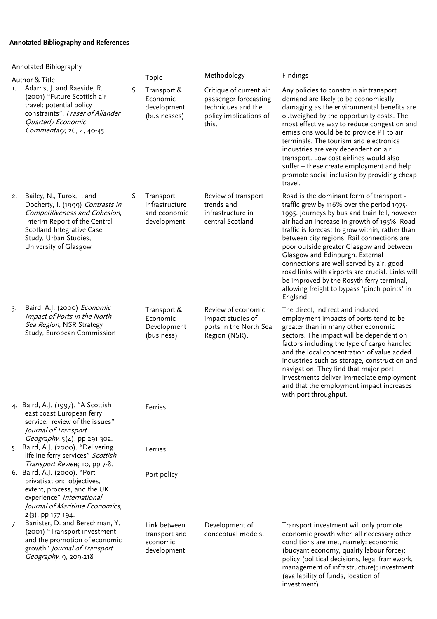## **Annotated Bibliography and References**

|                | Annotated Bibiography                                                                                                                                                                                          |   |                                                            |                                                                                                           |                                                                                                                                                                                                                                                                                                                                                                                                                                                                                                                                                                                 |  |  |  |
|----------------|----------------------------------------------------------------------------------------------------------------------------------------------------------------------------------------------------------------|---|------------------------------------------------------------|-----------------------------------------------------------------------------------------------------------|---------------------------------------------------------------------------------------------------------------------------------------------------------------------------------------------------------------------------------------------------------------------------------------------------------------------------------------------------------------------------------------------------------------------------------------------------------------------------------------------------------------------------------------------------------------------------------|--|--|--|
|                | Author & Title                                                                                                                                                                                                 |   | Topic                                                      | Methodology                                                                                               | Findings                                                                                                                                                                                                                                                                                                                                                                                                                                                                                                                                                                        |  |  |  |
| $\mathbf{1}$ . | Adams, J. and Raeside, R.<br>(2001) "Future Scottish air<br>travel: potential policy<br>constraints", Fraser of Allander<br>Quarterly Economic<br>Commentary, 26, 4, 40-45                                     | S | Transport &<br>Economic<br>development<br>(businesses)     | Critique of current air<br>passenger forecasting<br>techniques and the<br>policy implications of<br>this. | Any policies to constrain air transport<br>demand are likely to be economically<br>damaging as the environmental benefits are<br>outweighed by the opportunity costs. The<br>most effective way to reduce congestion and<br>emissions would be to provide PT to air<br>terminals. The tourism and electronics<br>industries are very dependent on air<br>transport. Low cost airlines would also<br>suffer - these create employment and help<br>promote social inclusion by providing cheap<br>travel.                                                                         |  |  |  |
| 2.             | Bailey, N., Turok, I. and<br>Docherty, I. (1999) Contrasts in<br>Competitiveness and Cohesion,<br>Interim Report of the Central<br>Scotland Integrative Case<br>Study, Urban Studies,<br>University of Glasgow | S | Transport<br>infrastructure<br>and economic<br>development | Review of transport<br>trends and<br>infrastructure in<br>central Scotland                                | Road is the dominant form of transport -<br>traffic grew by 116% over the period 1975-<br>1995. Journeys by bus and train fell, however<br>air had an increase in growth of 195%. Road<br>traffic is forecast to grow within, rather than<br>between city regions. Rail connections are<br>poor outside greater Glasgow and between<br>Glasgow and Edinburgh. External<br>connections are well served by air, good<br>road links with airports are crucial. Links will<br>be improved by the Rosyth ferry terminal,<br>allowing freight to bypass 'pinch points' in<br>England. |  |  |  |
| 3.             | Baird, A.J. (2000) Economic<br>Impact of Ports in the North<br>Sea Region, NSR Strategy<br>Study, European Commission                                                                                          |   | Transport &<br>Economic<br>Development<br>(business)       | Review of economic<br>impact studies of<br>ports in the North Sea<br>Region (NSR).                        | The direct, indirect and induced<br>employment impacts of ports tend to be<br>greater than in many other economic<br>sectors. The impact will be dependent on<br>factors including the type of cargo handled<br>and the local concentration of value added<br>industries such as storage, construction and<br>navigation. They find that major port<br>investments deliver immediate employment<br>and that the employment impact increases<br>with port throughput.                                                                                                            |  |  |  |
|                | 4. Baird, A.J. (1997). "A Scottish<br>east coast European ferry<br>service: review of the issues"<br>Journal of Transport<br>Geography, 5(4), pp 291-302.                                                      |   | Ferries                                                    |                                                                                                           |                                                                                                                                                                                                                                                                                                                                                                                                                                                                                                                                                                                 |  |  |  |
|                | 5. Baird, A.J. (2000). "Delivering<br>lifeline ferry services" Scottish<br>Transport Review, 10, pp 7-8.                                                                                                       |   | Ferries                                                    |                                                                                                           |                                                                                                                                                                                                                                                                                                                                                                                                                                                                                                                                                                                 |  |  |  |
|                | 6. Baird, A.J. (2000). "Port<br>privatisation: objectives,<br>extent, process, and the UK<br>experience" International<br>Journal of Maritime Economics,<br>2(3), pp 177-194.                                  |   | Port policy                                                |                                                                                                           |                                                                                                                                                                                                                                                                                                                                                                                                                                                                                                                                                                                 |  |  |  |
| 7.             | Banister, D. and Berechman, Y.<br>(2001) "Transport investment<br>and the promotion of economic<br>growth" Journal of Transport<br>Geography, 9, 209-218                                                       |   | Link between<br>transport and<br>economic<br>development   | Development of<br>conceptual models.                                                                      | Transport investment will only promote<br>economic growth when all necessary other<br>conditions are met, namely: economic<br>(buoyant economy, quality labour force);<br>policy (political decisions, legal framework,<br>management of infrastructure); investment<br>(availability of funds, location of<br>investment).                                                                                                                                                                                                                                                     |  |  |  |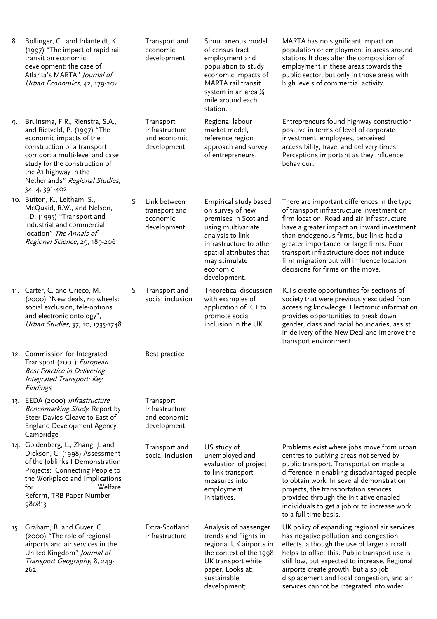| 8. | Bollinger, C., and Ihlanfeldt, K.<br>(1997) "The impact of rapid rail<br>transit on economic<br>development: the case of<br>Atlanta's MARTA" Journal of<br>Urban Economics, 42, 179-204                                                                                                 |   | Transport and<br>economic<br>development                   | Simultaneous model<br>of census tract<br>employment and<br>population to study<br>economic impacts of<br>MARTA rail transit<br>system in an area 1/4<br>mile around each<br>station.                           | MARTA has no significant impact on<br>population or employment in areas around<br>stations It does alter the composition of<br>employment in these areas towards the<br>public sector, but only in those areas with<br>high levels of commercial activity.                                                                                                                                               |
|----|-----------------------------------------------------------------------------------------------------------------------------------------------------------------------------------------------------------------------------------------------------------------------------------------|---|------------------------------------------------------------|----------------------------------------------------------------------------------------------------------------------------------------------------------------------------------------------------------------|----------------------------------------------------------------------------------------------------------------------------------------------------------------------------------------------------------------------------------------------------------------------------------------------------------------------------------------------------------------------------------------------------------|
| 9. | Bruinsma, F.R., Rienstra, S.A.,<br>and Rietveld, P. (1997) "The<br>economic impacts of the<br>construction of a transport<br>corridor: a multi-level and case<br>study for the construction of<br>the A <sub>1</sub> highway in the<br>Netherlands" Regional Studies,<br>34, 4, 391-402 |   | Transport<br>infrastructure<br>and economic<br>development | Regional labour<br>market model,<br>reference region<br>approach and survey<br>of entrepreneurs.                                                                                                               | Entrepreneurs found highway construction<br>positive in terms of level of corporate<br>investment, employees, perceived<br>accessibility, travel and delivery times.<br>Perceptions important as they influence<br>behaviour.                                                                                                                                                                            |
|    | 10. Button, K., Leitham, S.,<br>McQuaid, R.W., and Nelson,<br>J.D. (1995) "Transport and<br>industrial and commercial<br>location" The Annals of<br>Regional Science, 29, 189-206                                                                                                       | S | Link between<br>transport and<br>economic<br>development   | Empirical study based<br>on survey of new<br>premises in Scotland<br>using multivariate<br>analysis to link<br>infrastructure to other<br>spatial attributes that<br>may stimulate<br>economic<br>development. | There are important differences in the type<br>of transport infrastructure investment on<br>firm location. Road and air infrastructure<br>have a greater impact on inward investment<br>than endogenous firms, bus links had a<br>greater importance for large firms. Poor<br>transport infrastructure does not induce<br>firm migration but will influence location<br>decisions for firms on the move. |
|    | 11. Carter, C. and Grieco, M.<br>(2000) "New deals, no wheels:<br>social exclusion, tele-options<br>and electronic ontology",<br>Urban Studies, 37, 10, 1735-1748                                                                                                                       | S | Transport and<br>social inclusion                          | Theoretical discussion<br>with examples of<br>application of ICT to<br>promote social<br>inclusion in the UK.                                                                                                  | ICTs create opportunities for sections of<br>society that were previously excluded from<br>accessing knowledge. Electronic information<br>provides opportunities to break down<br>gender, class and racial boundaries, assist<br>in delivery of the New Deal and improve the<br>transport environment.                                                                                                   |
|    | 12. Commission for Integrated<br>Transport (2001) European<br>Best Practice in Delivering<br>Integrated Transport: Key<br>Findings                                                                                                                                                      |   | Best practice                                              |                                                                                                                                                                                                                |                                                                                                                                                                                                                                                                                                                                                                                                          |
|    | 13. EEDA (2000) Infrastructure<br>Benchmarking Study, Report by<br>Steer Davies Gleave to East of<br>England Development Agency,<br>Cambridge                                                                                                                                           |   | Transport<br>infrastructure<br>and economic<br>development |                                                                                                                                                                                                                |                                                                                                                                                                                                                                                                                                                                                                                                          |
|    | 14. Goldenberg, L., Zhang, J. and<br>Dickson, C. (1998) Assessment<br>of the Joblinks I Demonstration<br>Projects: Connecting People to<br>the Workplace and Implications<br>for<br>Welfare<br>Reform, TRB Paper Number<br>980813                                                       |   | Transport and<br>social inclusion                          | US study of<br>unemployed and<br>evaluation of project<br>to link transport<br>measures into<br>employment<br>initiatives.                                                                                     | Problems exist where jobs move from urban<br>centres to outlying areas not served by<br>public transport. Transportation made a<br>difference in enabling disadvantaged people<br>to obtain work. In several demonstration<br>projects, the transportation services<br>provided through the initiative enabled<br>individuals to get a job or to increase work<br>to a full-time basis.                  |
|    | 15. Graham, B. and Guyer, C.<br>(2000) "The role of regional<br>airports and air services in the<br>United Kingdom" Journal of<br>Transport Geography, 8, 249-<br>262                                                                                                                   |   | Extra-Scotland<br>infrastructure                           | Analysis of passenger<br>trends and flights in<br>regional UK airports in<br>the context of the 1998<br>UK transport white<br>paper. Looks at:<br>sustainable<br>development;                                  | UK policy of expanding regional air services<br>has negative pollution and congestion<br>effects, although the use of larger aircraft<br>helps to offset this. Public transport use is<br>still low, but expected to increase. Regional<br>airports create growth, but also job<br>displacement and local congestion, and air<br>services cannot be integrated into wider                                |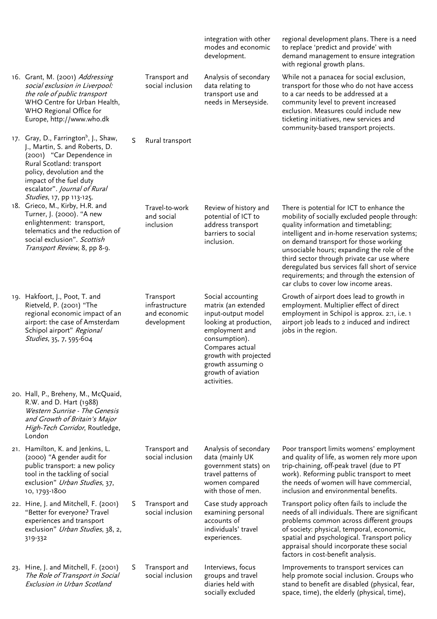|                                                                                                                                                                                                                                                                    |   |                                                            | integration with other<br>modes and economic<br>development.                                                                                                                                                                      | regional development plans. There is a need<br>to replace 'predict and provide' with<br>demand management to ensure integration<br>with regional growth plans.                                                                                                                                                                                                                                                                                                   |
|--------------------------------------------------------------------------------------------------------------------------------------------------------------------------------------------------------------------------------------------------------------------|---|------------------------------------------------------------|-----------------------------------------------------------------------------------------------------------------------------------------------------------------------------------------------------------------------------------|------------------------------------------------------------------------------------------------------------------------------------------------------------------------------------------------------------------------------------------------------------------------------------------------------------------------------------------------------------------------------------------------------------------------------------------------------------------|
| 16. Grant, M. (2001) Addressing<br>social exclusion in Liverpool:<br>the role of public transport<br>WHO Centre for Urban Health,<br>WHO Regional Office for<br>Europe, http://www.who.dk                                                                          |   | Transport and<br>social inclusion                          | Analysis of secondary<br>data relating to<br>transport use and<br>needs in Merseyside.                                                                                                                                            | While not a panacea for social exclusion,<br>transport for those who do not have access<br>to a car needs to be addressed at a<br>community level to prevent increased<br>exclusion. Measures could include new<br>ticketing initiatives, new services and<br>community-based transport projects.                                                                                                                                                                |
| 17. Gray, D., Farrington <sup>b</sup> , J., Shaw,<br>J., Martin, S. and Roberts, D.<br>(2001) "Car Dependence in<br>Rural Scotland: transport<br>policy, devolution and the<br>impact of the fuel duty<br>escalator". Journal of Rural<br>Studies, 17, pp 113-125. | S | Rural transport                                            |                                                                                                                                                                                                                                   |                                                                                                                                                                                                                                                                                                                                                                                                                                                                  |
| 18. Grieco, M., Kirby, H.R. and<br>Turner, J. (2000). "A new<br>enlightenment: transport,<br>telematics and the reduction of<br>social exclusion". Scottish<br>Transport Review, 8, pp 8-9.                                                                        |   | Travel-to-work<br>and social<br>inclusion                  | Review of history and<br>potential of ICT to<br>address transport<br>barriers to social<br>inclusion.                                                                                                                             | There is potential for ICT to enhance the<br>mobility of socially excluded people through:<br>quality information and timetabling;<br>intelligent and in-home reservation systems;<br>on demand transport for those working<br>unsociable hours; expanding the role of the<br>third sector through private car use where<br>deregulated bus services fall short of service<br>requirements; and through the extension of<br>car clubs to cover low income areas. |
| 19. Hakfoort, J., Poot, T. and<br>Rietveld, P. (2001) "The<br>regional economic impact of an<br>airport: the case of Amsterdam<br>Schipol airport" Regional<br>Studies, 35, 7, 595-604                                                                             |   | Transport<br>infrastructure<br>and economic<br>development | Social accounting<br>matrix (an extended<br>input-output model<br>looking at production,<br>employment and<br>consumption).<br>Compares actual<br>growth with projected<br>growth assuming o<br>growth of aviation<br>activities. | Growth of airport does lead to growth in<br>employment. Multiplier effect of direct<br>employment in Schipol is approx. 2:1, i.e. 1<br>airport job leads to 2 induced and indirect<br>jobs in the region.                                                                                                                                                                                                                                                        |
| 20. Hall, P., Breheny, M., McQuaid,<br>R.W. and D. Hart (1988)<br><b>Western Sunrise - The Genesis</b><br>and Growth of Britain's Major<br>High-Tech Corridor, Routledge,<br>London                                                                                |   |                                                            |                                                                                                                                                                                                                                   |                                                                                                                                                                                                                                                                                                                                                                                                                                                                  |
| 21. Hamilton, K. and Jenkins, L.<br>(2000) "A gender audit for<br>public transport: a new policy<br>tool in the tackling of social<br>exclusion" Urban Studies, 37,<br>10, 1793-1800                                                                               |   | Transport and<br>social inclusion                          | Analysis of secondary<br>data (mainly UK<br>government stats) on<br>travel patterns of<br>women compared<br>with those of men.                                                                                                    | Poor transport limits womens' employment<br>and quality of life, as women rely more upon<br>trip-chaining, off-peak travel (due to PT<br>work). Reforming public transport to meet<br>the needs of women will have commercial,<br>inclusion and environmental benefits.                                                                                                                                                                                          |
| 22. Hine, J. and Mitchell, F. (2001)<br>"Better for everyone? Travel<br>experiences and transport<br>exclusion" Urban Studies, 38, 2,<br>319-332                                                                                                                   | S | Transport and<br>social inclusion                          | Case study approach<br>examining personal<br>accounts of<br>individuals' travel<br>experiences.                                                                                                                                   | Transport policy often fails to include the<br>needs of all individuals. There are significant<br>problems common across different groups<br>of society: physical, temporal, economic,<br>spatial and psychological. Transport policy<br>appraisal should incorporate these social<br>factors in cost-benefit analysis.                                                                                                                                          |
| 23. Hine, J. and Mitchell, F. (2001)<br>The Role of Transport in Social<br>Exclusion in Urban Scotland                                                                                                                                                             | S | Transport and<br>social inclusion                          | Interviews, focus<br>groups and travel<br>diaries held with<br>socially excluded                                                                                                                                                  | Improvements to transport services can<br>help promote social inclusion. Groups who<br>stand to benefit are disabled (physical, fear,<br>space, time), the elderly (physical, time),                                                                                                                                                                                                                                                                             |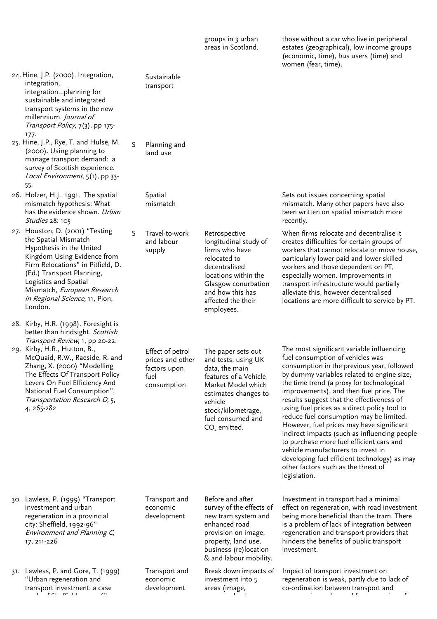groups in 3 urban areas in Scotland. those without a car who live in peripheral estates (geographical), low income groups (economic, time), bus users (time) and women (fear, time).

24. Hine, J.P. (2000). Integration, integration, integration…planning for sustainable and integrated transport systems in the new millennium. Journal of Transport Policy, 7(3), pp 175- 177.

- 25. Hine, J.P., Rye, T. and Hulse, M. (2000). Using planning to manage transport demand: a survey of Scottish experience. Local Environment, 5(1), pp 33-55.
- 26. Holzer, H.J. 1991. The spatial mismatch hypothesis: What has the evidence shown. Urban Studies 28: 105

27. Houston, D. (2001) "Testing the Spatial Mismatch Hypothesis in the United Kingdom Using Evidence from Firm Relocations" in Pitfield, D. (Ed.) Transport Planning, Logistics and Spatial Mismatch, European Research in Regional Science, 11, Pion, London.

28. Kirby, H.R. (1998). Foresight is better than hindsight. Scottish Transport Review, 1, pp 20-22.

29. Kirby, H.R., Hutton, B., McQuaid, R.W., Raeside, R. and Zhang, X. (2000) "Modelling The Effects Of Transport Policy Levers On Fuel Efficiency And National Fuel Consumption", Transportation Research D, 5, 4, 265-282

 Sustainable transport

#### S Planning and land use

 Spatial mismatch

S Travel-to-work and labour supply

> Effect of petrol prices and other factors upon fuel consumption

The paper sets out and tests, using UK data, the main features of a Vehicle Market Model which estimates changes to vehicle stock/kilometrage, fuel consumed and CO<sub>2</sub> emitted.

Retrospective longitudinal study of firms who have relocated to decentralised locations within the Glasgow conurbation and how this has affected the their employees.

 Sets out issues concerning spatial mismatch. Many other papers have also been written on spatial mismatch more recently.

When firms relocate and decentralise it creates difficulties for certain groups of workers that cannot relocate or move house, particularly lower paid and lower skilled workers and those dependent on PT, especially women. Improvements in transport infrastructure would partially alleviate this, however decentralised locations are more difficult to service by PT.

The most significant variable influencing fuel consumption of vehicles was consumption in the previous year, followed by dummy variables related to engine size, the time trend (a proxy for technological improvements), and then fuel price. The results suggest that the effectiveness of using fuel prices as a direct policy tool to reduce fuel consumption may be limited. However, fuel prices may have significant indirect impacts (such as influencing people to purchase more fuel efficient cars and vehicle manufacturers to invest in developing fuel efficient technology) as may other factors such as the threat of legislation.

30. Lawless, P. (1999) "Transport investment and urban regeneration in a provincial city: Sheffield, 1992-96" Environment and Planning C, 17, 211-226

31. Lawless, P. and Gore, T. (1999) "Urban regeneration and transport investment: a case  $\mathbf{f}$  for  $\mathbf{g}$  is  $\mathbf{f}$ 

 Transport and economic development

## Transport and economic development

Before and after survey of the effects of new tram system and enhanced road provision on image, property, land use, business (re)location & and labour mobility.

Break down impacts of investment into 5 areas (image,

l d

Investment in transport had a minimal effect on regeneration, with road investment being more beneficial than the tram. There is a problem of lack of integration between regeneration and transport providers that hinders the benefits of public transport investment.

Impact of transport investment on regeneration is weak, partly due to lack of co-ordination between transport and i li dina kacamatan ing Kabupatèn Kabupatèn Ing Kabupatèn Kabupatèn Kabupatèn Kabupatèn Kabupatèn Kabupatèn Ka<br>Kabupatèn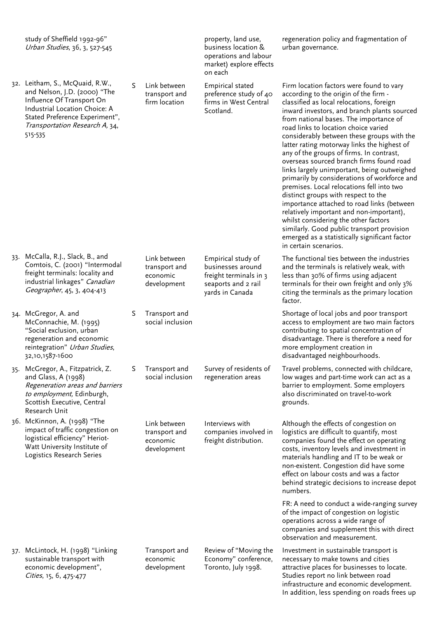study of Sheffield 1992-96" Urban Studies, 36, 3, 527-545

32. Leitham, S., McQuaid, R.W., and Nelson, J.D. (2000) "The Influence Of Transport On Industrial Location Choice: A Stated Preference Experiment", Transportation Research A, 34, 515-535

S Link between transport and firm location

> Link between transport and economic development

S Transport and social inclusion

S Transport and social inclusion

> Link between transport and economic development

property, land use, business location & operations and labour market) explore effects on each

Survey of residents of regeneration areas

Interviews with companies involved in freight distribution.

regeneration policy and fragmentation of urban governance.

| <b>Empirical stated</b><br>preference study of 40<br>firms in West Central<br>Scotland.                     | Firm location factors were found to vary<br>according to the origin of the firm -<br>classified as local relocations, foreign<br>inward investors, and branch plants sourced<br>from national bases. The importance of<br>road links to location choice varied<br>considerably between these groups with the<br>latter rating motorway links the highest of<br>any of the groups of firms. In contrast,<br>overseas sourced branch firms found road<br>links largely unimportant, being outweighed<br>primarily by considerations of workforce and<br>premises. Local relocations fell into two<br>distinct groups with respect to the<br>importance attached to road links (between<br>relatively important and non-important),<br>whilst considering the other factors<br>similarly. Good public transport provision<br>emerged as a statistically significant factor<br>in certain scenarios. |
|-------------------------------------------------------------------------------------------------------------|--------------------------------------------------------------------------------------------------------------------------------------------------------------------------------------------------------------------------------------------------------------------------------------------------------------------------------------------------------------------------------------------------------------------------------------------------------------------------------------------------------------------------------------------------------------------------------------------------------------------------------------------------------------------------------------------------------------------------------------------------------------------------------------------------------------------------------------------------------------------------------------------------|
| Empirical study of<br>businesses around<br>freight terminals in 3<br>seaports and 2 rail<br>yards in Canada | The functional ties between the industries<br>and the terminals is relatively weak, with<br>less than 30% of firms using adjacent<br>terminals for their own freight and only 3%<br>citing the terminals as the primary location<br>factor.                                                                                                                                                                                                                                                                                                                                                                                                                                                                                                                                                                                                                                                      |
|                                                                                                             | Shortage of local jobs and poor transport<br>access to employment are two main factors<br>contributing to spatial concentration of<br>disadvantage. There is therefore a need for<br>more employment creation in<br>disadvantaged neighbourhoods.                                                                                                                                                                                                                                                                                                                                                                                                                                                                                                                                                                                                                                                |

Travel problems, connected with childcare, low wages and part-time work can act as a barrier to employment. Some employers also discriminated on travel-to-work grounds.

Although the effects of congestion on logistics are difficult to quantify, most companies found the effect on operating costs, inventory levels and investment in materials handling and IT to be weak or non-existent. Congestion did have some effect on labour costs and was a factor behind strategic decisions to increase depot numbers.

FR: A need to conduct a wide-ranging survey of the impact of congestion on logistic operations across a wide range of companies and supplement this with direct observation and measurement.

Investment in sustainable transport is necessary to make towns and cities attractive places for businesses to locate. Studies report no link between road infrastructure and economic development. In addition, less spending on roads frees up

- 33. McCalla, R.J., Slack, B., and Comtois, C. (2001) "Intermodal freight terminals: locality and industrial linkages" Canadian Geographer, 45, 3, 404-413
- 34. McGregor, A. and McConnachie, M. (1995) "Social exclusion, urban regeneration and economic reintegration" Urban Studies, 32,10,1587-1600

35. McGregor, A., Fitzpatrick, Z. and Glass, A (1998) Regeneration areas and barriers to employment, Edinburgh, Scottish Executive, Central Research Unit

36. McKinnon, A. (1998) "The impact of traffic congestion on logistical efficiency" Heriot-Watt University Institute of Logistics Research Series

37. McLintock, H. (1998) "Linking sustainable transport with economic development", Cities, 15, 6, 475-477

 Transport and economic development

Review of "Moving the Economy" conference, Toronto, July 1998.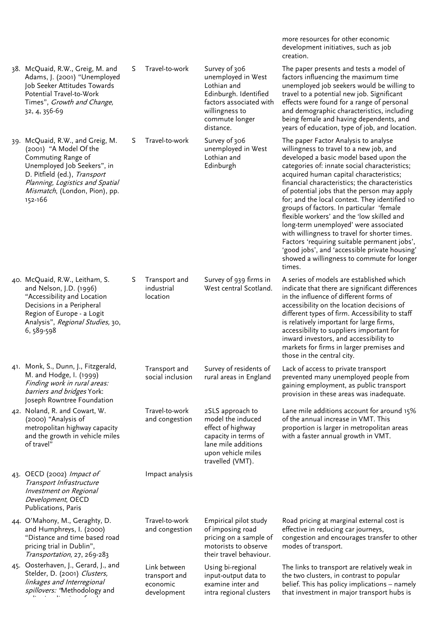|                                                                                                                                                                                                                                |    |                                                          |                                                                                                                                                         | development initiatives, such as job<br>creation.                                                                                                                                                                                                                                                                                                                                                                                                                                                                                                                                                                                                                                                                     |
|--------------------------------------------------------------------------------------------------------------------------------------------------------------------------------------------------------------------------------|----|----------------------------------------------------------|---------------------------------------------------------------------------------------------------------------------------------------------------------|-----------------------------------------------------------------------------------------------------------------------------------------------------------------------------------------------------------------------------------------------------------------------------------------------------------------------------------------------------------------------------------------------------------------------------------------------------------------------------------------------------------------------------------------------------------------------------------------------------------------------------------------------------------------------------------------------------------------------|
| 38. McQuaid, R.W., Greig, M. and<br>Adams, J. (2001) "Unemployed<br>Job Seeker Attitudes Towards<br>Potential Travel-to-Work<br>Times", Growth and Change,<br>32, 4, 356-69                                                    | S. | Travel-to-work                                           | Survey of 306<br>unemployed in West<br>Lothian and<br>Edinburgh. Identified<br>factors associated with<br>willingness to<br>commute longer<br>distance. | The paper presents and tests a model of<br>factors influencing the maximum time<br>unemployed job seekers would be willing to<br>travel to a potential new job. Significant<br>effects were found for a range of personal<br>and demographic characteristics, including<br>being female and having dependents, and<br>years of education, type of job, and location.                                                                                                                                                                                                                                                                                                                                                  |
| 39. McQuaid, R.W., and Greig, M.<br>(2001) "A Model Of the<br>Commuting Range of<br>Unemployed Job Seekers", in<br>D. Pitfield (ed.), Transport<br>Planning, Logistics and Spatial<br>Mismatch, (London, Pion), pp.<br>152-166 | S. | Travel-to-work                                           | Survey of 306<br>unemployed in West<br>Lothian and<br>Edinburgh                                                                                         | The paper Factor Analysis to analyse<br>willingness to travel to a new job, and<br>developed a basic model based upon the<br>categories of: innate social characteristics;<br>acquired human capital characteristics;<br>financial characteristics; the characteristics<br>of potential jobs that the person may apply<br>for; and the local context. They identified 10<br>groups of factors. In particular 'female<br>flexible workers' and the 'low skilled and<br>long-term unemployed' were associated<br>with willingness to travel for shorter times.<br>Factors 'requiring suitable permanent jobs',<br>'good jobs', and 'accessible private housing'<br>showed a willingness to commute for longer<br>times. |
| 40. McQuaid, R.W., Leitham, S.<br>and Nelson, J.D. (1996)<br>"Accessibility and Location<br>Decisions in a Peripheral<br>Region of Europe - a Logit<br>Analysis", Regional Studies, 30,<br>6, 589-598                          | S  | Transport and<br>industrial<br>location                  | Survey of 939 firms in<br>West central Scotland.                                                                                                        | A series of models are established which<br>indicate that there are significant differences<br>in the influence of different forms of<br>accessibility on the location decisions of<br>different types of firm. Accessibility to staff<br>is relatively important for large firms,<br>accessibility to suppliers important for<br>inward investors, and accessibility to<br>markets for firms in larger premises and<br>those in the central city.                                                                                                                                                                                                                                                                    |
| 41. Monk, S., Dunn, J., Fitzgerald,<br>M. and Hodge, I. (1999)<br>Finding work in rural areas:<br>barriers and bridges York:<br>Joseph Rowntree Foundation                                                                     |    | Transport and<br>social inclusion                        | Survey of residents of<br>rural areas in England                                                                                                        | Lack of access to private transport<br>prevented many unemployed people from<br>gaining employment, as public transport<br>provision in these areas was inadequate.                                                                                                                                                                                                                                                                                                                                                                                                                                                                                                                                                   |
| 42. Noland, R. and Cowart, W.<br>(2000) "Analysis of<br>metropolitan highway capacity<br>and the growth in vehicle miles<br>of travel"                                                                                         |    | Travel-to-work<br>and congestion                         | 2SLS approach to<br>model the induced<br>effect of highway<br>capacity in terms of<br>lane mile additions<br>upon vehicle miles<br>travelled (VMT).     | Lane mile additions account for around 15%<br>of the annual increase in VMT. This<br>proportion is larger in metropolitan areas<br>with a faster annual growth in VMT.                                                                                                                                                                                                                                                                                                                                                                                                                                                                                                                                                |
| 43. OECD (2002) Impact of<br>Transport Infrastructure<br>Investment on Regional<br>Development, OECD<br>Publications, Paris                                                                                                    |    | Impact analysis                                          |                                                                                                                                                         |                                                                                                                                                                                                                                                                                                                                                                                                                                                                                                                                                                                                                                                                                                                       |
| 44. O'Mahony, M., Geraghty, D.<br>and Humphreys, I. (2000)<br>"Distance and time based road<br>pricing trial in Dublin",<br>Transportation, 27, 269-283                                                                        |    | Travel-to-work<br>and congestion                         | Empirical pilot study<br>of imposing road<br>pricing on a sample of<br>motorists to observe<br>their travel behaviour.                                  | Road pricing at marginal external cost is<br>effective in reducing car journeys,<br>congestion and encourages transfer to other<br>modes of transport.                                                                                                                                                                                                                                                                                                                                                                                                                                                                                                                                                                |
| 45. Oosterhaven, J., Gerard, J., and<br>Stelder, D. (2001) Clusters,<br>linkages and Interregional<br>spillovers: 'Methodology and                                                                                             |    | Link between<br>transport and<br>economic<br>development | Using bi-regional<br>input-output data to<br>examine inter and<br>intra regional clusters                                                               | The links to transport are relatively weak in<br>the two clusters, in contrast to popular<br>belief. This has policy implications - namely<br>that investment in major transport hubs is                                                                                                                                                                                                                                                                                                                                                                                                                                                                                                                              |

more resources for other economic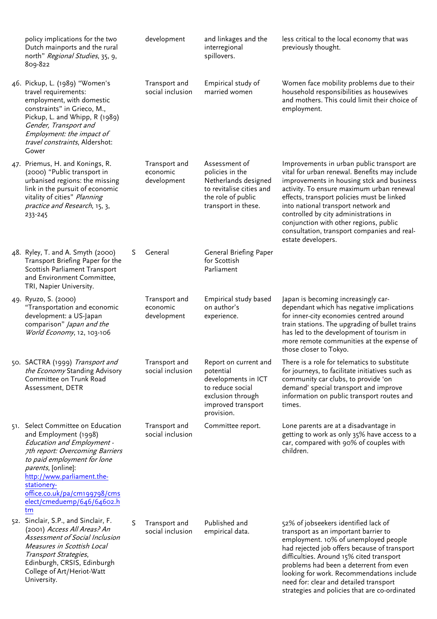| policy implications for the two<br>Dutch mainports and the rural<br>north" Regional Studies, 35, 9,<br>809-822                                                                                                                                                                                                   |    | development                              | and linkages and the<br>interregional<br>spillovers.                                                                                   | less critical to the local economy that was<br>previously thought.                                                                                                                                                                                                                                                                                                                                                                 |
|------------------------------------------------------------------------------------------------------------------------------------------------------------------------------------------------------------------------------------------------------------------------------------------------------------------|----|------------------------------------------|----------------------------------------------------------------------------------------------------------------------------------------|------------------------------------------------------------------------------------------------------------------------------------------------------------------------------------------------------------------------------------------------------------------------------------------------------------------------------------------------------------------------------------------------------------------------------------|
| 46. Pickup, L. (1989) "Women's<br>travel requirements:<br>employment, with domestic<br>constraints" in Grieco, M.,<br>Pickup, L. and Whipp, R (1989)<br>Gender, Transport and<br>Employment: the impact of<br>travel constraints, Aldershot:<br>Gower                                                            |    | Transport and<br>social inclusion        | Empirical study of<br>married women                                                                                                    | Women face mobility problems due to their<br>household responsibilities as housewives<br>and mothers. This could limit their choice of<br>employment.                                                                                                                                                                                                                                                                              |
| 47. Priemus, H. and Konings, R.<br>(2000) "Public transport in<br>urbanised regions: the missing<br>link in the pursuit of economic<br>vitality of cities" Planning<br>practice and Research, 15, 3,<br>233-245                                                                                                  |    | Transport and<br>economic<br>development | Assessment of<br>policies in the<br>Netherlands designed<br>to revitalise cities and<br>the role of public<br>transport in these.      | Improvements in urban public transport are<br>vital for urban renewal. Benefits may include<br>improvements in housing stck and business<br>activity. To ensure maximum urban renewal<br>effects, transport policies must be linked<br>into national transport network and<br>controlled by city administrations in<br>conjunction with other regions, public<br>consultation, transport companies and real-<br>estate developers. |
| 48. Ryley, T. and A. Smyth (2000)<br>Transport Briefing Paper for the<br>Scottish Parliament Transport<br>and Environment Committee,<br>TRI, Napier University.                                                                                                                                                  | S. | General                                  | General Briefing Paper<br>for Scottish<br>Parliament                                                                                   |                                                                                                                                                                                                                                                                                                                                                                                                                                    |
| 49. Ryuzo, S. (2000)<br>"Transportation and economic<br>development: a US-Japan<br>comparison" Japan and the<br>World Economy, 12, 103-106                                                                                                                                                                       |    | Transport and<br>economic<br>development | Empirical study based<br>on author's<br>experience.                                                                                    | Japan is becoming increasingly car-<br>dependant which has negative implications<br>for inner-city economies centred around<br>train stations. The upgrading of bullet trains<br>has led to the development of tourism in<br>more remote communities at the expense of<br>those closer to Tokyo.                                                                                                                                   |
| 50. SACTRA (1999) Transport and<br>the Economy Standing Advisory<br>Committee on Trunk Road<br>Assessment, DETR                                                                                                                                                                                                  |    | Transport and<br>social inclusion        | Report on current and<br>potential<br>developments in ICT<br>to reduce social<br>exclusion through<br>improved transport<br>provision. | There is a role for telematics to substitute<br>for journeys, to facilitate initiatives such as<br>community car clubs, to provide 'on<br>demand' special transport and improve<br>information on public transport routes and<br>times.                                                                                                                                                                                            |
| 51. Select Committee on Education<br>and Employment (1998)<br><b>Education and Employment -</b><br>7th report: Overcoming Barriers<br>to paid employment for lone<br><i>parents</i> , [online]:<br>http://www.parliament.the-<br>stationery-<br>office.co.uk/pa/cm199798/cms<br>elect/cmeduemp/646/64602.h<br>tm |    | Transport and<br>social inclusion        | Committee report.                                                                                                                      | Lone parents are at a disadvantage in<br>getting to work as only 35% have access to a<br>car, compared with 90% of couples with<br>children.                                                                                                                                                                                                                                                                                       |
| 52. Sinclair, S.P., and Sinclair, F.<br>(2001) Access All Areas? An<br>Assessment of Social Inclusion<br>Measures in Scottish Local<br>Transport Strategies,<br>Edinburgh, CRSIS, Edinburgh<br>College of Art/Heriot-Watt<br>University.                                                                         | S  | Transport and<br>social inclusion        | Published and<br>empirical data.                                                                                                       | 52% of jobseekers identified lack of<br>transport as an important barrier to<br>employment. 10% of unemployed people<br>had rejected job offers because of transport<br>difficulties. Around 15% cited transport<br>problems had been a deterrent from even<br>looking for work. Recommendations include<br>need for: clear and detailed transport<br>strategies and policies that are co-ordinated                                |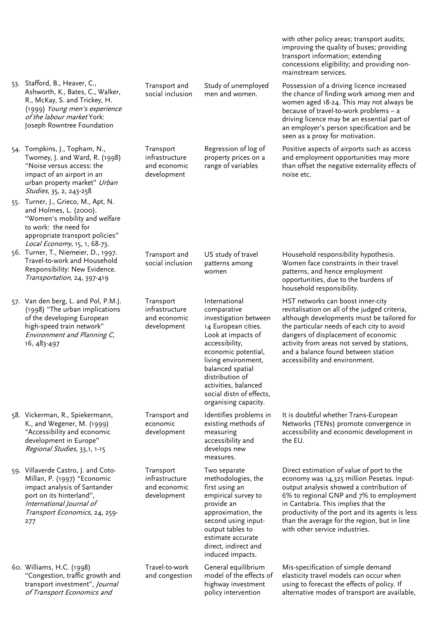|                                                                                                                                                                                                    |                                                            |                                                                                                                                                                                                                                                                                       | with other policy areas; transport audits;<br>improving the quality of buses; providing<br>transport information; extending<br>concessions eligibility; and providing non-<br>mainstream services.                                                                                                                                                         |
|----------------------------------------------------------------------------------------------------------------------------------------------------------------------------------------------------|------------------------------------------------------------|---------------------------------------------------------------------------------------------------------------------------------------------------------------------------------------------------------------------------------------------------------------------------------------|------------------------------------------------------------------------------------------------------------------------------------------------------------------------------------------------------------------------------------------------------------------------------------------------------------------------------------------------------------|
| 53. Stafford, B., Heaver, C.,<br>Ashworth, K., Bates, C., Walker,<br>R., McKay, S. and Trickey, H.<br>(1999) Young men's experience<br>of the labour market York:<br>Joseph Rowntree Foundation    | Transport and<br>social inclusion                          | Study of unemployed<br>men and women.                                                                                                                                                                                                                                                 | Possession of a driving licence increased<br>the chance of finding work among men and<br>women aged 18-24. This may not always be<br>because of travel-to-work problems - a<br>driving licence may be an essential part of<br>an employer's person specification and be<br>seen as a proxy for motivation.                                                 |
| 54. Tompkins, J., Topham, N.,<br>Twomey, J. and Ward, R. (1998)<br>"Noise versus access: the<br>impact of an airport in an<br>urban property market" Urban<br>Studies, 35, 2, 243-258              | Transport<br>infrastructure<br>and economic<br>development | Regression of log of<br>property prices on a<br>range of variables                                                                                                                                                                                                                    | Positive aspects of airports such as access<br>and employment opportunities may more<br>than offset the negative externality effects of<br>noise etc.                                                                                                                                                                                                      |
| 55. Turner, J., Grieco, M., Apt, N.<br>and Holmes, L. (2000).<br>"Women's mobility and welfare<br>to work: the need for<br>appropriate transport policies"<br>Local Economy, 15, 1, 68-73.         |                                                            |                                                                                                                                                                                                                                                                                       |                                                                                                                                                                                                                                                                                                                                                            |
| 56. Turner, T., Niemeier, D., 1997.<br>Travel-to-work and Household<br>Responsibility: New Evidence.<br>Transportation, 24, 397-419                                                                | Transport and<br>social inclusion                          | US study of travel<br>patterns among<br>women                                                                                                                                                                                                                                         | Household responsibility hypothesis.<br>Women face constraints in their travel<br>patterns, and hence employment<br>opportunities, due to the burdens of<br>household responsibility.                                                                                                                                                                      |
| 57. Van den berg, L. and Pol, P.M.J.<br>(1998) "The urban implications<br>of the developing European<br>high-speed train network"<br>Environment and Planning C,<br>16, 483-497                    | Transport<br>infrastructure<br>and economic<br>development | International<br>comparative<br>investigation between<br>14 European cities.<br>Look at impacts of<br>accessibility,<br>economic potential,<br>living environment,<br>balanced spatial<br>distribution of<br>activities, balanced<br>social distn of effects,<br>organising capacity. | HST networks can boost inner-city<br>revitalisation on all of the judged criteria,<br>although developments must be tailored for<br>the particular needs of each city to avoid<br>dangers of displacement of economic<br>activity from areas not served by stations,<br>and a balance found between station<br>accessibility and environment.              |
| 58. Vickerman, R., Spiekermann,<br>K., and Wegener, M. (1999)<br>"Accessibility and economic<br>development in Europe"<br>Regional Studies, 33,1, 1-15                                             | Transport and<br>economic<br>development                   | Identifies problems in<br>existing methods of<br>measuring<br>accessibility and<br>develops new<br>measures.                                                                                                                                                                          | It is doubtful whether Trans-European<br>Networks (TENs) promote convergence in<br>accessibility and economic development in<br>the EU.                                                                                                                                                                                                                    |
| 59. Villaverde Castro, J. and Coto-<br>Millan, P. (1997) "Economic<br>impact analysis of Santander<br>port on its hinterland",<br>International Journal of<br>Transport Economics, 24, 259-<br>277 | Transport<br>infrastructure<br>and economic<br>development | Two separate<br>methodologies, the<br>first using an<br>empirical survey to<br>provide an<br>approximation, the<br>second using input-<br>output tables to<br>estimate accurate<br>direct, indirect and<br>induced impacts.                                                           | Direct estimation of value of port to the<br>economy was 14,325 million Pesetas. Input-<br>output analysis showed a contribution of<br>6% to regional GNP and 7% to employment<br>in Cantabria. This implies that the<br>productivity of the port and its agents is less<br>than the average for the region, but in line<br>with other service industries. |
| 60. Williams, H.C. (1998)<br>"Congestion, traffic growth and<br>transport investment", Journal<br>of Transport Economics and                                                                       | Travel-to-work<br>and congestion                           | General equilibrium<br>model of the effects of<br>highway investment<br>policy intervention                                                                                                                                                                                           | Mis-specification of simple demand<br>elasticity travel models can occur when<br>using to forecast the effects of policy. If<br>alternative modes of transport are available,                                                                                                                                                                              |